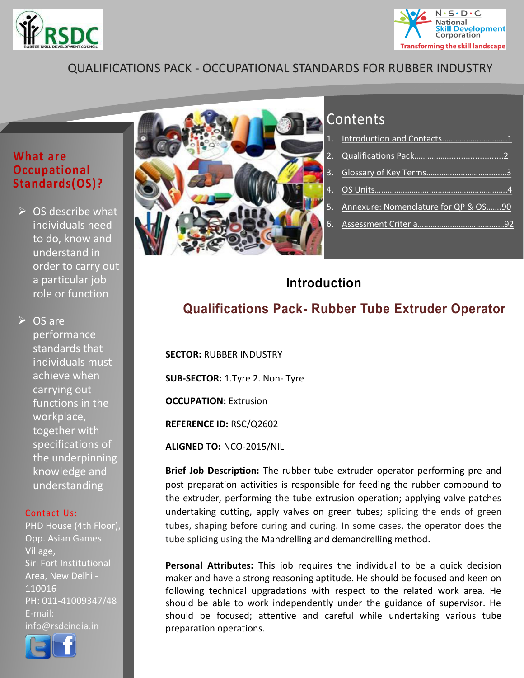



# QUALIFICATIONS PACK - OCCUPATIONAL STANDARDS FOR RUBBER INDUSTRY

### **What are Occupational Standards(OS)?**

 $\triangleright$  OS describe what individuals need to do, know and understand in order to carry out a particular job role or function

 $\triangleright$  OS are performance standards that individuals must achieve when carrying out functions in the workplace, together with specifications of the underpinning knowledge and understanding

#### Contact Us:

PHD House (4th Floor), Opp. Asian Games Village, Siri Fort Institutional Area, New Delhi - 110016 PH: 011-41009347/48 E-mail: info@rsdcindia.in





# Contents

| 5. Annexure: Nomenclature for QP & OS90 |  |
|-----------------------------------------|--|
|                                         |  |
|                                         |  |

# <span id="page-0-0"></span>**Introduction**

# **Qualifications Pack- Rubber Tube Extruder Operator**

**SECTOR:** RUBBER INDUSTRY

**SUB-SECTOR:** 1.Tyre 2. Non- Tyre

**OCCUPATION:** Extrusion

**REFERENCE ID:** RSC/Q2602

**ALIGNED TO:** NCO-2015/NIL

**Brief Job Description:** The rubber tube extruder operator performing pre and post preparation activities is responsible for feeding the rubber compound to the extruder, performing the tube extrusion operation; applying valve patches undertaking cutting, apply valves on green tubes; splicing the ends of green tubes, shaping before curing and curing. In some cases, the operator does the tube splicing using the Mandrelling and demandrelling method.

**Personal Attributes:** This job requires the individual to be a quick decision maker and have a strong reasoning aptitude. He should be focused and keen on following technical upgradations with respect to the related work area. He should be able to work independently under the guidance of supervisor. He should be focused; attentive and careful while undertaking various tube preparation operations.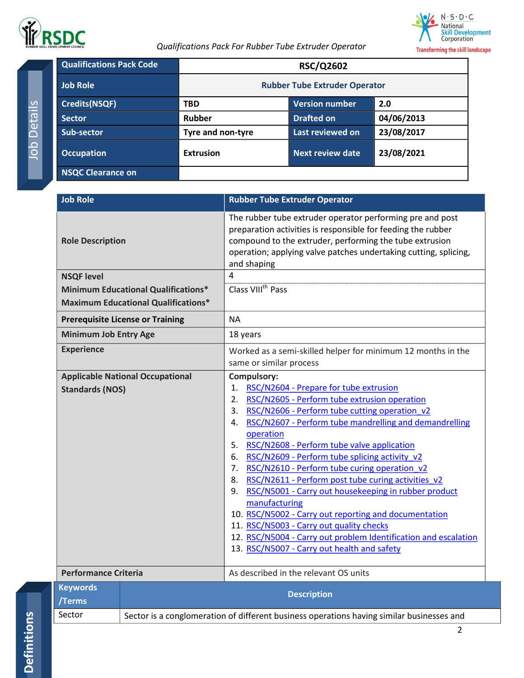

<span id="page-1-0"></span>



| <b>Qualifications Pack Code</b> |                                      | <b>RSC/Q2602</b>  |            |
|---------------------------------|--------------------------------------|-------------------|------------|
| <b>Job Role</b>                 | <b>Rubber Tube Extruder Operator</b> |                   |            |
| <b>Credits(NSQF)</b>            | <b>TBD</b>                           | Version number    | 2.0        |
| <b>Sector</b>                   | <b>Rubber</b>                        | <b>Drafted on</b> | 04/06/2013 |
| <b>Sub-sector</b>               | Tyre and non-tyre                    | Last reviewed on  | 23/08/2017 |
| <b>Occupation</b>               | <b>Extrusion</b>                     | Next review date  | 23/08/2021 |
| <b>NSQC Clearance on</b>        |                                      |                   |            |

<span id="page-1-1"></span>

| <b>Job Role</b>              |                                            | <b>Rubber Tube Extruder Operator</b>                                                                                                                                                                                                                                                                                                                                                                                                                                                                                                                                                                                                                                                                                                                          |  |
|------------------------------|--------------------------------------------|---------------------------------------------------------------------------------------------------------------------------------------------------------------------------------------------------------------------------------------------------------------------------------------------------------------------------------------------------------------------------------------------------------------------------------------------------------------------------------------------------------------------------------------------------------------------------------------------------------------------------------------------------------------------------------------------------------------------------------------------------------------|--|
| <b>Role Description</b>      |                                            | The rubber tube extruder operator performing pre and post<br>preparation activities is responsible for feeding the rubber<br>compound to the extruder, performing the tube extrusion<br>operation; applying valve patches undertaking cutting, splicing,<br>and shaping                                                                                                                                                                                                                                                                                                                                                                                                                                                                                       |  |
| <b>NSQF level</b>            |                                            | $\overline{4}$                                                                                                                                                                                                                                                                                                                                                                                                                                                                                                                                                                                                                                                                                                                                                |  |
|                              | <b>Minimum Educational Qualifications*</b> | Class VIII <sup>th</sup> Pass                                                                                                                                                                                                                                                                                                                                                                                                                                                                                                                                                                                                                                                                                                                                 |  |
|                              | <b>Maximum Educational Qualifications*</b> |                                                                                                                                                                                                                                                                                                                                                                                                                                                                                                                                                                                                                                                                                                                                                               |  |
|                              | <b>Prerequisite License or Training</b>    | <b>NA</b>                                                                                                                                                                                                                                                                                                                                                                                                                                                                                                                                                                                                                                                                                                                                                     |  |
| <b>Minimum Job Entry Age</b> |                                            | 18 years                                                                                                                                                                                                                                                                                                                                                                                                                                                                                                                                                                                                                                                                                                                                                      |  |
| <b>Experience</b>            |                                            | Worked as a semi-skilled helper for minimum 12 months in the<br>same or similar process                                                                                                                                                                                                                                                                                                                                                                                                                                                                                                                                                                                                                                                                       |  |
|                              | <b>Applicable National Occupational</b>    | Compulsory:                                                                                                                                                                                                                                                                                                                                                                                                                                                                                                                                                                                                                                                                                                                                                   |  |
| <b>Standards (NOS)</b>       |                                            | RSC/N2604 - Prepare for tube extrusion<br>1.<br>RSC/N2605 - Perform tube extrusion operation<br>2.<br>RSC/N2606 - Perform tube cutting operation v2<br>3.<br>RSC/N2607 - Perform tube mandrelling and demandrelling<br>4.<br>operation<br>5. RSC/N2608 - Perform tube valve application<br>6. RSC/N2609 - Perform tube splicing activity v2<br>7. RSC/N2610 - Perform tube curing operation_v2<br>8. RSC/N2611 - Perform post tube curing activities v2<br>RSC/N5001 - Carry out housekeeping in rubber product<br>9.<br>manufacturing<br>10. RSC/N5002 - Carry out reporting and documentation<br>11. RSC/N5003 - Carry out quality checks<br>12. RSC/N5004 - Carry out problem Identification and escalation<br>13. RSC/N5007 - Carry out health and safety |  |
| <b>Performance Criteria</b>  |                                            | As described in the relevant OS units                                                                                                                                                                                                                                                                                                                                                                                                                                                                                                                                                                                                                                                                                                                         |  |
| <b>Keywords</b><br>/Terms    |                                            | <b>Description</b>                                                                                                                                                                                                                                                                                                                                                                                                                                                                                                                                                                                                                                                                                                                                            |  |
| Sector                       |                                            | Sector is a conglomeration of different business operations having similar businesses and                                                                                                                                                                                                                                                                                                                                                                                                                                                                                                                                                                                                                                                                     |  |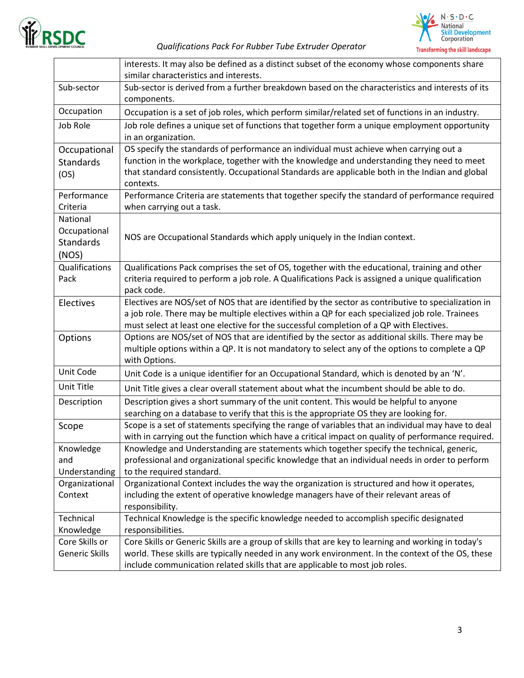

#### *Qualifications Pack For Rubber Tube Extruder Operator*



|                                                       | interests. It may also be defined as a distinct subset of the economy whose components share<br>similar characteristics and interests.                                                                                                                                                               |
|-------------------------------------------------------|------------------------------------------------------------------------------------------------------------------------------------------------------------------------------------------------------------------------------------------------------------------------------------------------------|
| Sub-sector                                            | Sub-sector is derived from a further breakdown based on the characteristics and interests of its<br>components.                                                                                                                                                                                      |
| Occupation                                            | Occupation is a set of job roles, which perform similar/related set of functions in an industry.                                                                                                                                                                                                     |
| Job Role                                              | Job role defines a unique set of functions that together form a unique employment opportunity<br>in an organization.                                                                                                                                                                                 |
| Occupational<br><b>Standards</b><br>(OS)              | OS specify the standards of performance an individual must achieve when carrying out a<br>function in the workplace, together with the knowledge and understanding they need to meet<br>that standard consistently. Occupational Standards are applicable both in the Indian and global<br>contexts. |
| Performance<br>Criteria                               | Performance Criteria are statements that together specify the standard of performance required<br>when carrying out a task.                                                                                                                                                                          |
| National<br>Occupational<br><b>Standards</b><br>(NOS) | NOS are Occupational Standards which apply uniquely in the Indian context.                                                                                                                                                                                                                           |
| Qualifications<br>Pack                                | Qualifications Pack comprises the set of OS, together with the educational, training and other<br>criteria required to perform a job role. A Qualifications Pack is assigned a unique qualification<br>pack code.                                                                                    |
| Electives                                             | Electives are NOS/set of NOS that are identified by the sector as contributive to specialization in<br>a job role. There may be multiple electives within a QP for each specialized job role. Trainees<br>must select at least one elective for the successful completion of a QP with Electives.    |
| Options                                               | Options are NOS/set of NOS that are identified by the sector as additional skills. There may be<br>multiple options within a QP. It is not mandatory to select any of the options to complete a QP<br>with Options.                                                                                  |
| Unit Code                                             | Unit Code is a unique identifier for an Occupational Standard, which is denoted by an 'N'.                                                                                                                                                                                                           |
| Unit Title                                            | Unit Title gives a clear overall statement about what the incumbent should be able to do.                                                                                                                                                                                                            |
| Description                                           | Description gives a short summary of the unit content. This would be helpful to anyone<br>searching on a database to verify that this is the appropriate OS they are looking for.                                                                                                                    |
| Scope                                                 | Scope is a set of statements specifying the range of variables that an individual may have to deal<br>with in carrying out the function which have a critical impact on quality of performance required.                                                                                             |
| Knowledge<br>and<br>Understanding                     | Knowledge and Understanding are statements which together specify the technical, generic,<br>professional and organizational specific knowledge that an individual needs in order to perform<br>to the required standard.                                                                            |
| Organizational<br>Context                             | Organizational Context includes the way the organization is structured and how it operates,<br>including the extent of operative knowledge managers have of their relevant areas of<br>responsibility.                                                                                               |
| Technical<br>Knowledge                                | Technical Knowledge is the specific knowledge needed to accomplish specific designated<br>responsibilities.                                                                                                                                                                                          |
| Core Skills or<br>Generic Skills                      | Core Skills or Generic Skills are a group of skills that are key to learning and working in today's<br>world. These skills are typically needed in any work environment. In the context of the OS, these<br>include communication related skills that are applicable to most job roles.              |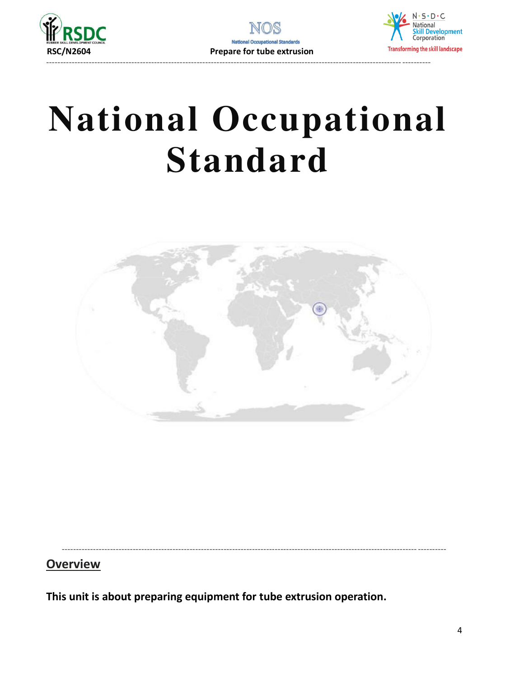



# **National Occupational Standard**

<span id="page-3-0"></span>

<span id="page-3-1"></span>----------------------------------------------------------------------------------------------------------------------------- ----------

# **Overview**

**This unit is about preparing equipment for tube extrusion operation.**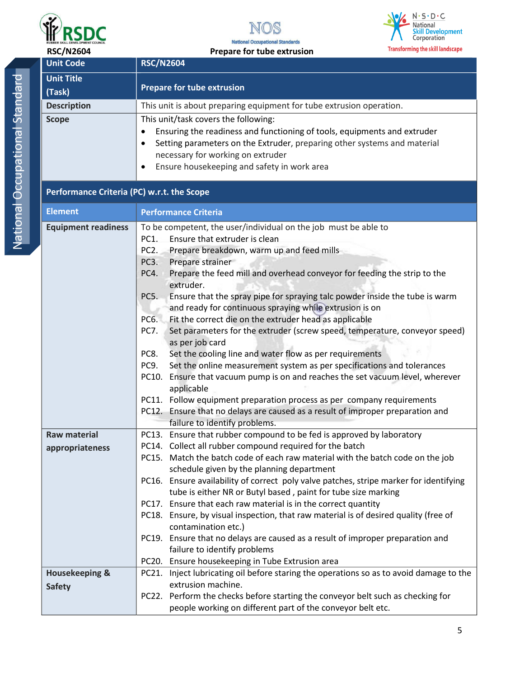





National Occupational Standard National Occupational Standard

|                     | <b>RSC/N2604</b>            | Transforming the skill landscape<br>Prepare for tube extrusion                                                                                                                                                                                                                        |
|---------------------|-----------------------------|---------------------------------------------------------------------------------------------------------------------------------------------------------------------------------------------------------------------------------------------------------------------------------------|
|                     | <b>Unit Code</b>            | <b>RSC/N2604</b>                                                                                                                                                                                                                                                                      |
|                     | <b>Unit Title</b><br>(Task) | Prepare for tube extrusion                                                                                                                                                                                                                                                            |
|                     | <b>Description</b>          | This unit is about preparing equipment for tube extrusion operation.                                                                                                                                                                                                                  |
| bubational Standard | <b>Scope</b>                | This unit/task covers the following:<br>Ensuring the readiness and functioning of tools, equipments and extruder<br>Setting parameters on the Extruder, preparing other systems and material<br>necessary for working on extruder<br>Ensure housekeeping and safety in work area<br>٠ |

## **Performance Criteria (PC) w.r.t. the Scope**

| <b>Element</b>                                                         | <b>Performance Criteria</b>                                                                                 |
|------------------------------------------------------------------------|-------------------------------------------------------------------------------------------------------------|
| <b>Equipment readiness</b>                                             | To be competent, the user/individual on the job must be able to                                             |
|                                                                        | Ensure that extruder is clean<br>PC1.                                                                       |
|                                                                        | Prepare breakdown, warm up and feed mills<br>PC <sub>2</sub> .                                              |
|                                                                        | PC3.<br>Prepare strainer                                                                                    |
|                                                                        | Prepare the feed mill and overhead conveyor for feeding the strip to the<br>PC4.<br>extruder.               |
|                                                                        | PC5.<br>Ensure that the spray pipe for spraying talc powder inside the tube is warm                         |
|                                                                        | and ready for continuous spraying while extrusion is on                                                     |
|                                                                        | Fit the correct die on the extruder head as applicable<br>PC6.                                              |
|                                                                        | PC7.<br>Set parameters for the extruder (screw speed, temperature, conveyor speed)<br>as per job card       |
|                                                                        | Set the cooling line and water flow as per requirements<br>PC8.                                             |
|                                                                        | PC9.<br>Set the online measurement system as per specifications and tolerances                              |
|                                                                        | PC10. Ensure that vacuum pump is on and reaches the set vacuum level, wherever<br>applicable                |
| PC11. Follow equipment preparation process as per company requirements |                                                                                                             |
|                                                                        | PC12. Ensure that no delays are caused as a result of improper preparation and                              |
|                                                                        | failure to identify problems.                                                                               |
| <b>Raw material</b>                                                    | PC13. Ensure that rubber compound to be fed is approved by laboratory                                       |
| appropriateness                                                        | PC14. Collect all rubber compound required for the batch                                                    |
|                                                                        | PC15. Match the batch code of each raw material with the batch code on the job                              |
|                                                                        | schedule given by the planning department                                                                   |
|                                                                        | PC16. Ensure availability of correct poly valve patches, stripe marker for identifying                      |
|                                                                        | tube is either NR or Butyl based, paint for tube size marking                                               |
|                                                                        | PC17. Ensure that each raw material is in the correct quantity                                              |
|                                                                        | PC18. Ensure, by visual inspection, that raw material is of desired quality (free of<br>contamination etc.) |
|                                                                        | PC19. Ensure that no delays are caused as a result of improper preparation and                              |
|                                                                        | failure to identify problems                                                                                |
|                                                                        | PC20. Ensure housekeeping in Tube Extrusion area                                                            |
| <b>Housekeeping &amp;</b>                                              | PC21. Inject lubricating oil before staring the operations so as to avoid damage to the                     |
| <b>Safety</b>                                                          | extrusion machine.                                                                                          |
|                                                                        | PC22. Perform the checks before starting the conveyor belt such as checking for                             |
|                                                                        | people working on different part of the conveyor belt etc.                                                  |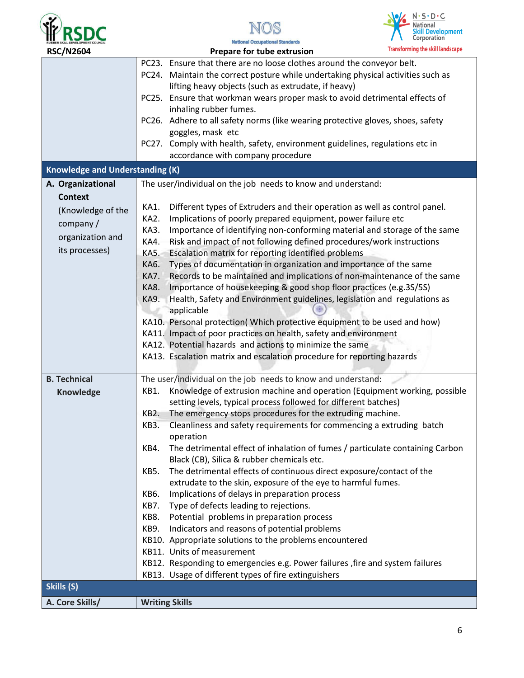





| <b>RSC/N2604</b>                       |             | Prepare for tube extrusion                                                       | <b>Transforming the skill landscape</b> |
|----------------------------------------|-------------|----------------------------------------------------------------------------------|-----------------------------------------|
|                                        |             | PC23. Ensure that there are no loose clothes around the conveyor belt.           |                                         |
|                                        |             | PC24. Maintain the correct posture while undertaking physical activities such as |                                         |
|                                        |             | lifting heavy objects (such as extrudate, if heavy)                              |                                         |
|                                        |             | PC25. Ensure that workman wears proper mask to avoid detrimental effects of      |                                         |
|                                        |             | inhaling rubber fumes.                                                           |                                         |
|                                        |             | PC26. Adhere to all safety norms (like wearing protective gloves, shoes, safety  |                                         |
| goggles, mask etc                      |             |                                                                                  |                                         |
|                                        |             | PC27. Comply with health, safety, environment guidelines, regulations etc in     |                                         |
|                                        |             | accordance with company procedure                                                |                                         |
| <b>Knowledge and Understanding (K)</b> |             |                                                                                  |                                         |
| A. Organizational                      |             | The user/individual on the job needs to know and understand:                     |                                         |
| <b>Context</b>                         |             |                                                                                  |                                         |
| (Knowledge of the                      | KA1.        | Different types of Extruders and their operation as well as control panel.       |                                         |
|                                        | KA2.        | Implications of poorly prepared equipment, power failure etc                     |                                         |
| company/                               | KA3.        | Importance of identifying non-conforming material and storage of the same        |                                         |
| organization and                       | KA4.        | Risk and impact of not following defined procedures/work instructions            |                                         |
| its processes)                         | KA5.        | Escalation matrix for reporting identified problems                              |                                         |
|                                        | KA6.        | Types of documentation in organization and importance of the same                |                                         |
|                                        | KA7.        | Records to be maintained and implications of non-maintenance of the same         |                                         |
|                                        | <b>KA8.</b> | Importance of housekeeping & good shop floor practices (e.g.3S/5S)               |                                         |
|                                        | <b>KA9.</b> | Health, Safety and Environment guidelines, legislation and regulations as        |                                         |
|                                        |             | applicable                                                                       |                                         |
|                                        |             | KA10. Personal protection( Which protective equipment to be used and how)        |                                         |
|                                        |             | KA11. Impact of poor practices on health, safety and environment                 |                                         |
|                                        |             | KA12. Potential hazards and actions to minimize the same                         |                                         |
|                                        |             | KA13. Escalation matrix and escalation procedure for reporting hazards           |                                         |
|                                        |             |                                                                                  |                                         |
| <b>B. Technical</b>                    |             | The user/individual on the job needs to know and understand:                     |                                         |
| Knowledge                              | KB1.        | Knowledge of extrusion machine and operation (Equipment working, possible        |                                         |
|                                        |             | setting levels, typical process followed for different batches)                  |                                         |
|                                        | KB2.        | The emergency stops procedures for the extruding machine.                        |                                         |
|                                        | KB3.        | Cleanliness and safety requirements for commencing a extruding batch             |                                         |
|                                        |             | operation                                                                        |                                         |
|                                        | KB4.        | The detrimental effect of inhalation of fumes / particulate containing Carbon    |                                         |
|                                        |             | Black (CB), Silica & rubber chemicals etc.                                       |                                         |
|                                        | KB5.        | The detrimental effects of continuous direct exposure/contact of the             |                                         |
|                                        |             | extrudate to the skin, exposure of the eye to harmful fumes.                     |                                         |
|                                        | KB6.        | Implications of delays in preparation process                                    |                                         |
|                                        | KB7.        | Type of defects leading to rejections.                                           |                                         |
|                                        | KB8.        | Potential problems in preparation process                                        |                                         |
|                                        | KB9.        | Indicators and reasons of potential problems                                     |                                         |
|                                        |             | KB10. Appropriate solutions to the problems encountered                          |                                         |
|                                        |             | KB11. Units of measurement                                                       |                                         |
|                                        |             | KB12. Responding to emergencies e.g. Power failures, fire and system failures    |                                         |
|                                        |             | KB13. Usage of different types of fire extinguishers                             |                                         |
| Skills (S)                             |             |                                                                                  |                                         |
| A. Core Skills/                        |             | <b>Writing Skills</b>                                                            |                                         |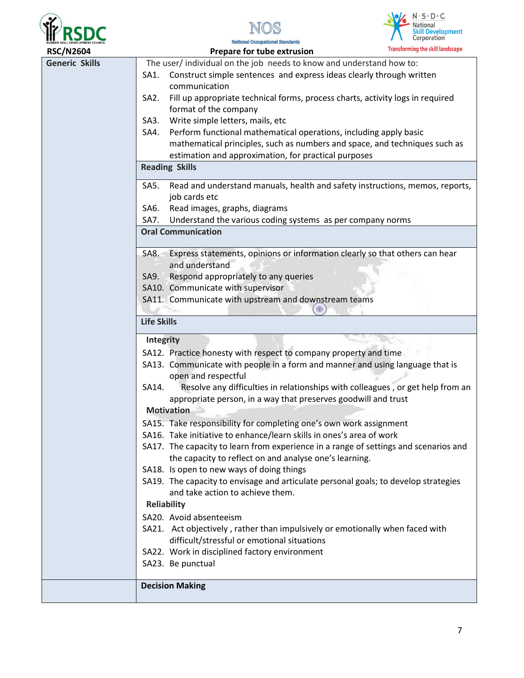





| <b>RSC/N2604</b>      |                    | Prepare for tube extrusion                                                                            | <b>Transforming the skill landscape</b> |
|-----------------------|--------------------|-------------------------------------------------------------------------------------------------------|-----------------------------------------|
| <b>Generic Skills</b> |                    | The user/individual on the job needs to know and understand how to:                                   |                                         |
|                       | SA1.               | Construct simple sentences and express ideas clearly through written                                  |                                         |
|                       |                    | communication                                                                                         |                                         |
|                       | SA <sub>2</sub> .  | Fill up appropriate technical forms, process charts, activity logs in required                        |                                         |
|                       |                    | format of the company                                                                                 |                                         |
|                       | SA3.               | Write simple letters, mails, etc                                                                      |                                         |
|                       | SA4.               | Perform functional mathematical operations, including apply basic                                     |                                         |
|                       |                    | mathematical principles, such as numbers and space, and techniques such as                            |                                         |
|                       |                    | estimation and approximation, for practical purposes                                                  |                                         |
|                       |                    | <b>Reading Skills</b>                                                                                 |                                         |
|                       | SA5.               | Read and understand manuals, health and safety instructions, memos, reports,                          |                                         |
|                       |                    | job cards etc                                                                                         |                                         |
|                       | SA6.               | Read images, graphs, diagrams                                                                         |                                         |
|                       | SA7.               | Understand the various coding systems as per company norms                                            |                                         |
|                       |                    | <b>Oral Communication</b>                                                                             |                                         |
|                       | SA8.               | Express statements, opinions or information clearly so that others can hear                           |                                         |
|                       |                    | and understand                                                                                        |                                         |
|                       | SA9.               | Respond appropriately to any queries                                                                  |                                         |
|                       |                    | SA10. Communicate with supervisor                                                                     |                                         |
|                       |                    | SA11. Communicate with upstream and downstream teams                                                  |                                         |
|                       | <b>Life Skills</b> |                                                                                                       |                                         |
|                       | <b>Integrity</b>   |                                                                                                       |                                         |
|                       |                    | SA12. Practice honesty with respect to company property and time                                      |                                         |
|                       |                    | SA13. Communicate with people in a form and manner and using language that is                         |                                         |
|                       | SA14.              | open and respectful<br>Resolve any difficulties in relationships with colleagues, or get help from an |                                         |
|                       |                    | appropriate person, in a way that preserves goodwill and trust                                        |                                         |
|                       |                    | <b>Motivation</b>                                                                                     |                                         |
|                       |                    | SA15. Take responsibility for completing one's own work assignment                                    |                                         |
|                       |                    | SA16. Take initiative to enhance/learn skills in ones's area of work                                  |                                         |
|                       |                    | SA17. The capacity to learn from experience in a range of settings and scenarios and                  |                                         |
|                       |                    | the capacity to reflect on and analyse one's learning.                                                |                                         |
|                       |                    | SA18. Is open to new ways of doing things                                                             |                                         |
|                       |                    | SA19. The capacity to envisage and articulate personal goals; to develop strategies                   |                                         |
|                       |                    | and take action to achieve them.                                                                      |                                         |
|                       |                    | <b>Reliability</b>                                                                                    |                                         |
|                       |                    | SA20. Avoid absenteeism                                                                               |                                         |
|                       |                    | SA21. Act objectively, rather than impulsively or emotionally when faced with                         |                                         |
|                       |                    | difficult/stressful or emotional situations                                                           |                                         |
|                       |                    | SA22. Work in disciplined factory environment                                                         |                                         |
|                       |                    | SA23. Be punctual                                                                                     |                                         |
|                       |                    | <b>Decision Making</b>                                                                                |                                         |
|                       |                    |                                                                                                       |                                         |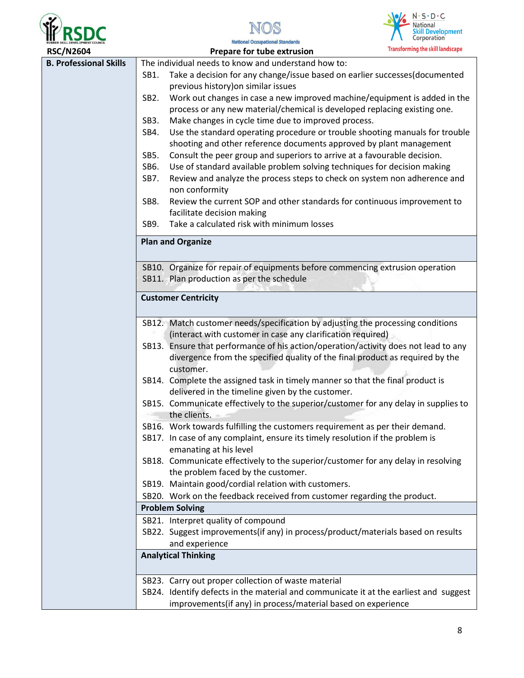





| <b>RSC/N2604</b>              | <b>Transforming the skill landscape</b><br>Prepare for tube extrusion                                                                                       |
|-------------------------------|-------------------------------------------------------------------------------------------------------------------------------------------------------------|
| <b>B. Professional Skills</b> | The individual needs to know and understand how to:                                                                                                         |
|                               | Take a decision for any change/issue based on earlier successes(documented<br>SB1.                                                                          |
|                               | previous history) on similar issues                                                                                                                         |
|                               | Work out changes in case a new improved machine/equipment is added in the<br>SB <sub>2</sub> .                                                              |
|                               | process or any new material/chemical is developed replacing existing one.                                                                                   |
|                               | Make changes in cycle time due to improved process.<br>SB <sub>3</sub> .                                                                                    |
|                               | Use the standard operating procedure or trouble shooting manuals for trouble<br>SB4.<br>shooting and other reference documents approved by plant management |
|                               | Consult the peer group and superiors to arrive at a favourable decision.<br>SB5.                                                                            |
|                               | Use of standard available problem solving techniques for decision making<br>SB6.                                                                            |
|                               | SB7.<br>Review and analyze the process steps to check on system non adherence and                                                                           |
|                               | non conformity                                                                                                                                              |
|                               | Review the current SOP and other standards for continuous improvement to<br>SB8.                                                                            |
|                               | facilitate decision making                                                                                                                                  |
|                               | Take a calculated risk with minimum losses<br>SB9.                                                                                                          |
|                               | <b>Plan and Organize</b>                                                                                                                                    |
|                               | SB10. Organize for repair of equipments before commencing extrusion operation                                                                               |
|                               | SB11. Plan production as per the schedule                                                                                                                   |
|                               |                                                                                                                                                             |
|                               | <b>Customer Centricity</b>                                                                                                                                  |
|                               | SB12. Match customer needs/specification by adjusting the processing conditions                                                                             |
|                               | (interact with customer in case any clarification required)                                                                                                 |
|                               | SB13. Ensure that performance of his action/operation/activity does not lead to any                                                                         |
|                               | divergence from the specified quality of the final product as required by the<br>customer.                                                                  |
|                               | SB14. Complete the assigned task in timely manner so that the final product is                                                                              |
|                               | delivered in the timeline given by the customer.<br>SB15. Communicate effectively to the superior/customer for any delay in supplies to                     |
|                               | the clients.                                                                                                                                                |
|                               | SB16. Work towards fulfilling the customers requirement as per their demand.                                                                                |
|                               | SB17. In case of any complaint, ensure its timely resolution if the problem is                                                                              |
|                               | emanating at his level                                                                                                                                      |
|                               | SB18. Communicate effectively to the superior/customer for any delay in resolving<br>the problem faced by the customer.                                     |
|                               | SB19. Maintain good/cordial relation with customers.                                                                                                        |
|                               | SB20. Work on the feedback received from customer regarding the product.                                                                                    |
|                               | <b>Problem Solving</b>                                                                                                                                      |
|                               | SB21. Interpret quality of compound                                                                                                                         |
|                               | SB22. Suggest improvements(if any) in process/product/materials based on results                                                                            |
|                               | and experience                                                                                                                                              |
|                               | <b>Analytical Thinking</b>                                                                                                                                  |
|                               | SB23. Carry out proper collection of waste material                                                                                                         |
|                               | SB24. Identify defects in the material and communicate it at the earliest and suggest                                                                       |
|                               | improvements(if any) in process/material based on experience                                                                                                |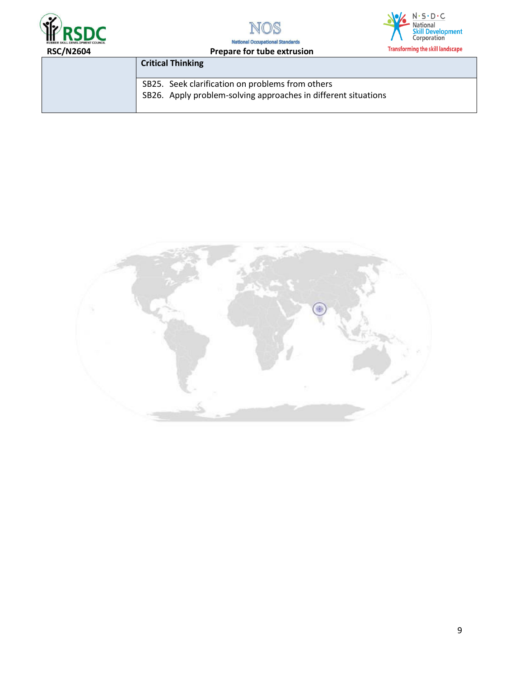





| <b>RSC/N2604</b> | Prepare for tube extrusion                                                                                         | <b>Hansioning the skill landscape</b> |
|------------------|--------------------------------------------------------------------------------------------------------------------|---------------------------------------|
|                  | <b>Critical Thinking</b>                                                                                           |                                       |
|                  | SB25. Seek clarification on problems from others<br>SB26. Apply problem-solving approaches in different situations |                                       |

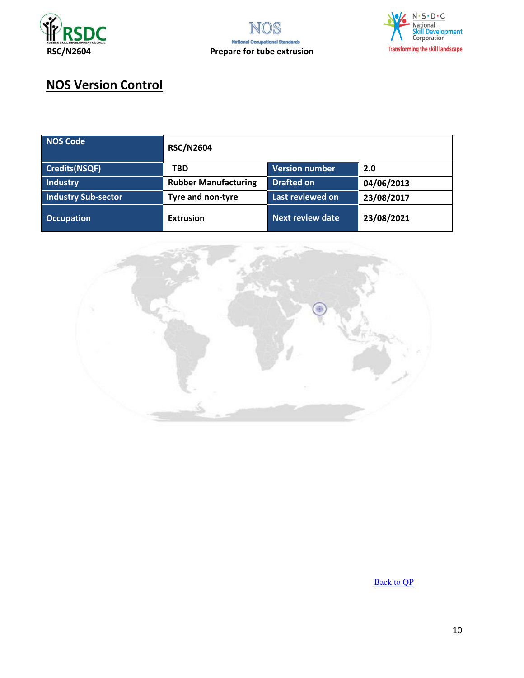



# **NOS Version Control**

| <b>NOS Code</b>      | <b>RSC/N2604</b>            |                       |            |
|----------------------|-----------------------------|-----------------------|------------|
| <b>Credits(NSQF)</b> | <b>TBD</b>                  | <b>Version number</b> | 2.0        |
| Industry             | <b>Rubber Manufacturing</b> | <b>Drafted on</b>     | 04/06/2013 |
| Industry Sub-sector  | <b>Tyre and non-tyre</b>    | Last reviewed on      | 23/08/2017 |
| <b>Occupation</b>    | <b>Extrusion</b>            | Next review date      | 23/08/2021 |



[Back to QP](#page-1-0)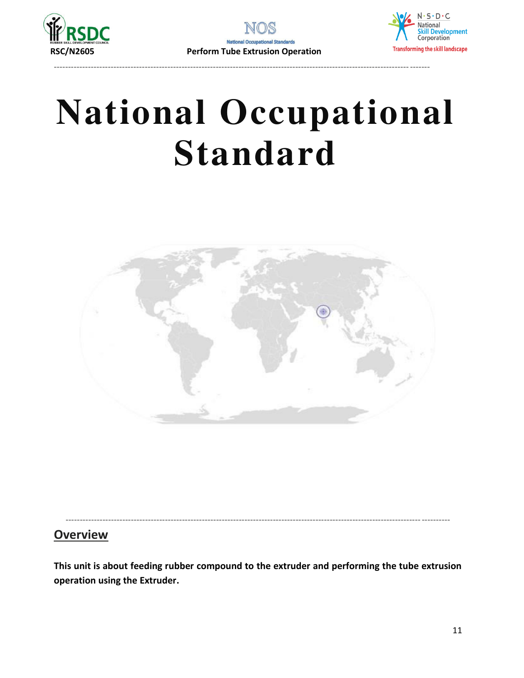

----------------------------------------------------------------------------------------------------------------------------- -------



# **National Occupational Standard**

<span id="page-10-0"></span>

----------------------------------------------------------------------------------------------------------------------------- ----------

# **Overview**

**This unit is about feeding rubber compound to the extruder and performing the tube extrusion operation using the Extruder.**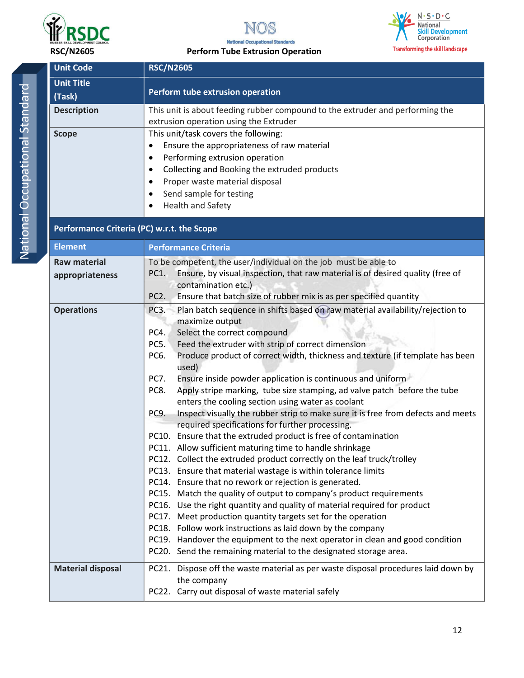





#### **National Occupational Standards RSC/N2605 Perform Tube Extrusion Operation**

| I |
|---|
|   |
| ï |
|   |
|   |
|   |
|   |
|   |
|   |
|   |
|   |
|   |
|   |
| Ï |
|   |
| I |
|   |
|   |
|   |
|   |
|   |
|   |
|   |
|   |
|   |

| <b>Unit Code</b>                           | <b>RSC/N2605</b>                                                                                                                                                                                                                                                                                                                                                                                                                                                                                                                                                                                                                                                                                                                                                                                                                                                                                                                                                                                                                                                                                                                                                                                                                                                                                                                                                                                                                                         |  |  |  |
|--------------------------------------------|----------------------------------------------------------------------------------------------------------------------------------------------------------------------------------------------------------------------------------------------------------------------------------------------------------------------------------------------------------------------------------------------------------------------------------------------------------------------------------------------------------------------------------------------------------------------------------------------------------------------------------------------------------------------------------------------------------------------------------------------------------------------------------------------------------------------------------------------------------------------------------------------------------------------------------------------------------------------------------------------------------------------------------------------------------------------------------------------------------------------------------------------------------------------------------------------------------------------------------------------------------------------------------------------------------------------------------------------------------------------------------------------------------------------------------------------------------|--|--|--|
| <b>Unit Title</b>                          |                                                                                                                                                                                                                                                                                                                                                                                                                                                                                                                                                                                                                                                                                                                                                                                                                                                                                                                                                                                                                                                                                                                                                                                                                                                                                                                                                                                                                                                          |  |  |  |
| (Task)                                     | Perform tube extrusion operation                                                                                                                                                                                                                                                                                                                                                                                                                                                                                                                                                                                                                                                                                                                                                                                                                                                                                                                                                                                                                                                                                                                                                                                                                                                                                                                                                                                                                         |  |  |  |
| <b>Description</b>                         | This unit is about feeding rubber compound to the extruder and performing the<br>extrusion operation using the Extruder                                                                                                                                                                                                                                                                                                                                                                                                                                                                                                                                                                                                                                                                                                                                                                                                                                                                                                                                                                                                                                                                                                                                                                                                                                                                                                                                  |  |  |  |
| <b>Scope</b>                               | This unit/task covers the following:<br>Ensure the appropriateness of raw material<br>$\bullet$<br>Performing extrusion operation<br>$\bullet$<br>Collecting and Booking the extruded products<br>$\bullet$<br>Proper waste material disposal<br>$\bullet$<br>Send sample for testing<br>$\bullet$<br>Health and Safety                                                                                                                                                                                                                                                                                                                                                                                                                                                                                                                                                                                                                                                                                                                                                                                                                                                                                                                                                                                                                                                                                                                                  |  |  |  |
| Performance Criteria (PC) w.r.t. the Scope |                                                                                                                                                                                                                                                                                                                                                                                                                                                                                                                                                                                                                                                                                                                                                                                                                                                                                                                                                                                                                                                                                                                                                                                                                                                                                                                                                                                                                                                          |  |  |  |
| <b>Element</b>                             | <b>Performance Criteria</b>                                                                                                                                                                                                                                                                                                                                                                                                                                                                                                                                                                                                                                                                                                                                                                                                                                                                                                                                                                                                                                                                                                                                                                                                                                                                                                                                                                                                                              |  |  |  |
| <b>Raw material</b><br>appropriateness     | To be competent, the user/individual on the job must be able to<br>Ensure, by visual inspection, that raw material is of desired quality (free of<br>PC1.<br>contamination etc.)<br>PC <sub>2</sub> .<br>Ensure that batch size of rubber mix is as per specified quantity                                                                                                                                                                                                                                                                                                                                                                                                                                                                                                                                                                                                                                                                                                                                                                                                                                                                                                                                                                                                                                                                                                                                                                               |  |  |  |
| <b>Operations</b>                          | Plan batch sequence in shifts based on raw material availability/rejection to<br>PC3.<br>maximize output<br>PC4.<br>Select the correct compound<br>Feed the extruder with strip of correct dimension<br>PC5.<br>PC6.<br>Produce product of correct width, thickness and texture (if template has been<br>used)<br>Ensure inside powder application is continuous and uniform<br>PC7.<br>Apply stripe marking, tube size stamping, ad valve patch before the tube<br>PC8.<br>enters the cooling section using water as coolant<br>PC9.<br>Inspect visually the rubber strip to make sure it is free from defects and meets<br>required specifications for further processing.<br>PC10. Ensure that the extruded product is free of contamination<br>PC11. Allow sufficient maturing time to handle shrinkage<br>PC12. Collect the extruded product correctly on the leaf truck/trolley<br>PC13. Ensure that material wastage is within tolerance limits<br>PC14. Ensure that no rework or rejection is generated.<br>PC15. Match the quality of output to company's product requirements<br>PC16. Use the right quantity and quality of material required for product<br>PC17. Meet production quantity targets set for the operation<br>PC18. Follow work instructions as laid down by the company<br>PC19. Handover the equipment to the next operator in clean and good condition<br>PC20. Send the remaining material to the designated storage area. |  |  |  |
| <b>Material disposal</b>                   | PC21. Dispose off the waste material as per waste disposal procedures laid down by<br>the company<br>PC22. Carry out disposal of waste material safely                                                                                                                                                                                                                                                                                                                                                                                                                                                                                                                                                                                                                                                                                                                                                                                                                                                                                                                                                                                                                                                                                                                                                                                                                                                                                                   |  |  |  |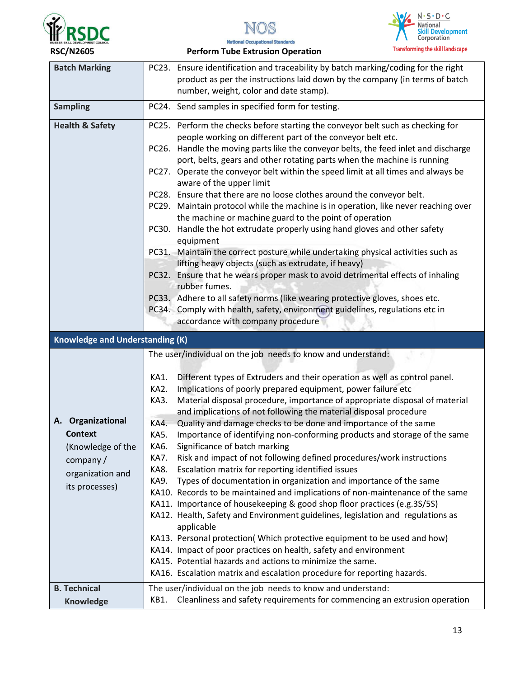





**National Occupational Standards RSC/N2605 Perform Tube Extrusion Operation** 

| <b>Batch Marking</b>                                                                                                                                 | PC23. Ensure identification and traceability by batch marking/coding for the right<br>product as per the instructions laid down by the company (in terms of batch<br>number, weight, color and date stamp).                                                                                                                                                                                                                                                                                                                                                                                                                                                                                                                                                                                                                                                                                                                                                                                                                                                                                                                                                                                                                                                                                                                                                                        |
|------------------------------------------------------------------------------------------------------------------------------------------------------|------------------------------------------------------------------------------------------------------------------------------------------------------------------------------------------------------------------------------------------------------------------------------------------------------------------------------------------------------------------------------------------------------------------------------------------------------------------------------------------------------------------------------------------------------------------------------------------------------------------------------------------------------------------------------------------------------------------------------------------------------------------------------------------------------------------------------------------------------------------------------------------------------------------------------------------------------------------------------------------------------------------------------------------------------------------------------------------------------------------------------------------------------------------------------------------------------------------------------------------------------------------------------------------------------------------------------------------------------------------------------------|
| <b>Sampling</b>                                                                                                                                      | PC24. Send samples in specified form for testing.                                                                                                                                                                                                                                                                                                                                                                                                                                                                                                                                                                                                                                                                                                                                                                                                                                                                                                                                                                                                                                                                                                                                                                                                                                                                                                                                  |
| <b>Health &amp; Safety</b>                                                                                                                           | Perform the checks before starting the conveyor belt such as checking for<br>PC25.<br>people working on different part of the conveyor belt etc.<br>PC26. Handle the moving parts like the conveyor belts, the feed inlet and discharge<br>port, belts, gears and other rotating parts when the machine is running<br>PC27. Operate the conveyor belt within the speed limit at all times and always be<br>aware of the upper limit<br>PC28. Ensure that there are no loose clothes around the conveyor belt.<br>PC29. Maintain protocol while the machine is in operation, like never reaching over<br>the machine or machine guard to the point of operation<br>Handle the hot extrudate properly using hand gloves and other safety<br>PC30.<br>equipment<br>PC31. Maintain the correct posture while undertaking physical activities such as<br>lifting heavy objects (such as extrudate, if heavy)<br>Ensure that he wears proper mask to avoid detrimental effects of inhaling<br>PC32.<br>rubber fumes.<br>PC33. Adhere to all safety norms (like wearing protective gloves, shoes etc.<br>PC34. Comply with health, safety, environment guidelines, regulations etc in<br>accordance with company procedure                                                                                                                                                                |
|                                                                                                                                                      |                                                                                                                                                                                                                                                                                                                                                                                                                                                                                                                                                                                                                                                                                                                                                                                                                                                                                                                                                                                                                                                                                                                                                                                                                                                                                                                                                                                    |
|                                                                                                                                                      |                                                                                                                                                                                                                                                                                                                                                                                                                                                                                                                                                                                                                                                                                                                                                                                                                                                                                                                                                                                                                                                                                                                                                                                                                                                                                                                                                                                    |
| <b>Knowledge and Understanding (K)</b><br>A. Organizational<br><b>Context</b><br>(Knowledge of the<br>company/<br>organization and<br>its processes) | The user/individual on the job needs to know and understand:<br>Different types of Extruders and their operation as well as control panel.<br>KA1.<br>Implications of poorly prepared equipment, power failure etc<br>KA2.<br>Material disposal procedure, importance of appropriate disposal of material<br>KA3.<br>and implications of not following the material disposal procedure<br>Quality and damage checks to be done and importance of the same<br>KA4.<br>Importance of identifying non-conforming products and storage of the same<br>KA5.<br>Significance of batch marking<br>KA6.<br>Risk and impact of not following defined procedures/work instructions<br>KA7.<br>Escalation matrix for reporting identified issues<br>KA8.<br>Types of documentation in organization and importance of the same<br>KA9.<br>KA10. Records to be maintained and implications of non-maintenance of the same<br>KA11. Importance of housekeeping & good shop floor practices (e.g.3S/5S)<br>KA12. Health, Safety and Environment guidelines, legislation and regulations as<br>applicable<br>KA13. Personal protection( Which protective equipment to be used and how)<br>KA14. Impact of poor practices on health, safety and environment<br>KA15. Potential hazards and actions to minimize the same.<br>KA16. Escalation matrix and escalation procedure for reporting hazards. |
| <b>B. Technical</b><br><b>Knowledge</b>                                                                                                              | The user/individual on the job needs to know and understand:<br>KB1. Cleanliness and safety requirements for commencing an extrusion operation                                                                                                                                                                                                                                                                                                                                                                                                                                                                                                                                                                                                                                                                                                                                                                                                                                                                                                                                                                                                                                                                                                                                                                                                                                     |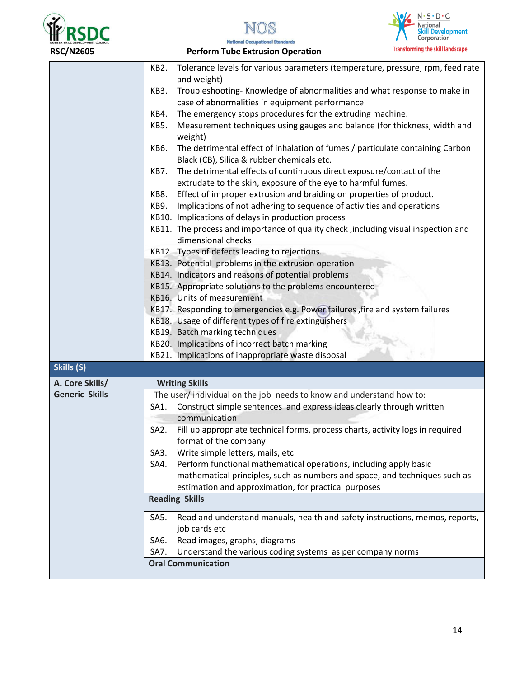





| <b>RSC/N2605</b>      | <b>Perform Tube Extrusion Operation</b>                                                                                                      | <b>Transforming the skill landscape</b> |
|-----------------------|----------------------------------------------------------------------------------------------------------------------------------------------|-----------------------------------------|
|                       | Tolerance levels for various parameters (temperature, pressure, rpm, feed rate<br>KB2.                                                       |                                         |
|                       | and weight)                                                                                                                                  |                                         |
|                       | Troubleshooting-Knowledge of abnormalities and what response to make in<br>KB3.                                                              |                                         |
|                       | case of abnormalities in equipment performance                                                                                               |                                         |
|                       | The emergency stops procedures for the extruding machine.<br>KB4.                                                                            |                                         |
|                       | Measurement techniques using gauges and balance (for thickness, width and<br>KB5.<br>weight)                                                 |                                         |
|                       | KB6.<br>The detrimental effect of inhalation of fumes / particulate containing Carbon<br>Black (CB), Silica & rubber chemicals etc.          |                                         |
|                       | The detrimental effects of continuous direct exposure/contact of the<br>KB7.<br>extrudate to the skin, exposure of the eye to harmful fumes. |                                         |
|                       | Effect of improper extrusion and braiding on properties of product.<br>KB8.                                                                  |                                         |
|                       | Implications of not adhering to sequence of activities and operations<br>KB9.                                                                |                                         |
|                       | KB10. Implications of delays in production process                                                                                           |                                         |
|                       | KB11. The process and importance of quality check, including visual inspection and<br>dimensional checks                                     |                                         |
|                       | KB12. Types of defects leading to rejections.                                                                                                |                                         |
|                       | KB13. Potential problems in the extrusion operation                                                                                          |                                         |
|                       | KB14. Indicators and reasons of potential problems                                                                                           |                                         |
|                       | KB15. Appropriate solutions to the problems encountered                                                                                      |                                         |
|                       | KB16. Units of measurement                                                                                                                   |                                         |
|                       | KB17. Responding to emergencies e.g. Power failures, fire and system failures                                                                |                                         |
|                       | KB18. Usage of different types of fire extinguishers                                                                                         |                                         |
|                       | KB19. Batch marking techniques                                                                                                               |                                         |
|                       | KB20. Implications of incorrect batch marking                                                                                                |                                         |
|                       | KB21. Implications of inappropriate waste disposal                                                                                           |                                         |
| Skills (S)            |                                                                                                                                              |                                         |
| A. Core Skills/       | <b>Writing Skills</b>                                                                                                                        |                                         |
| <b>Generic Skills</b> | The user/individual on the job needs to know and understand how to:                                                                          |                                         |
|                       | Construct simple sentences and express ideas clearly through written<br>SA1.                                                                 |                                         |
|                       | communication                                                                                                                                |                                         |
|                       | SA <sub>2</sub> .<br>Fill up appropriate technical forms, process charts, activity logs in required<br>format of the company                 |                                         |
|                       | Write simple letters, mails, etc<br>SA3.                                                                                                     |                                         |
|                       | Perform functional mathematical operations, including apply basic<br>SA4.                                                                    |                                         |
|                       | mathematical principles, such as numbers and space, and techniques such as                                                                   |                                         |
|                       | estimation and approximation, for practical purposes                                                                                         |                                         |
|                       | <b>Reading Skills</b>                                                                                                                        |                                         |
|                       | SA5.<br>Read and understand manuals, health and safety instructions, memos, reports,<br>job cards etc                                        |                                         |
|                       | Read images, graphs, diagrams<br>SA6.                                                                                                        |                                         |
|                       | Understand the various coding systems as per company norms<br>SA7.                                                                           |                                         |
|                       | <b>Oral Communication</b>                                                                                                                    |                                         |
|                       |                                                                                                                                              |                                         |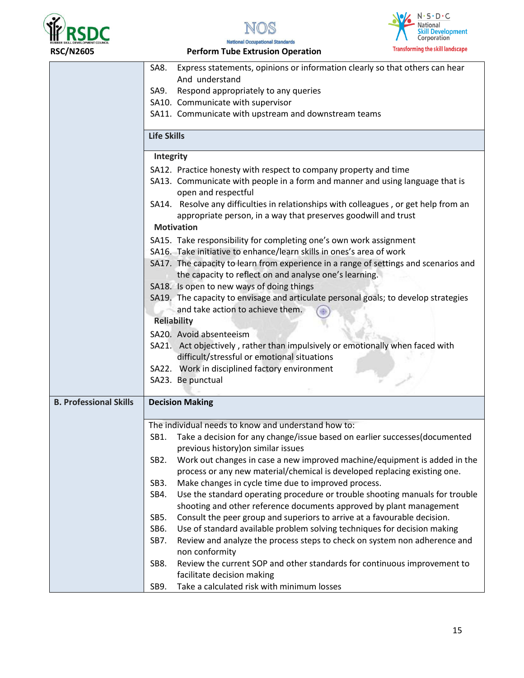





| Express statements, opinions or information clearly so that others can hear<br>SA8.                  |  |  |  |
|------------------------------------------------------------------------------------------------------|--|--|--|
| And understand                                                                                       |  |  |  |
| Respond appropriately to any queries<br>SA9.                                                         |  |  |  |
| SA10. Communicate with supervisor                                                                    |  |  |  |
| SA11. Communicate with upstream and downstream teams                                                 |  |  |  |
| <b>Life Skills</b>                                                                                   |  |  |  |
| Integrity                                                                                            |  |  |  |
| SA12. Practice honesty with respect to company property and time                                     |  |  |  |
| SA13. Communicate with people in a form and manner and using language that is<br>open and respectful |  |  |  |
| SA14. Resolve any difficulties in relationships with colleagues, or get help from an                 |  |  |  |
| appropriate person, in a way that preserves goodwill and trust                                       |  |  |  |
| <b>Motivation</b>                                                                                    |  |  |  |
| SA15. Take responsibility for completing one's own work assignment                                   |  |  |  |
| SA16. Take initiative to enhance/learn skills in ones's area of work                                 |  |  |  |
| SA17. The capacity to learn from experience in a range of settings and scenarios and                 |  |  |  |
| the capacity to reflect on and analyse one's learning.                                               |  |  |  |
| SA18. Is open to new ways of doing things                                                            |  |  |  |
| SA19. The capacity to envisage and articulate personal goals; to develop strategies                  |  |  |  |
| and take action to achieve them.                                                                     |  |  |  |
| <b>Reliability</b>                                                                                   |  |  |  |
| SA20. Avoid absenteeism                                                                              |  |  |  |
| SA21. Act objectively, rather than impulsively or emotionally when faced with                        |  |  |  |
| difficult/stressful or emotional situations                                                          |  |  |  |
| SA22. Work in disciplined factory environment                                                        |  |  |  |
| SA23. Be punctual                                                                                    |  |  |  |
| <b>Decision Making</b>                                                                               |  |  |  |
|                                                                                                      |  |  |  |
| The individual needs to know and understand how to:                                                  |  |  |  |
| Take a decision for any change/issue based on earlier successes (documented<br>SB1.                  |  |  |  |
| previous history) on similar issues                                                                  |  |  |  |
| Work out changes in case a new improved machine/equipment is added in the<br>SB <sub>2</sub> .       |  |  |  |
| process or any new material/chemical is developed replacing existing one.                            |  |  |  |
| Make changes in cycle time due to improved process.<br>SB <sub>3</sub> .                             |  |  |  |
| Use the standard operating procedure or trouble shooting manuals for trouble<br>SB4.                 |  |  |  |
| shooting and other reference documents approved by plant management                                  |  |  |  |
| SB5.<br>Consult the peer group and superiors to arrive at a favourable decision.                     |  |  |  |
| SB6.<br>Use of standard available problem solving techniques for decision making                     |  |  |  |
| SB7.<br>Review and analyze the process steps to check on system non adherence and<br>non conformity  |  |  |  |
| Review the current SOP and other standards for continuous improvement to<br>SB8.                     |  |  |  |
| facilitate decision making                                                                           |  |  |  |
|                                                                                                      |  |  |  |
|                                                                                                      |  |  |  |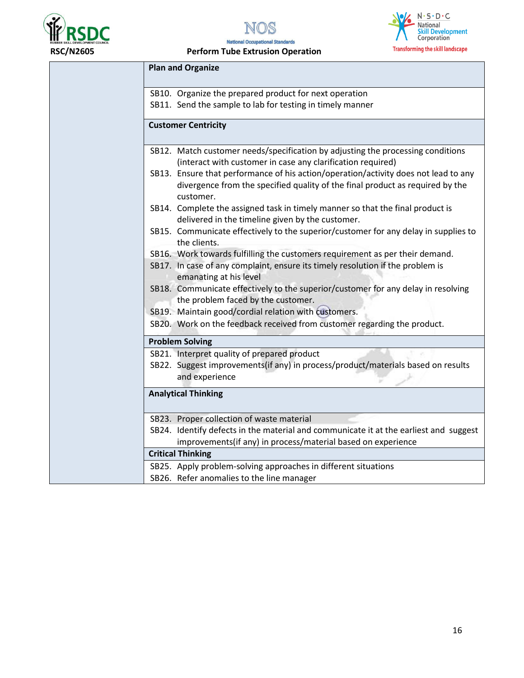





#### **National Occupational Standards RSC/N2605 Perform Tube Extrusion Operation**

| <b>Plan and Organize</b>                                                                                                                                                                 |
|------------------------------------------------------------------------------------------------------------------------------------------------------------------------------------------|
| SB10. Organize the prepared product for next operation                                                                                                                                   |
| SB11. Send the sample to lab for testing in timely manner                                                                                                                                |
| <b>Customer Centricity</b>                                                                                                                                                               |
| SB12. Match customer needs/specification by adjusting the processing conditions<br>(interact with customer in case any clarification required)                                           |
| SB13. Ensure that performance of his action/operation/activity does not lead to any<br>divergence from the specified quality of the final product as required by the<br>customer.        |
| SB14. Complete the assigned task in timely manner so that the final product is<br>delivered in the timeline given by the customer.                                                       |
| SB15. Communicate effectively to the superior/customer for any delay in supplies to<br>the clients.                                                                                      |
| SB16. Work towards fulfilling the customers requirement as per their demand.<br>SB17. In case of any complaint, ensure its timely resolution if the problem is<br>emanating at his level |
| SB18. Communicate effectively to the superior/customer for any delay in resolving<br>the problem faced by the customer.                                                                  |
| SB19. Maintain good/cordial relation with customers.                                                                                                                                     |
| SB20. Work on the feedback received from customer regarding the product.                                                                                                                 |
| <b>Problem Solving</b>                                                                                                                                                                   |
| SB21. Interpret quality of prepared product<br>SB22. Suggest improvements(if any) in process/product/materials based on results<br>and experience                                        |
| <b>Analytical Thinking</b>                                                                                                                                                               |
| SB23. Proper collection of waste material                                                                                                                                                |
| SB24. Identify defects in the material and communicate it at the earliest and suggest<br>improvements(if any) in process/material based on experience                                    |
| <b>Critical Thinking</b>                                                                                                                                                                 |
| SB25. Apply problem-solving approaches in different situations                                                                                                                           |
| SB26. Refer anomalies to the line manager                                                                                                                                                |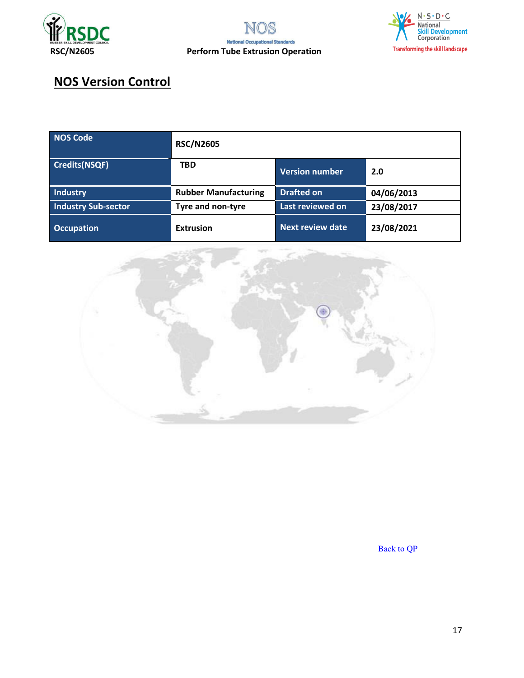



# **NOS Version Control**

| NOS Code                   | <b>RSC/N2605</b>            |                         |            |
|----------------------------|-----------------------------|-------------------------|------------|
| Credits(NSQF)              | <b>TBD</b>                  | <b>Version number</b>   | 2.0        |
| Industry                   | <b>Rubber Manufacturing</b> | <b>Drafted on</b>       | 04/06/2013 |
| <b>Industry Sub-sector</b> | Tyre and non-tyre           | Last reviewed on        | 23/08/2017 |
| <b>Occupation</b>          | <b>Extrusion</b>            | <b>Next review date</b> | 23/08/2021 |



[Back to QP](#page-1-0)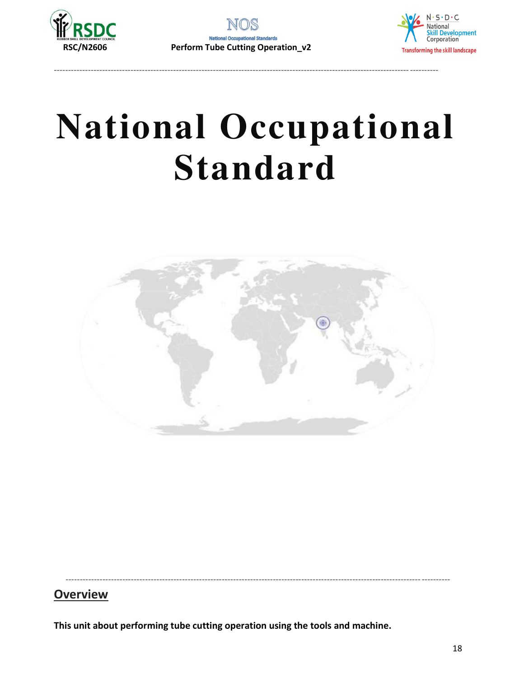

----------------------------------------------------------------------------------------------------------------------------- ----------



# **National Occupational Standard**

<span id="page-17-0"></span>

----------------------------------------------------------------------------------------------------------------------------- ----------

### **Overview**

**This unit about performing tube cutting operation using the tools and machine.**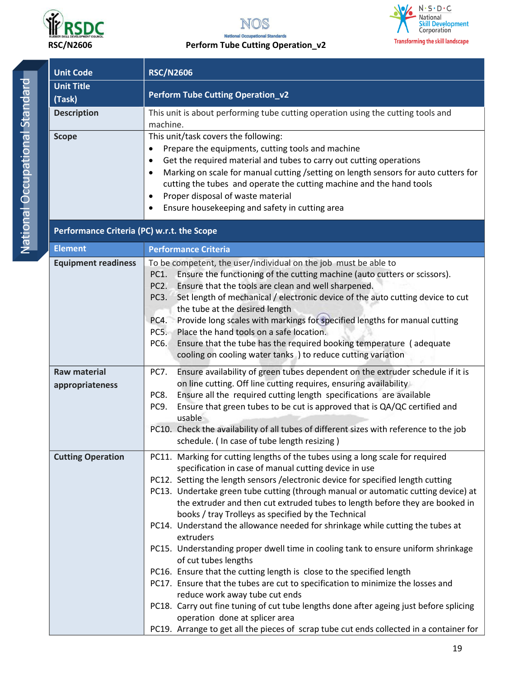





| <b>Unit Code</b>                           | <b>RSC/N2606</b>                                                                                                                                                   |  |  |  |
|--------------------------------------------|--------------------------------------------------------------------------------------------------------------------------------------------------------------------|--|--|--|
| <b>Unit Title</b>                          |                                                                                                                                                                    |  |  |  |
| (Task)                                     | <b>Perform Tube Cutting Operation_v2</b>                                                                                                                           |  |  |  |
| <b>Description</b>                         | This unit is about performing tube cutting operation using the cutting tools and                                                                                   |  |  |  |
|                                            | machine.                                                                                                                                                           |  |  |  |
| <b>Scope</b>                               | This unit/task covers the following:                                                                                                                               |  |  |  |
|                                            | Prepare the equipments, cutting tools and machine<br>$\bullet$                                                                                                     |  |  |  |
|                                            | Get the required material and tubes to carry out cutting operations<br>$\bullet$                                                                                   |  |  |  |
|                                            | Marking on scale for manual cutting / setting on length sensors for auto cutters for<br>$\bullet$                                                                  |  |  |  |
|                                            | cutting the tubes and operate the cutting machine and the hand tools                                                                                               |  |  |  |
|                                            | Proper disposal of waste material<br>$\bullet$                                                                                                                     |  |  |  |
|                                            | Ensure housekeeping and safety in cutting area<br>$\bullet$                                                                                                        |  |  |  |
| Performance Criteria (PC) w.r.t. the Scope |                                                                                                                                                                    |  |  |  |
| <b>Element</b>                             | <b>Performance Criteria</b>                                                                                                                                        |  |  |  |
| <b>Equipment readiness</b>                 | To be competent, the user/individual on the job must be able to                                                                                                    |  |  |  |
|                                            | Ensure the functioning of the cutting machine (auto cutters or scissors).<br>PC1.                                                                                  |  |  |  |
|                                            | Ensure that the tools are clean and well sharpened.<br>PC <sub>2</sub> .<br>Set length of mechanical / electronic device of the auto cutting device to cut<br>PC3. |  |  |  |
|                                            | the tube at the desired length                                                                                                                                     |  |  |  |
|                                            | Provide long scales with markings for specified lengths for manual cutting<br>PC4.                                                                                 |  |  |  |
|                                            | Place the hand tools on a safe location.<br>PC5.                                                                                                                   |  |  |  |
|                                            | Ensure that the tube has the required booking temperature (adequate<br>PC6.                                                                                        |  |  |  |
|                                            | cooling on cooling water tanks ) to reduce cutting variation                                                                                                       |  |  |  |
| <b>Raw material</b>                        | Ensure availability of green tubes dependent on the extruder schedule if it is<br>PC7.                                                                             |  |  |  |
| appropriateness                            | on line cutting. Off line cutting requires, ensuring availability                                                                                                  |  |  |  |
|                                            | Ensure all the required cutting length specifications are available<br>PC8.                                                                                        |  |  |  |
|                                            | Ensure that green tubes to be cut is approved that is QA/QC certified and<br>PC9.<br>usable                                                                        |  |  |  |
|                                            | PC10. Check the availability of all tubes of different sizes with reference to the job                                                                             |  |  |  |
|                                            | schedule. (In case of tube length resizing)                                                                                                                        |  |  |  |
| <b>Cutting Operation</b>                   | PC11. Marking for cutting lengths of the tubes using a long scale for required                                                                                     |  |  |  |
|                                            | specification in case of manual cutting device in use                                                                                                              |  |  |  |
|                                            | PC12. Setting the length sensors / electronic device for specified length cutting                                                                                  |  |  |  |
|                                            | PC13. Undertake green tube cutting (through manual or automatic cutting device) at                                                                                 |  |  |  |
|                                            | the extruder and then cut extruded tubes to length before they are booked in                                                                                       |  |  |  |
|                                            | books / tray Trolleys as specified by the Technical                                                                                                                |  |  |  |
|                                            | PC14. Understand the allowance needed for shrinkage while cutting the tubes at<br>extruders                                                                        |  |  |  |
|                                            | PC15. Understanding proper dwell time in cooling tank to ensure uniform shrinkage                                                                                  |  |  |  |
|                                            | of cut tubes lengths                                                                                                                                               |  |  |  |
|                                            | PC16. Ensure that the cutting length is close to the specified length                                                                                              |  |  |  |
|                                            | PC17. Ensure that the tubes are cut to specification to minimize the losses and                                                                                    |  |  |  |
|                                            | reduce work away tube cut ends                                                                                                                                     |  |  |  |
|                                            | PC18. Carry out fine tuning of cut tube lengths done after ageing just before splicing                                                                             |  |  |  |
|                                            | operation done at splicer area                                                                                                                                     |  |  |  |
|                                            | PC19. Arrange to get all the pieces of scrap tube cut ends collected in a container for                                                                            |  |  |  |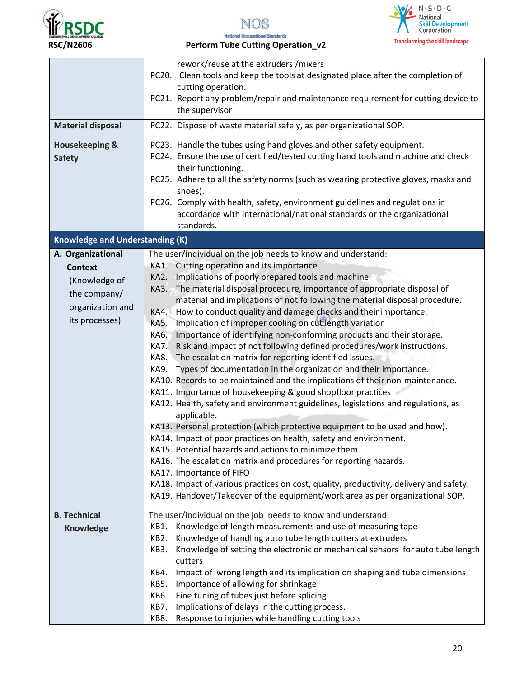





|                                        | rework/reuse at the extruders / mixers                                                 |
|----------------------------------------|----------------------------------------------------------------------------------------|
|                                        | PC20. Clean tools and keep the tools at designated place after the completion of       |
|                                        | cutting operation.                                                                     |
|                                        | PC21. Report any problem/repair and maintenance requirement for cutting device to      |
|                                        | the supervisor                                                                         |
|                                        |                                                                                        |
| <b>Material disposal</b>               | PC22. Dispose of waste material safely, as per organizational SOP.                     |
| <b>Housekeeping &amp;</b>              | PC23. Handle the tubes using hand gloves and other safety equipment.                   |
| <b>Safety</b>                          | PC24. Ensure the use of certified/tested cutting hand tools and machine and check      |
|                                        | their functioning.                                                                     |
|                                        | PC25. Adhere to all the safety norms (such as wearing protective gloves, masks and     |
|                                        | shoes).                                                                                |
|                                        | PC26. Comply with health, safety, environment guidelines and regulations in            |
|                                        | accordance with international/national standards or the organizational                 |
|                                        | standards.                                                                             |
| <b>Knowledge and Understanding (K)</b> |                                                                                        |
| A. Organizational                      | The user/individual on the job needs to know and understand:                           |
| <b>Context</b>                         | KA1. Cutting operation and its importance.                                             |
|                                        | Implications of poorly prepared tools and machine.<br>KA2.                             |
| (Knowledge of                          | The material disposal procedure, importance of appropriate disposal of<br>KA3.         |
| the company/                           | material and implications of not following the material disposal procedure.            |
| organization and                       | How to conduct quality and damage checks and their importance.<br>KA4.                 |
| its processes)                         | Implication of improper cooling on cut length variation<br>KA5.                        |
|                                        | Importance of identifying non-conforming products and their storage.<br>KA6.           |
|                                        | Risk and impact of not following defined procedures/work instructions.<br>KA7.         |
|                                        | The escalation matrix for reporting identified issues.<br>KA8.                         |
|                                        | Types of documentation in the organization and their importance.<br>KA9.               |
|                                        | KA10. Records to be maintained and the implications of their non-maintenance.          |
|                                        | KA11. Importance of housekeeping & good shopfloor practices                            |
|                                        | KA12. Health, safety and environment guidelines, legislations and regulations, as      |
|                                        | applicable.                                                                            |
|                                        | KA13. Personal protection (which protective equipment to be used and how).             |
|                                        | KA14. Impact of poor practices on health, safety and environment.                      |
|                                        | KA15. Potential hazards and actions to minimize them.                                  |
|                                        | KA16. The escalation matrix and procedures for reporting hazards.                      |
|                                        | KA17. Importance of FIFO                                                               |
|                                        | KA18. Impact of various practices on cost, quality, productivity, delivery and safety. |
|                                        | KA19. Handover/Takeover of the equipment/work area as per organizational SOP.          |
|                                        |                                                                                        |
| <b>B. Technical</b>                    | The user/individual on the job needs to know and understand:                           |
| Knowledge                              | Knowledge of length measurements and use of measuring tape<br>KB1.                     |
|                                        | Knowledge of handling auto tube length cutters at extruders<br>KB2.                    |
|                                        | Knowledge of setting the electronic or mechanical sensors for auto tube length<br>KB3. |
|                                        | cutters                                                                                |
|                                        | Impact of wrong length and its implication on shaping and tube dimensions<br>KB4.      |
|                                        | KB5.<br>Importance of allowing for shrinkage                                           |
|                                        | Fine tuning of tubes just before splicing<br>KB6.                                      |
|                                        | Implications of delays in the cutting process.<br>KB7.                                 |
|                                        | KB8.<br>Response to injuries while handling cutting tools                              |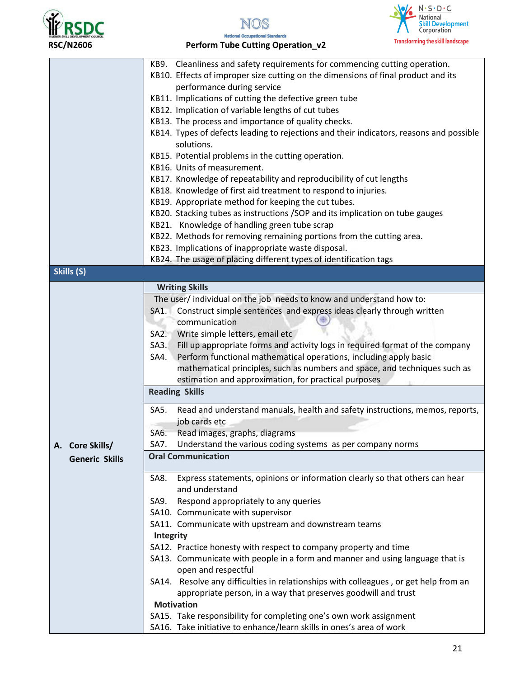





|                       | KB9. Cleanliness and safety requirements for commencing cutting operation.                    |  |  |
|-----------------------|-----------------------------------------------------------------------------------------------|--|--|
|                       | KB10. Effects of improper size cutting on the dimensions of final product and its             |  |  |
|                       | performance during service                                                                    |  |  |
|                       | KB11. Implications of cutting the defective green tube                                        |  |  |
|                       | KB12. Implication of variable lengths of cut tubes                                            |  |  |
|                       | KB13. The process and importance of quality checks.                                           |  |  |
|                       | KB14. Types of defects leading to rejections and their indicators, reasons and possible       |  |  |
|                       | solutions.                                                                                    |  |  |
|                       | KB15. Potential problems in the cutting operation.                                            |  |  |
|                       | KB16. Units of measurement.                                                                   |  |  |
|                       | KB17. Knowledge of repeatability and reproducibility of cut lengths                           |  |  |
|                       | KB18. Knowledge of first aid treatment to respond to injuries.                                |  |  |
|                       | KB19. Appropriate method for keeping the cut tubes.                                           |  |  |
|                       | KB20. Stacking tubes as instructions / SOP and its implication on tube gauges                 |  |  |
|                       | KB21. Knowledge of handling green tube scrap                                                  |  |  |
|                       | KB22. Methods for removing remaining portions from the cutting area.                          |  |  |
|                       | KB23. Implications of inappropriate waste disposal.                                           |  |  |
|                       | KB24. The usage of placing different types of identification tags                             |  |  |
| Skills (S)            |                                                                                               |  |  |
|                       |                                                                                               |  |  |
|                       | <b>Writing Skills</b><br>The user/ individual on the job needs to know and understand how to: |  |  |
|                       |                                                                                               |  |  |
|                       | Construct simple sentences and express ideas clearly through written<br>SA1.<br>communication |  |  |
|                       |                                                                                               |  |  |
|                       | Write simple letters, email etc<br>S A2.                                                      |  |  |
|                       | Fill up appropriate forms and activity logs in required format of the company<br>$SA3$ .      |  |  |
|                       | Perform functional mathematical operations, including apply basic<br>SA4.                     |  |  |
|                       | mathematical principles, such as numbers and space, and techniques such as                    |  |  |
|                       | estimation and approximation, for practical purposes<br><b>Reading Skills</b>                 |  |  |
|                       |                                                                                               |  |  |
|                       | Read and understand manuals, health and safety instructions, memos, reports,<br>SA5.          |  |  |
|                       | job cards etc                                                                                 |  |  |
|                       | SA6.<br>Read images, graphs, diagrams                                                         |  |  |
| A. Core Skills/       | Understand the various coding systems as per company norms<br><b>SA7.</b>                     |  |  |
| <b>Generic Skills</b> | <b>Oral Communication</b>                                                                     |  |  |
|                       | Express statements, opinions or information clearly so that others can hear<br>SA8.           |  |  |
|                       | and understand                                                                                |  |  |
|                       | Respond appropriately to any queries<br>SA9.                                                  |  |  |
|                       | SA10. Communicate with supervisor                                                             |  |  |
|                       | SA11. Communicate with upstream and downstream teams                                          |  |  |
|                       | Integrity                                                                                     |  |  |
|                       | SA12. Practice honesty with respect to company property and time                              |  |  |
|                       | SA13. Communicate with people in a form and manner and using language that is                 |  |  |
|                       | open and respectful                                                                           |  |  |
|                       | SA14. Resolve any difficulties in relationships with colleagues, or get help from an          |  |  |
|                       | appropriate person, in a way that preserves goodwill and trust                                |  |  |
|                       | <b>Motivation</b>                                                                             |  |  |
|                       | SA15. Take responsibility for completing one's own work assignment                            |  |  |
|                       | SA16. Take initiative to enhance/learn skills in ones's area of work                          |  |  |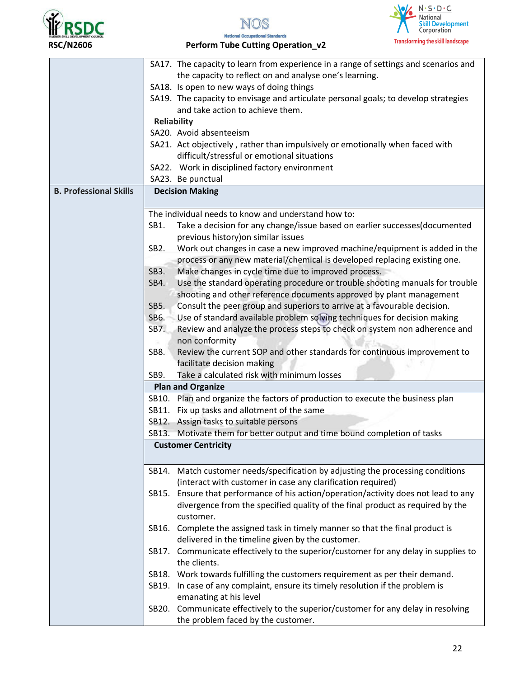





**National Occupational Standards** RSC/N2606 **Perform Tube Cutting Operation\_v2** 

|                               | SA17. The capacity to learn from experience in a range of settings and scenarios and           |
|-------------------------------|------------------------------------------------------------------------------------------------|
|                               | the capacity to reflect on and analyse one's learning.                                         |
|                               | SA18. Is open to new ways of doing things                                                      |
|                               | SA19. The capacity to envisage and articulate personal goals; to develop strategies            |
|                               | and take action to achieve them.                                                               |
|                               | <b>Reliability</b>                                                                             |
|                               | SA20. Avoid absenteeism                                                                        |
|                               | SA21. Act objectively, rather than impulsively or emotionally when faced with                  |
|                               | difficult/stressful or emotional situations                                                    |
|                               | SA22. Work in disciplined factory environment                                                  |
|                               | SA23. Be punctual                                                                              |
| <b>B. Professional Skills</b> | <b>Decision Making</b>                                                                         |
|                               |                                                                                                |
|                               | The individual needs to know and understand how to:                                            |
|                               | Take a decision for any change/issue based on earlier successes(documented<br>SB1.             |
|                               | previous history) on similar issues                                                            |
|                               | Work out changes in case a new improved machine/equipment is added in the<br>SB <sub>2</sub> . |
|                               | process or any new material/chemical is developed replacing existing one.                      |
|                               | SB3.<br>Make changes in cycle time due to improved process.                                    |
|                               | Use the standard operating procedure or trouble shooting manuals for trouble<br>SB4.           |
|                               | shooting and other reference documents approved by plant management                            |
|                               | Consult the peer group and superiors to arrive at a favourable decision.<br>SB5.               |
|                               | Use of standard available problem solving techniques for decision making<br>SB6.               |
|                               | Review and analyze the process steps to check on system non adherence and<br>SB7.              |
|                               | non conformity                                                                                 |
|                               | Review the current SOP and other standards for continuous improvement to<br>SB8.               |
|                               | facilitate decision making                                                                     |
|                               | Take a calculated risk with minimum losses<br>SB9.                                             |
|                               | <b>Plan and Organize</b>                                                                       |
|                               | SB10. Plan and organize the factors of production to execute the business plan                 |
|                               | SB11. Fix up tasks and allotment of the same                                                   |
|                               | SB12. Assign tasks to suitable persons                                                         |
|                               | SB13. Motivate them for better output and time bound completion of tasks                       |
|                               | <b>Customer Centricity</b>                                                                     |
|                               |                                                                                                |
|                               | SB14. Match customer needs/specification by adjusting the processing conditions                |
|                               | (interact with customer in case any clarification required)                                    |
|                               | SB15. Ensure that performance of his action/operation/activity does not lead to any            |
|                               | divergence from the specified quality of the final product as required by the                  |
|                               | customer.                                                                                      |
|                               | Complete the assigned task in timely manner so that the final product is<br>SB16.              |
|                               | delivered in the timeline given by the customer.                                               |
|                               | SB17. Communicate effectively to the superior/customer for any delay in supplies to            |
|                               | the clients.                                                                                   |
|                               |                                                                                                |
|                               | SB18. Work towards fulfilling the customers requirement as per their demand.                   |
|                               | SB19. In case of any complaint, ensure its timely resolution if the problem is                 |
|                               | emanating at his level                                                                         |
|                               | SB20. Communicate effectively to the superior/customer for any delay in resolving              |
|                               | the problem faced by the customer.                                                             |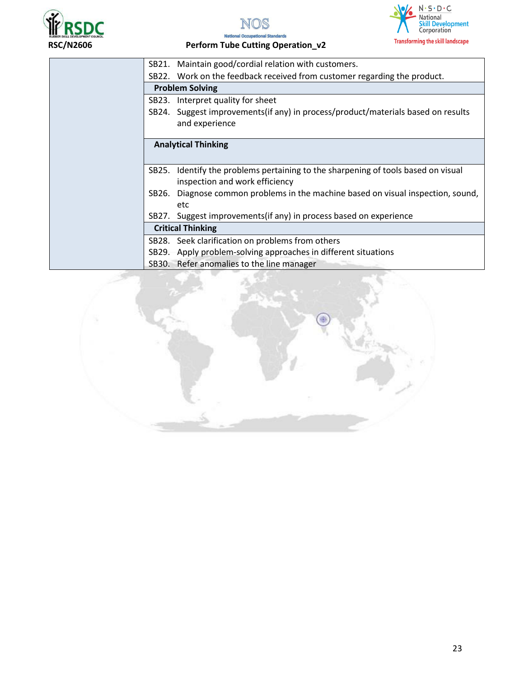





|                          | SB21. Maintain good/cordial relation with customers.                             |  |
|--------------------------|----------------------------------------------------------------------------------|--|
|                          | SB22. Work on the feedback received from customer regarding the product.         |  |
| <b>Problem Solving</b>   |                                                                                  |  |
|                          | SB23. Interpret quality for sheet                                                |  |
|                          | SB24. Suggest improvements(if any) in process/product/materials based on results |  |
|                          | and experience                                                                   |  |
|                          |                                                                                  |  |
|                          | <b>Analytical Thinking</b>                                                       |  |
|                          |                                                                                  |  |
| SB25.                    | Identify the problems pertaining to the sharpening of tools based on visual      |  |
|                          | inspection and work efficiency                                                   |  |
| SB26.                    | Diagnose common problems in the machine based on visual inspection, sound,       |  |
|                          | etc                                                                              |  |
|                          | SB27. Suggest improvements (if any) in process based on experience               |  |
| <b>Critical Thinking</b> |                                                                                  |  |
|                          | SB28. Seek clarification on problems from others                                 |  |
|                          | SB29. Apply problem-solving approaches in different situations                   |  |
|                          | SB30. Refer anomalies to the line manager                                        |  |
|                          |                                                                                  |  |

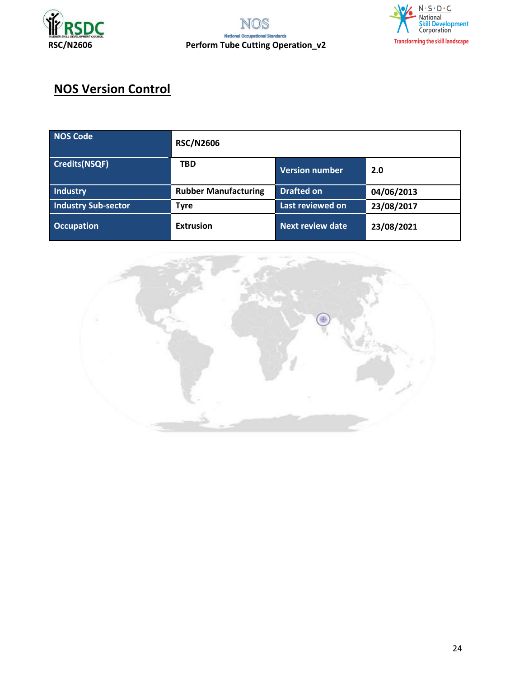



# **NOS Version Control**

| NOS Code                   | <b>RSC/N2606</b>            |                         |            |
|----------------------------|-----------------------------|-------------------------|------------|
| <b>Credits(NSQF)</b>       | <b>TBD</b>                  | Version number          | 2.0        |
| <b>Industry</b>            | <b>Rubber Manufacturing</b> | <b>Drafted on</b>       | 04/06/2013 |
| <b>Industry Sub-sector</b> | <b>Tyre</b>                 | Last reviewed on        | 23/08/2017 |
| <b>Occupation</b>          | <b>Extrusion</b>            | <b>Next review date</b> | 23/08/2021 |

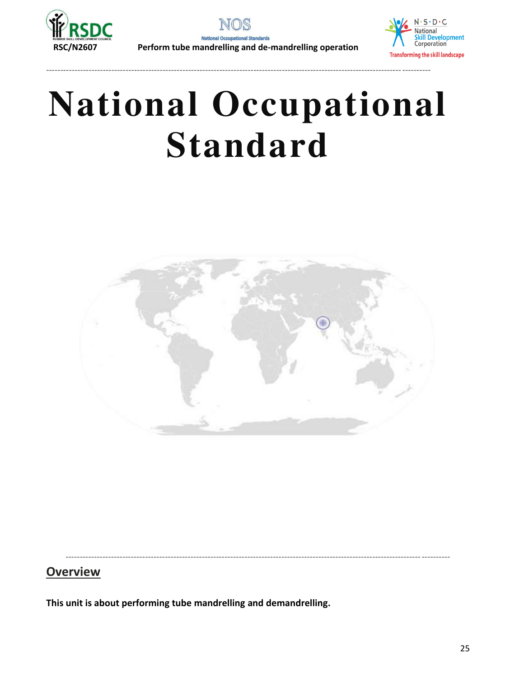

**Natio** ndards

----------------------------------------------------------------------------------------------------------------------------- ----------



# **National Occupational Standard**



<span id="page-24-0"></span>----------------------------------------------------------------------------------------------------------------------------- ----------

# **Overview**

**This unit is about performing tube mandrelling and demandrelling.**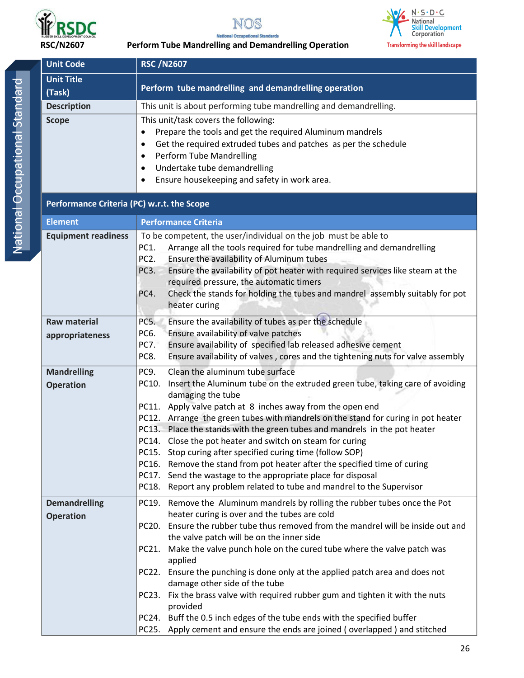

NOS **National Occupational Standards** 



### **RSC/N2607 Perform Tube Mandrelling and Demandrelling Operation**

| <b>Unit Code</b>                           | <b>RSC /N2607</b>                                                                                                                                        |  |  |
|--------------------------------------------|----------------------------------------------------------------------------------------------------------------------------------------------------------|--|--|
| <b>Unit Title</b>                          | Perform tube mandrelling and demandrelling operation                                                                                                     |  |  |
| (Task)                                     |                                                                                                                                                          |  |  |
| <b>Description</b><br><b>Scope</b>         | This unit is about performing tube mandrelling and demandrelling.<br>This unit/task covers the following:                                                |  |  |
|                                            | Prepare the tools and get the required Aluminum mandrels                                                                                                 |  |  |
|                                            | Get the required extruded tubes and patches as per the schedule<br>$\bullet$                                                                             |  |  |
|                                            | Perform Tube Mandrelling<br>$\bullet$                                                                                                                    |  |  |
|                                            | Undertake tube demandrelling<br>$\bullet$                                                                                                                |  |  |
|                                            | Ensure housekeeping and safety in work area.                                                                                                             |  |  |
| Performance Criteria (PC) w.r.t. the Scope |                                                                                                                                                          |  |  |
| <b>Element</b>                             | <b>Performance Criteria</b>                                                                                                                              |  |  |
| <b>Equipment readiness</b>                 | To be competent, the user/individual on the job must be able to                                                                                          |  |  |
|                                            | Arrange all the tools required for tube mandrelling and demandrelling<br><b>PC1.</b>                                                                     |  |  |
|                                            | Ensure the availability of Aluminum tubes<br>PC <sub>2</sub> .<br>Ensure the availability of pot heater with required services like steam at the<br>PC3. |  |  |
|                                            | required pressure, the automatic timers                                                                                                                  |  |  |
|                                            | Check the stands for holding the tubes and mandrel assembly suitably for pot<br>PC4.                                                                     |  |  |
|                                            | heater curing                                                                                                                                            |  |  |
| <b>Raw material</b>                        | Ensure the availability of tubes as per the schedule<br>PC5.                                                                                             |  |  |
| appropriateness                            | Ensure availability of valve patches<br>PC6.                                                                                                             |  |  |
|                                            | Ensure availability of specified lab released adhesive cement<br>PC7.                                                                                    |  |  |
|                                            | PC8.<br>Ensure availability of valves, cores and the tightening nuts for valve assembly                                                                  |  |  |
| <b>Mandrelling</b>                         | Clean the aluminum tube surface<br>PC9.<br>PC10. Insert the Aluminum tube on the extruded green tube, taking care of avoiding                            |  |  |
| <b>Operation</b>                           | damaging the tube                                                                                                                                        |  |  |
|                                            | PC11. Apply valve patch at 8 inches away from the open end                                                                                               |  |  |
|                                            | PC12. Arrange the green tubes with mandrels on the stand for curing in pot heater                                                                        |  |  |
|                                            | PC13. Place the stands with the green tubes and mandrels in the pot heater<br>PC14. Close the pot heater and switch on steam for curing                  |  |  |
|                                            | Stop curing after specified curing time (follow SOP)<br>PC15.                                                                                            |  |  |
|                                            | Remove the stand from pot heater after the specified time of curing<br>PC16.                                                                             |  |  |
|                                            | PC17. Send the wastage to the appropriate place for disposal                                                                                             |  |  |
|                                            | PC18. Report any problem related to tube and mandrel to the Supervisor                                                                                   |  |  |
| <b>Demandrelling</b>                       | PC19. Remove the Aluminum mandrels by rolling the rubber tubes once the Pot                                                                              |  |  |
| <b>Operation</b>                           | heater curing is over and the tubes are cold                                                                                                             |  |  |
|                                            | PC20. Ensure the rubber tube thus removed from the mandrel will be inside out and<br>the valve patch will be on the inner side                           |  |  |
|                                            | Make the valve punch hole on the cured tube where the valve patch was<br>PC21.                                                                           |  |  |
|                                            | applied                                                                                                                                                  |  |  |
|                                            | PC22. Ensure the punching is done only at the applied patch area and does not<br>damage other side of the tube                                           |  |  |
|                                            | Fix the brass valve with required rubber gum and tighten it with the nuts<br>PC23.<br>provided                                                           |  |  |
|                                            | PC24. Buff the 0.5 inch edges of the tube ends with the specified buffer                                                                                 |  |  |
|                                            | PC25. Apply cement and ensure the ends are joined (overlapped) and stitched                                                                              |  |  |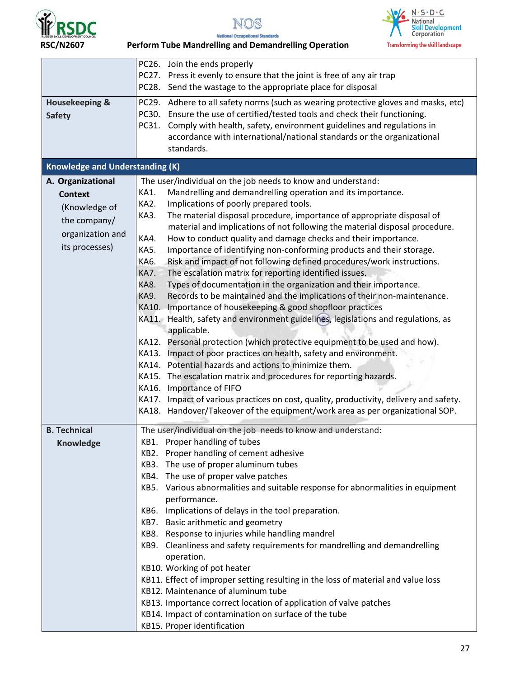

NOS **National Occupational Standards** 



 **RSC/N2607 Perform Tube Mandrelling and Demandrelling Operation** 

|                                        | PC26. Join the ends properly                                                                                                                     |
|----------------------------------------|--------------------------------------------------------------------------------------------------------------------------------------------------|
|                                        | PC27. Press it evenly to ensure that the joint is free of any air trap                                                                           |
|                                        | PC28. Send the wastage to the appropriate place for disposal                                                                                     |
| <b>Housekeeping &amp;</b>              | PC29. Adhere to all safety norms (such as wearing protective gloves and masks, etc)                                                              |
| <b>Safety</b>                          | Ensure the use of certified/tested tools and check their functioning.<br>PC30.                                                                   |
|                                        | Comply with health, safety, environment guidelines and regulations in<br>PC31.                                                                   |
|                                        | accordance with international/national standards or the organizational                                                                           |
|                                        | standards.                                                                                                                                       |
| <b>Knowledge and Understanding (K)</b> |                                                                                                                                                  |
| A. Organizational                      | The user/individual on the job needs to know and understand:                                                                                     |
| <b>Context</b>                         | Mandrelling and demandrelling operation and its importance.<br>KA1.                                                                              |
| (Knowledge of                          | KA2.<br>Implications of poorly prepared tools.                                                                                                   |
| the company/                           | The material disposal procedure, importance of appropriate disposal of<br>KA3.                                                                   |
| organization and                       | material and implications of not following the material disposal procedure.                                                                      |
| its processes)                         | KA4.<br>How to conduct quality and damage checks and their importance.                                                                           |
|                                        | Importance of identifying non-conforming products and their storage.<br><b>KA5.</b>                                                              |
|                                        | Risk and impact of not following defined procedures/work instructions.<br>KA6.<br>The escalation matrix for reporting identified issues.<br>KA7. |
|                                        | KA8.<br>Types of documentation in the organization and their importance.                                                                         |
|                                        | KA9.<br>Records to be maintained and the implications of their non-maintenance.                                                                  |
|                                        | Importance of housekeeping & good shopfloor practices<br>KA10.                                                                                   |
|                                        | KA11. Health, safety and environment guidelines, legislations and regulations, as                                                                |
|                                        | applicable.                                                                                                                                      |
|                                        | KA12. Personal protection (which protective equipment to be used and how).                                                                       |
|                                        | KA13. Impact of poor practices on health, safety and environment.                                                                                |
|                                        | KA14. Potential hazards and actions to minimize them.                                                                                            |
|                                        | KA15. The escalation matrix and procedures for reporting hazards.                                                                                |
|                                        | KA16. Importance of FIFO                                                                                                                         |
|                                        | KA17. Impact of various practices on cost, quality, productivity, delivery and safety.                                                           |
|                                        | KA18. Handover/Takeover of the equipment/work area as per organizational SOP.                                                                    |
| <b>B. Technical</b>                    | The user/individual on the job needs to know and understand:                                                                                     |
| <b>Knowledge</b>                       | KB1. Proper handling of tubes                                                                                                                    |
|                                        | KB2. Proper handling of cement adhesive                                                                                                          |
|                                        | KB3. The use of proper aluminum tubes                                                                                                            |
|                                        | KB4. The use of proper valve patches                                                                                                             |
|                                        | KB5. Various abnormalities and suitable response for abnormalities in equipment<br>performance.                                                  |
|                                        | KB6. Implications of delays in the tool preparation.                                                                                             |
|                                        | KB7. Basic arithmetic and geometry                                                                                                               |
|                                        | KB8. Response to injuries while handling mandrel                                                                                                 |
|                                        | KB9. Cleanliness and safety requirements for mandrelling and demandrelling                                                                       |
|                                        | operation.                                                                                                                                       |
|                                        | KB10. Working of pot heater                                                                                                                      |
|                                        | KB11. Effect of improper setting resulting in the loss of material and value loss                                                                |
|                                        | KB12. Maintenance of aluminum tube                                                                                                               |
|                                        | KB13. Importance correct location of application of valve patches                                                                                |
|                                        | KB14. Impact of contamination on surface of the tube                                                                                             |
|                                        | KB15. Proper identification                                                                                                                      |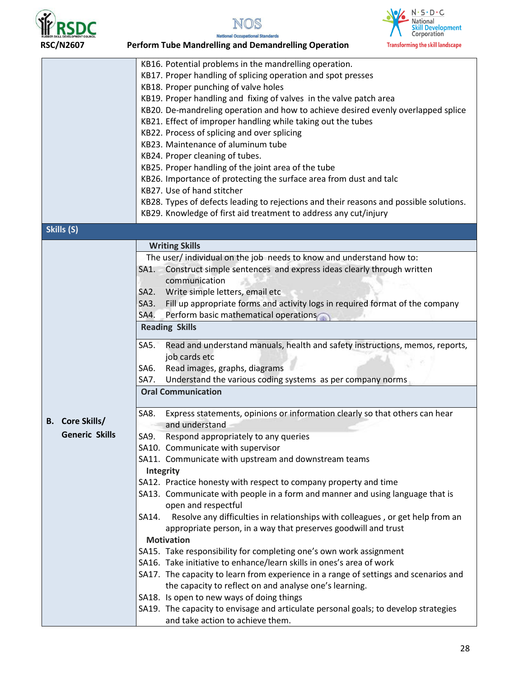

NOS

onal Standards

**National Occu** 



|                        | KB16. Potential problems in the mandrelling operation.                                                                  |
|------------------------|-------------------------------------------------------------------------------------------------------------------------|
|                        | KB17. Proper handling of splicing operation and spot presses                                                            |
|                        | KB18. Proper punching of valve holes                                                                                    |
|                        | KB19. Proper handling and fixing of valves in the valve patch area                                                      |
|                        | KB20. De-mandreling operation and how to achieve desired evenly overlapped splice                                       |
|                        | KB21. Effect of improper handling while taking out the tubes                                                            |
|                        | KB22. Process of splicing and over splicing                                                                             |
|                        | KB23. Maintenance of aluminum tube                                                                                      |
|                        | KB24. Proper cleaning of tubes.                                                                                         |
|                        | KB25. Proper handling of the joint area of the tube                                                                     |
|                        | KB26. Importance of protecting the surface area from dust and talc                                                      |
|                        | KB27. Use of hand stitcher                                                                                              |
|                        |                                                                                                                         |
|                        | KB28. Types of defects leading to rejections and their reasons and possible solutions.                                  |
|                        | KB29. Knowledge of first aid treatment to address any cut/injury                                                        |
| Skills (S)             |                                                                                                                         |
|                        | <b>Writing Skills</b>                                                                                                   |
|                        | The user/ individual on the job needs to know and understand how to:                                                    |
|                        | Construct simple sentences and express ideas clearly through written<br>SA1.                                            |
|                        | communication                                                                                                           |
|                        | Write simple letters, email etc<br>SA <sub>2</sub> .                                                                    |
|                        | Fill up appropriate forms and activity logs in required format of the company<br>$SA3$ .                                |
|                        | Perform basic mathematical operations<br>SA4.                                                                           |
|                        | <b>Reading Skills</b>                                                                                                   |
|                        |                                                                                                                         |
|                        |                                                                                                                         |
|                        | Read and understand manuals, health and safety instructions, memos, reports,<br>SA5.                                    |
|                        | job cards etc                                                                                                           |
|                        | Read images, graphs, diagrams<br>SA6.                                                                                   |
|                        | Understand the various coding systems as per company norms<br>SA7.                                                      |
|                        | <b>Oral Communication</b>                                                                                               |
|                        | Express statements, opinions or information clearly so that others can hear<br>SA8.                                     |
| <b>B.</b> Core Skills/ | and understand                                                                                                          |
| Generic Skills         |                                                                                                                         |
|                        | SA9. Respond appropriately to any queries                                                                               |
|                        | SA10. Communicate with supervisor                                                                                       |
|                        | SA11. Communicate with upstream and downstream teams                                                                    |
|                        | Integrity                                                                                                               |
|                        | SA12. Practice honesty with respect to company property and time                                                        |
|                        | SA13. Communicate with people in a form and manner and using language that is                                           |
|                        | open and respectful                                                                                                     |
|                        | Resolve any difficulties in relationships with colleagues, or get help from an<br>SA14.                                 |
|                        | appropriate person, in a way that preserves goodwill and trust                                                          |
|                        | <b>Motivation</b>                                                                                                       |
|                        | SA15. Take responsibility for completing one's own work assignment                                                      |
|                        | SA16. Take initiative to enhance/learn skills in ones's area of work                                                    |
|                        | SA17. The capacity to learn from experience in a range of settings and scenarios and                                    |
|                        | the capacity to reflect on and analyse one's learning.                                                                  |
|                        | SA18. Is open to new ways of doing things                                                                               |
|                        | SA19. The capacity to envisage and articulate personal goals; to develop strategies<br>and take action to achieve them. |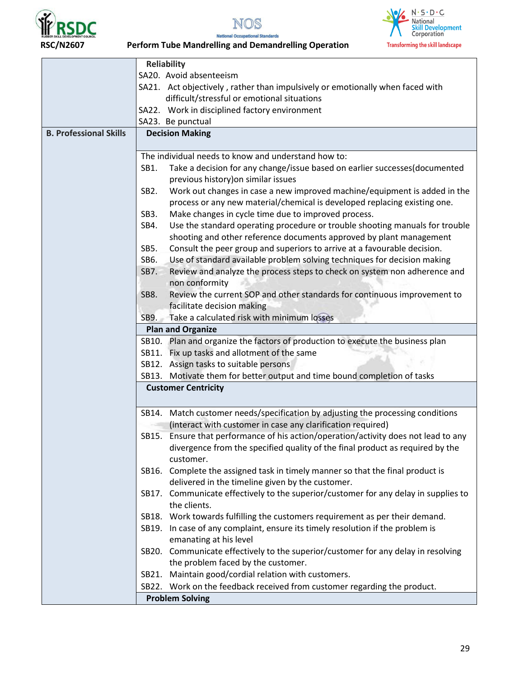





 **RSC/N2607 Perform Tube Mandrelling and Demandrelling Operation** 

|                               | <b>Reliability</b>                                                                             |  |  |
|-------------------------------|------------------------------------------------------------------------------------------------|--|--|
|                               | SA20. Avoid absenteeism                                                                        |  |  |
|                               | SA21. Act objectively, rather than impulsively or emotionally when faced with                  |  |  |
|                               | difficult/stressful or emotional situations                                                    |  |  |
|                               | SA22. Work in disciplined factory environment                                                  |  |  |
|                               | SA23. Be punctual                                                                              |  |  |
| <b>B. Professional Skills</b> | <b>Decision Making</b>                                                                         |  |  |
|                               |                                                                                                |  |  |
|                               | The individual needs to know and understand how to:                                            |  |  |
|                               | Take a decision for any change/issue based on earlier successes(documented<br>SB1.             |  |  |
|                               | previous history) on similar issues                                                            |  |  |
|                               |                                                                                                |  |  |
|                               | Work out changes in case a new improved machine/equipment is added in the<br>SB <sub>2</sub> . |  |  |
|                               | process or any new material/chemical is developed replacing existing one.                      |  |  |
|                               | Make changes in cycle time due to improved process.<br>SB <sub>3</sub> .                       |  |  |
|                               | Use the standard operating procedure or trouble shooting manuals for trouble<br>SB4.           |  |  |
|                               | shooting and other reference documents approved by plant management                            |  |  |
|                               | SB5.<br>Consult the peer group and superiors to arrive at a favourable decision.               |  |  |
|                               | Use of standard available problem solving techniques for decision making<br>SB6.               |  |  |
|                               | Review and analyze the process steps to check on system non adherence and<br><b>SB7.</b>       |  |  |
|                               | non conformity                                                                                 |  |  |
|                               | Review the current SOP and other standards for continuous improvement to<br><b>SB8.</b>        |  |  |
|                               | facilitate decision making                                                                     |  |  |
|                               |                                                                                                |  |  |
|                               | Take a calculated risk with minimum losses<br>SB9.                                             |  |  |
|                               | <b>Plan and Organize</b>                                                                       |  |  |
|                               | SB10. Plan and organize the factors of production to execute the business plan                 |  |  |
|                               | SB11. Fix up tasks and allotment of the same                                                   |  |  |
|                               | SB12. Assign tasks to suitable persons                                                         |  |  |
|                               | SB13. Motivate them for better output and time bound completion of tasks                       |  |  |
|                               | <b>Customer Centricity</b>                                                                     |  |  |
|                               | SB14. Match customer needs/specification by adjusting the processing conditions                |  |  |
|                               |                                                                                                |  |  |
|                               | (interact with customer in case any clarification required)                                    |  |  |
|                               | Ensure that performance of his action/operation/activity does not lead to any<br>SB15.         |  |  |
|                               | divergence from the specified quality of the final product as required by the                  |  |  |
|                               | customer.                                                                                      |  |  |
|                               | Complete the assigned task in timely manner so that the final product is<br>SB16.              |  |  |
|                               | delivered in the timeline given by the customer.                                               |  |  |
|                               | SB17. Communicate effectively to the superior/customer for any delay in supplies to            |  |  |
|                               | the clients.                                                                                   |  |  |
|                               | SB18. Work towards fulfilling the customers requirement as per their demand.                   |  |  |
|                               | SB19. In case of any complaint, ensure its timely resolution if the problem is                 |  |  |
|                               | emanating at his level                                                                         |  |  |
|                               | SB20. Communicate effectively to the superior/customer for any delay in resolving              |  |  |
|                               | the problem faced by the customer.                                                             |  |  |
|                               | SB21. Maintain good/cordial relation with customers.                                           |  |  |
|                               |                                                                                                |  |  |
|                               | SB22. Work on the feedback received from customer regarding the product.                       |  |  |
|                               | <b>Problem Solving</b>                                                                         |  |  |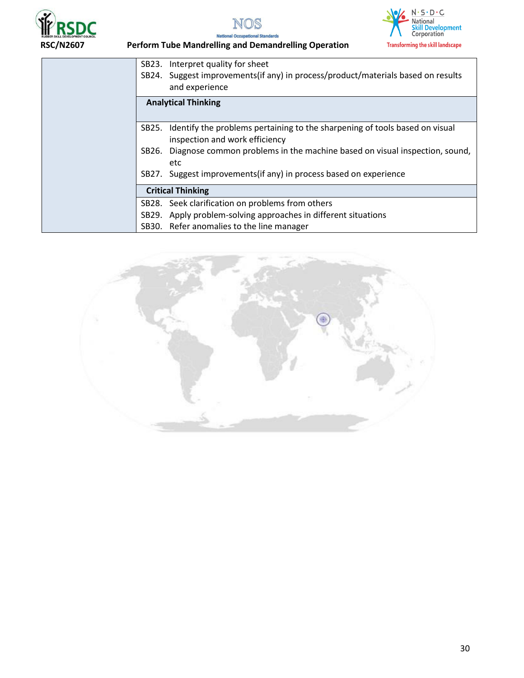





 **RSC/N2607 Perform Tube Mandrelling and Demandrelling Operation** 

| SB23.<br>SB24. | Interpret quality for sheet<br>Suggest improvements (if any) in process/product/materials based on results<br>and experience |
|----------------|------------------------------------------------------------------------------------------------------------------------------|
|                | <b>Analytical Thinking</b>                                                                                                   |
| SB25.          | Identify the problems pertaining to the sharpening of tools based on visual<br>inspection and work efficiency                |
| SB26.          | Diagnose common problems in the machine based on visual inspection, sound,<br>etc                                            |
| SB27.          | Suggest improvements (if any) in process based on experience                                                                 |
|                | <b>Critical Thinking</b>                                                                                                     |
|                | SB28. Seek clarification on problems from others                                                                             |
| SB29.          | Apply problem-solving approaches in different situations                                                                     |
|                | SB30. Refer anomalies to the line manager                                                                                    |

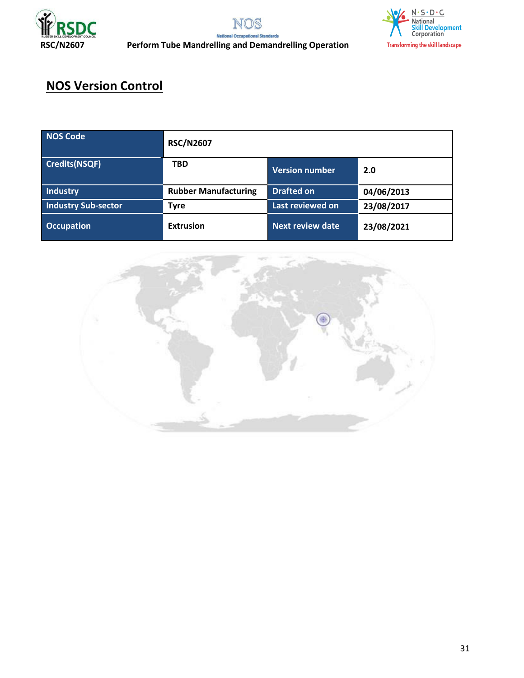



## **RSC/N2607 Perform Tube Mandrelling and Demandrelling Operation**

# **NOS Version Control**

| <b>NOS Code</b>            | <b>RSC/N2607</b>            |                       |            |
|----------------------------|-----------------------------|-----------------------|------------|
| <b>Credits(NSQF)</b>       | <b>TBD</b>                  | <b>Version number</b> | 2.0        |
| <b>Industry</b>            | <b>Rubber Manufacturing</b> | <b>Drafted on</b>     | 04/06/2013 |
| <b>Industry Sub-sector</b> | <b>Tyre</b>                 | Last reviewed on      | 23/08/2017 |
| <b>Occupation</b>          | <b>Extrusion</b>            | Next review date      | 23/08/2021 |

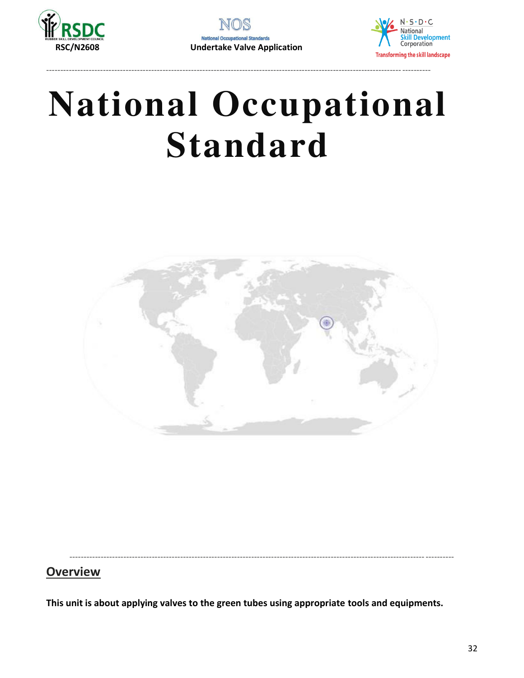

**National Occ nal Standards RSC/N2608 Undertake Valve Application** 

----------------------------------------------------------------------------------------------------------------------------- ----------



# **National Occupational Standard**



<span id="page-31-0"></span>----------------------------------------------------------------------------------------------------------------------------- ----------

## **Overview**

**This unit is about applying valves to the green tubes using appropriate tools and equipments.**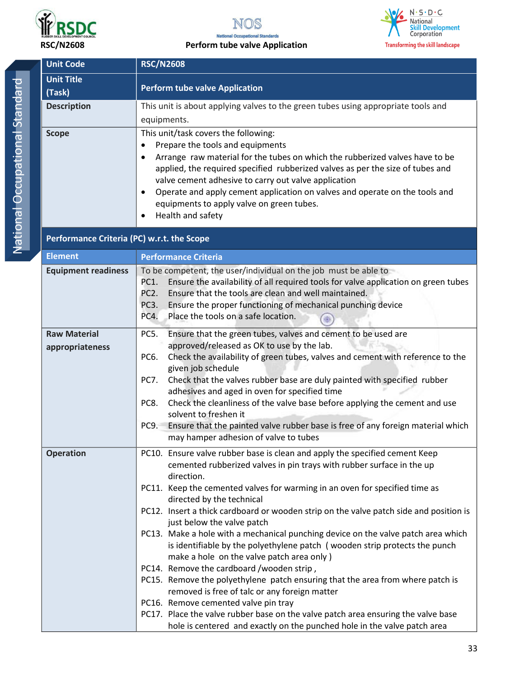

NOS **National Occupational Standards** 



| <b>Unit Code</b>           | <b>RSC/N2608</b>                                                                                                                                                |  |  |
|----------------------------|-----------------------------------------------------------------------------------------------------------------------------------------------------------------|--|--|
| <b>Unit Title</b>          | <b>Perform tube valve Application</b>                                                                                                                           |  |  |
| (Task)                     |                                                                                                                                                                 |  |  |
| <b>Description</b>         | This unit is about applying valves to the green tubes using appropriate tools and                                                                               |  |  |
|                            | equipments.                                                                                                                                                     |  |  |
| <b>Scope</b>               | This unit/task covers the following:                                                                                                                            |  |  |
|                            | Prepare the tools and equipments<br>$\bullet$                                                                                                                   |  |  |
|                            | Arrange raw material for the tubes on which the rubberized valves have to be<br>applied, the required specified rubberized valves as per the size of tubes and  |  |  |
|                            | valve cement adhesive to carry out valve application                                                                                                            |  |  |
|                            | Operate and apply cement application on valves and operate on the tools and<br>$\bullet$                                                                        |  |  |
|                            | equipments to apply valve on green tubes.                                                                                                                       |  |  |
|                            | Health and safety<br>$\bullet$                                                                                                                                  |  |  |
|                            | Performance Criteria (PC) w.r.t. the Scope                                                                                                                      |  |  |
| <b>Element</b>             | <b>Performance Criteria</b>                                                                                                                                     |  |  |
|                            | To be competent, the user/individual on the job must be able to                                                                                                 |  |  |
| <b>Equipment readiness</b> | Ensure the availability of all required tools for valve application on green tubes<br>PC1.                                                                      |  |  |
|                            | Ensure that the tools are clean and well maintained.<br>PC <sub>2</sub> .                                                                                       |  |  |
|                            | PC3.<br>Ensure the proper functioning of mechanical punching device                                                                                             |  |  |
|                            | PC4.<br>Place the tools on a safe location.                                                                                                                     |  |  |
| <b>Raw Material</b>        | Ensure that the green tubes, valves and cement to be used are<br>PC5.                                                                                           |  |  |
| appropriateness            | approved/released as OK to use by the lab.                                                                                                                      |  |  |
|                            | Check the availability of green tubes, valves and cement with reference to the<br>PC6.                                                                          |  |  |
|                            | given job schedule<br>Check that the valves rubber base are duly painted with specified rubber<br>PC7.                                                          |  |  |
|                            | adhesives and aged in oven for specified time                                                                                                                   |  |  |
|                            | Check the cleanliness of the valve base before applying the cement and use<br>PC8.                                                                              |  |  |
|                            | solvent to freshen it                                                                                                                                           |  |  |
|                            | Ensure that the painted valve rubber base is free of any foreign material which<br>PC9.                                                                         |  |  |
|                            | may hamper adhesion of valve to tubes                                                                                                                           |  |  |
| <b>Operation</b>           | PC10. Ensure valve rubber base is clean and apply the specified cement Keep                                                                                     |  |  |
|                            | cemented rubberized valves in pin trays with rubber surface in the up<br>direction.                                                                             |  |  |
|                            | PC11. Keep the cemented valves for warming in an oven for specified time as                                                                                     |  |  |
|                            | directed by the technical                                                                                                                                       |  |  |
|                            | PC12. Insert a thick cardboard or wooden strip on the valve patch side and position is                                                                          |  |  |
|                            | just below the valve patch                                                                                                                                      |  |  |
|                            | PC13. Make a hole with a mechanical punching device on the valve patch area which<br>is identifiable by the polyethylene patch (wooden strip protects the punch |  |  |
|                            | make a hole on the valve patch area only)                                                                                                                       |  |  |
|                            | PC14. Remove the cardboard /wooden strip,                                                                                                                       |  |  |
|                            | PC15. Remove the polyethylene patch ensuring that the area from where patch is                                                                                  |  |  |
|                            | removed is free of talc or any foreign matter                                                                                                                   |  |  |
|                            | PC16. Remove cemented valve pin tray                                                                                                                            |  |  |
|                            | PC17. Place the valve rubber base on the valve patch area ensuring the valve base                                                                               |  |  |
|                            | hole is centered and exactly on the punched hole in the valve patch area                                                                                        |  |  |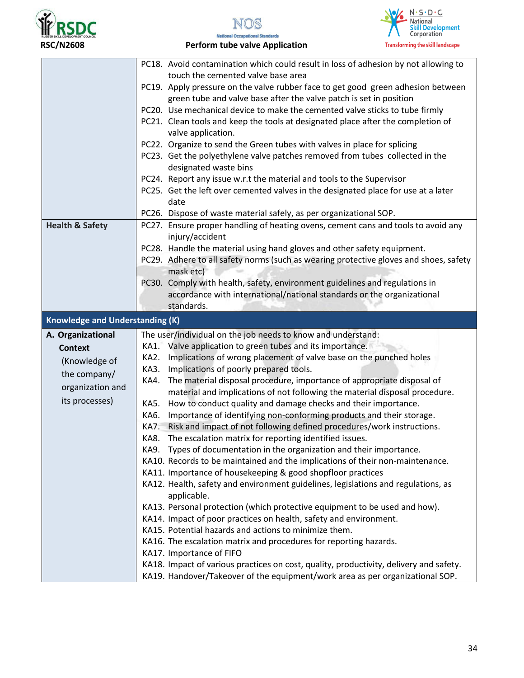





RSC/N2608 **Perform tube valve Application** 

|                                        | PC18. Avoid contamination which could result in loss of adhesion by not allowing to                                                            |
|----------------------------------------|------------------------------------------------------------------------------------------------------------------------------------------------|
|                                        | touch the cemented valve base area                                                                                                             |
|                                        | PC19. Apply pressure on the valve rubber face to get good green adhesion between                                                               |
|                                        | green tube and valve base after the valve patch is set in position                                                                             |
|                                        | PC20. Use mechanical device to make the cemented valve sticks to tube firmly                                                                   |
|                                        | PC21. Clean tools and keep the tools at designated place after the completion of                                                               |
|                                        | valve application.                                                                                                                             |
|                                        | PC22. Organize to send the Green tubes with valves in place for splicing                                                                       |
|                                        | PC23. Get the polyethylene valve patches removed from tubes collected in the                                                                   |
|                                        | designated waste bins                                                                                                                          |
|                                        | PC24. Report any issue w.r.t the material and tools to the Supervisor                                                                          |
|                                        | PC25. Get the left over cemented valves in the designated place for use at a later                                                             |
|                                        | date                                                                                                                                           |
|                                        | PC26. Dispose of waste material safely, as per organizational SOP.                                                                             |
| <b>Health &amp; Safety</b>             | PC27. Ensure proper handling of heating ovens, cement cans and tools to avoid any                                                              |
|                                        | injury/accident                                                                                                                                |
|                                        | PC28. Handle the material using hand gloves and other safety equipment.                                                                        |
|                                        | PC29. Adhere to all safety norms (such as wearing protective gloves and shoes, safety                                                          |
|                                        | mask etc)                                                                                                                                      |
|                                        | PC30. Comply with health, safety, environment guidelines and regulations in                                                                    |
|                                        | accordance with international/national standards or the organizational                                                                         |
|                                        | standards.                                                                                                                                     |
| <b>Knowledge and Understanding (K)</b> |                                                                                                                                                |
|                                        |                                                                                                                                                |
|                                        |                                                                                                                                                |
| A. Organizational                      | The user/individual on the job needs to know and understand:                                                                                   |
| <b>Context</b>                         | KA1. Valve application to green tubes and its importance.                                                                                      |
| (Knowledge of                          | Implications of wrong placement of valve base on the punched holes<br>KA2.                                                                     |
| the company/                           | Implications of poorly prepared tools.<br>KA3.                                                                                                 |
| organization and                       | The material disposal procedure, importance of appropriate disposal of<br>KA4.                                                                 |
| its processes)                         | material and implications of not following the material disposal procedure.<br>KA5.                                                            |
|                                        | How to conduct quality and damage checks and their importance.<br>Importance of identifying non-conforming products and their storage.<br>KA6. |
|                                        | KA7. Risk and impact of not following defined procedures/work instructions.                                                                    |
|                                        | KA8. The escalation matrix for reporting identified issues.                                                                                    |
|                                        | Types of documentation in the organization and their importance.<br>KA9.                                                                       |
|                                        | KA10. Records to be maintained and the implications of their non-maintenance.                                                                  |
|                                        | KA11. Importance of housekeeping & good shopfloor practices                                                                                    |
|                                        | KA12. Health, safety and environment guidelines, legislations and regulations, as                                                              |
|                                        | applicable.                                                                                                                                    |
|                                        | KA13. Personal protection (which protective equipment to be used and how).                                                                     |
|                                        | KA14. Impact of poor practices on health, safety and environment.                                                                              |
|                                        | KA15. Potential hazards and actions to minimize them.                                                                                          |
|                                        | KA16. The escalation matrix and procedures for reporting hazards.                                                                              |
|                                        | KA17. Importance of FIFO                                                                                                                       |
|                                        | KA18. Impact of various practices on cost, quality, productivity, delivery and safety.                                                         |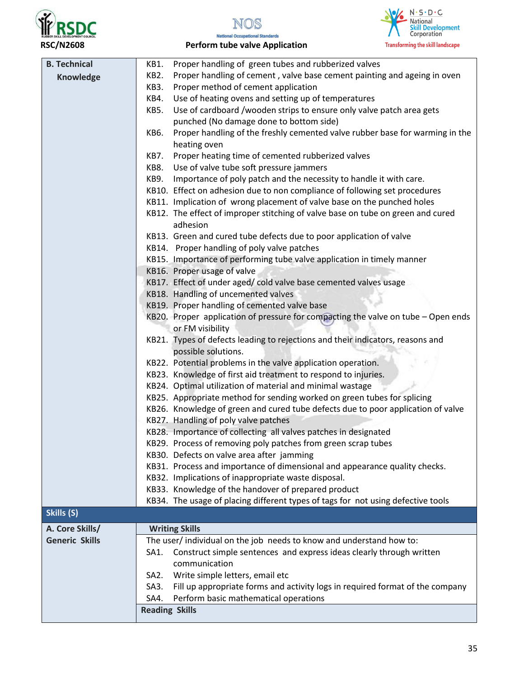





RSC/N2608 **Perform tube valve Application** 

| <b>B. Technical</b>   | KB1.                                                                             | Proper handling of green tubes and rubberized valves                                                  |
|-----------------------|----------------------------------------------------------------------------------|-------------------------------------------------------------------------------------------------------|
| Knowledge             | Proper handling of cement, valve base cement painting and ageing in oven<br>KB2. |                                                                                                       |
|                       | KB3.                                                                             | Proper method of cement application                                                                   |
|                       | KB4.                                                                             | Use of heating ovens and setting up of temperatures                                                   |
|                       | KB5.                                                                             | Use of cardboard /wooden strips to ensure only valve patch area gets                                  |
|                       |                                                                                  | punched (No damage done to bottom side)                                                               |
|                       | KB6.                                                                             | Proper handling of the freshly cemented valve rubber base for warming in the                          |
|                       |                                                                                  | heating oven                                                                                          |
|                       | KB7.                                                                             | Proper heating time of cemented rubberized valves                                                     |
|                       | KB8.                                                                             | Use of valve tube soft pressure jammers                                                               |
|                       | KB9.                                                                             | Importance of poly patch and the necessity to handle it with care.                                    |
|                       |                                                                                  | KB10. Effect on adhesion due to non compliance of following set procedures                            |
|                       |                                                                                  | KB11. Implication of wrong placement of valve base on the punched holes                               |
|                       |                                                                                  | KB12. The effect of improper stitching of valve base on tube on green and cured<br>adhesion           |
|                       |                                                                                  | KB13. Green and cured tube defects due to poor application of valve                                   |
|                       |                                                                                  | KB14. Proper handling of poly valve patches                                                           |
|                       |                                                                                  | KB15. Importance of performing tube valve application in timely manner                                |
|                       |                                                                                  | KB16. Proper usage of valve                                                                           |
|                       |                                                                                  | KB17. Effect of under aged/ cold valve base cemented valves usage                                     |
|                       |                                                                                  | KB18. Handling of uncemented valves                                                                   |
|                       |                                                                                  | KB19. Proper handling of cemented valve base                                                          |
|                       |                                                                                  | KB20. Proper application of pressure for compacting the valve on tube - Open ends                     |
|                       |                                                                                  | or FM visibility                                                                                      |
|                       |                                                                                  | KB21. Types of defects leading to rejections and their indicators, reasons and<br>possible solutions. |
|                       |                                                                                  | KB22. Potential problems in the valve application operation.                                          |
|                       |                                                                                  | KB23. Knowledge of first aid treatment to respond to injuries.                                        |
|                       |                                                                                  | KB24. Optimal utilization of material and minimal wastage                                             |
|                       |                                                                                  | KB25. Appropriate method for sending worked on green tubes for splicing                               |
|                       |                                                                                  | KB26. Knowledge of green and cured tube defects due to poor application of valve                      |
|                       |                                                                                  | KB27. Handling of poly valve patches                                                                  |
|                       |                                                                                  | KB28. Importance of collecting all valves patches in designated                                       |
|                       |                                                                                  | KB29. Process of removing poly patches from green scrap tubes                                         |
|                       |                                                                                  | KB30. Defects on valve area after jamming                                                             |
|                       |                                                                                  | KB31. Process and importance of dimensional and appearance quality checks.                            |
|                       |                                                                                  | KB32. Implications of inappropriate waste disposal.                                                   |
|                       |                                                                                  | KB33. Knowledge of the handover of prepared product                                                   |
|                       |                                                                                  | KB34. The usage of placing different types of tags for not using defective tools                      |
| Skills (S)            |                                                                                  |                                                                                                       |
|                       |                                                                                  |                                                                                                       |
| A. Core Skills/       |                                                                                  | <b>Writing Skills</b>                                                                                 |
| <b>Generic Skills</b> |                                                                                  | The user/ individual on the job needs to know and understand how to:                                  |
|                       | SA1.                                                                             | Construct simple sentences and express ideas clearly through written                                  |
|                       |                                                                                  | communication                                                                                         |
|                       | SA2.                                                                             | Write simple letters, email etc                                                                       |
|                       | SA3.                                                                             | Fill up appropriate forms and activity logs in required format of the company                         |
|                       | SA4.                                                                             | Perform basic mathematical operations                                                                 |
|                       | <b>Reading Skills</b>                                                            |                                                                                                       |
|                       |                                                                                  |                                                                                                       |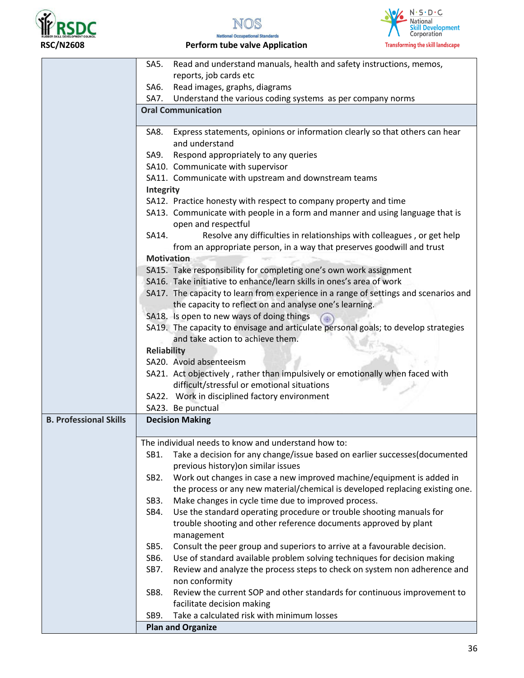





RSC/N2608 **Perform tube valve Application** 

|                               | SA5.               | Read and understand manuals, health and safety instructions, memos,                                          |
|-------------------------------|--------------------|--------------------------------------------------------------------------------------------------------------|
|                               |                    | reports, job cards etc                                                                                       |
|                               | SA6.               | Read images, graphs, diagrams                                                                                |
|                               |                    | SA7. Understand the various coding systems as per company norms                                              |
|                               |                    | <b>Oral Communication</b>                                                                                    |
|                               | SA8.               | Express statements, opinions or information clearly so that others can hear                                  |
|                               |                    | and understand                                                                                               |
|                               |                    | SA9. Respond appropriately to any queries                                                                    |
|                               |                    | SA10. Communicate with supervisor                                                                            |
|                               |                    | SA11. Communicate with upstream and downstream teams                                                         |
|                               |                    |                                                                                                              |
|                               | Integrity          |                                                                                                              |
|                               |                    | SA12. Practice honesty with respect to company property and time                                             |
|                               |                    | SA13. Communicate with people in a form and manner and using language that is<br>open and respectful         |
|                               | SA14.              | Resolve any difficulties in relationships with colleagues, or get help                                       |
|                               |                    | from an appropriate person, in a way that preserves goodwill and trust                                       |
|                               | <b>Motivation</b>  |                                                                                                              |
|                               |                    | SA15. Take responsibility for completing one's own work assignment                                           |
|                               |                    | SA16. Take initiative to enhance/learn skills in ones's area of work                                         |
|                               |                    | SA17. The capacity to learn from experience in a range of settings and scenarios and                         |
|                               |                    | the capacity to reflect on and analyse one's learning.                                                       |
|                               |                    | SA18. Is open to new ways of doing things                                                                    |
|                               |                    | SA19. The capacity to envisage and articulate personal goals; to develop strategies                          |
|                               |                    | and take action to achieve them.                                                                             |
|                               | <b>Reliability</b> |                                                                                                              |
|                               |                    | SA20. Avoid absenteeism                                                                                      |
|                               |                    | SA21. Act objectively, rather than impulsively or emotionally when faced with                                |
|                               |                    | difficult/stressful or emotional situations                                                                  |
|                               |                    | SA22. Work in disciplined factory environment                                                                |
|                               |                    | SA23. Be punctual                                                                                            |
| <b>B. Professional Skills</b> |                    | <b>Decision Making</b>                                                                                       |
|                               |                    |                                                                                                              |
|                               |                    | The individual needs to know and understand how to:                                                          |
|                               | SB1.               | Take a decision for any change/issue based on earlier successes(documented                                   |
|                               | SB <sub>2</sub> .  | previous history) on similar issues<br>Work out changes in case a new improved machine/equipment is added in |
|                               |                    | the process or any new material/chemical is developed replacing existing one.                                |
|                               | SB3.               | Make changes in cycle time due to improved process.                                                          |
|                               | SB4.               | Use the standard operating procedure or trouble shooting manuals for                                         |
|                               |                    | trouble shooting and other reference documents approved by plant                                             |
|                               |                    | management                                                                                                   |
|                               | SB5.               | Consult the peer group and superiors to arrive at a favourable decision.                                     |
|                               | SB6.               | Use of standard available problem solving techniques for decision making                                     |
|                               | SB7.               | Review and analyze the process steps to check on system non adherence and                                    |
|                               |                    | non conformity                                                                                               |
|                               | SB8.               | Review the current SOP and other standards for continuous improvement to                                     |
|                               |                    | facilitate decision making                                                                                   |
|                               | SB9.               | Take a calculated risk with minimum losses                                                                   |
|                               |                    | <b>Plan and Organize</b>                                                                                     |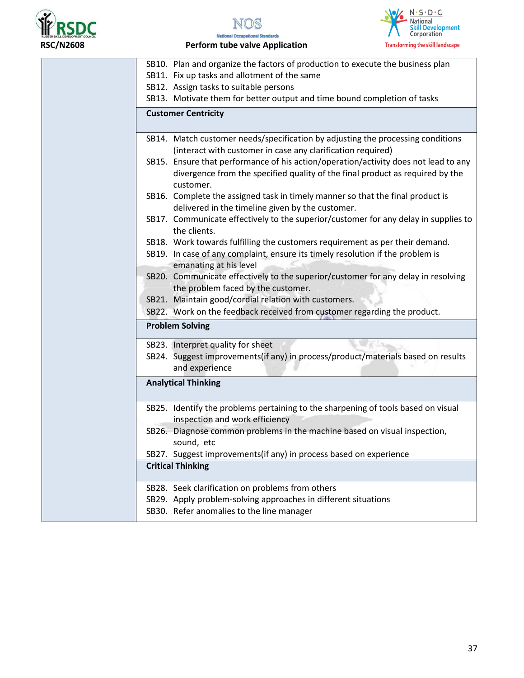

NOS



**National Occupational Standards** RSC/N2608 **Perform tube valve Application** 

| SB10. Plan and organize the factors of production to execute the business plan<br>SB11. Fix up tasks and allotment of the same                                                           |
|------------------------------------------------------------------------------------------------------------------------------------------------------------------------------------------|
| SB12. Assign tasks to suitable persons                                                                                                                                                   |
| SB13. Motivate them for better output and time bound completion of tasks                                                                                                                 |
| <b>Customer Centricity</b>                                                                                                                                                               |
| SB14. Match customer needs/specification by adjusting the processing conditions<br>(interact with customer in case any clarification required)                                           |
| SB15. Ensure that performance of his action/operation/activity does not lead to any<br>divergence from the specified quality of the final product as required by the<br>customer.        |
| SB16. Complete the assigned task in timely manner so that the final product is<br>delivered in the timeline given by the customer.                                                       |
| SB17. Communicate effectively to the superior/customer for any delay in supplies to<br>the clients.                                                                                      |
| SB18. Work towards fulfilling the customers requirement as per their demand.<br>SB19. In case of any complaint, ensure its timely resolution if the problem is<br>emanating at his level |
| SB20. Communicate effectively to the superior/customer for any delay in resolving<br>the problem faced by the customer.                                                                  |
| SB21. Maintain good/cordial relation with customers.                                                                                                                                     |
| SB22. Work on the feedback received from customer regarding the product.                                                                                                                 |
| <b>Problem Solving</b>                                                                                                                                                                   |
| SB23. Interpret quality for sheet                                                                                                                                                        |
| SB24. Suggest improvements(if any) in process/product/materials based on results<br>and experience                                                                                       |
| <b>Analytical Thinking</b>                                                                                                                                                               |
| SB25. Identify the problems pertaining to the sharpening of tools based on visual<br>inspection and work efficiency                                                                      |
| SB26. Diagnose common problems in the machine based on visual inspection,<br>sound, etc                                                                                                  |
| SB27. Suggest improvements(if any) in process based on experience                                                                                                                        |
| <b>Critical Thinking</b>                                                                                                                                                                 |
| SB28. Seek clarification on problems from others                                                                                                                                         |
| SB29. Apply problem-solving approaches in different situations                                                                                                                           |
| SB30. Refer anomalies to the line manager                                                                                                                                                |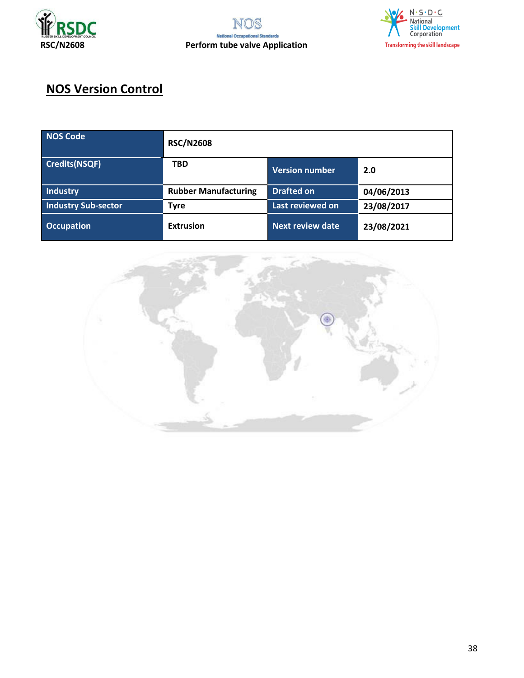



# **NOS Version Control**

| NOS Code             | <b>RSC/N2608</b>            |                         |            |
|----------------------|-----------------------------|-------------------------|------------|
| <b>Credits(NSQF)</b> | <b>TBD</b>                  | <b>Version number</b>   | 2.0        |
| <b>Industry</b>      | <b>Rubber Manufacturing</b> | <b>Drafted on</b>       | 04/06/2013 |
| Industry Sub-sector  | <b>Tyre</b>                 | Last reviewed on        | 23/08/2017 |
| <b>Occupation</b>    | <b>Extrusion</b>            | <b>Next review date</b> | 23/08/2021 |

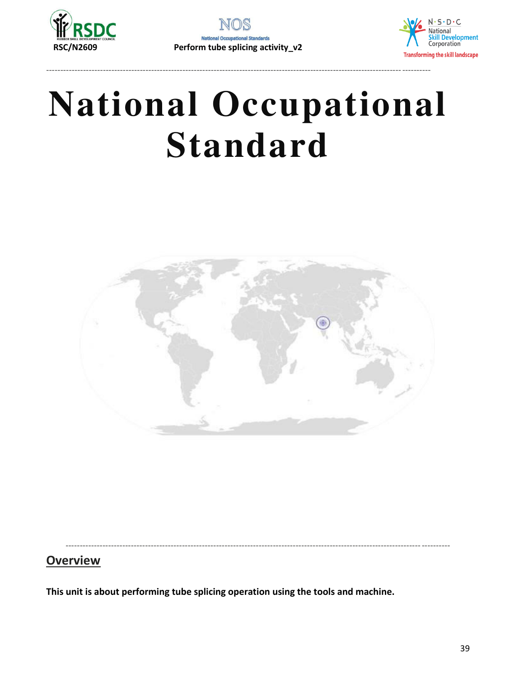

----------------------------------------------------------------------------------------------------------------------------- ----------



# **National Occupational Standard**



----------------------------------------------------------------------------------------------------------------------------- ----------

## **Overview**

**This unit is about performing tube splicing operation using the tools and machine.**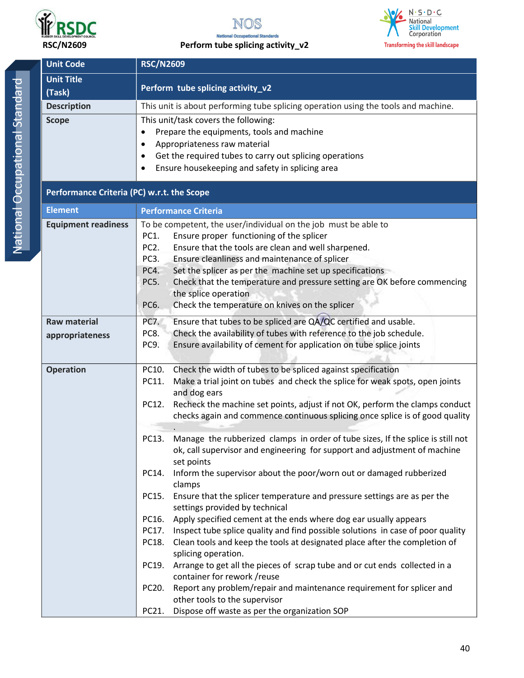



RSC/N2609 **Perform tube splicing activity\_v2** 

| <b>Unit Code</b>                           | <b>RSC/N2609</b>                                                                                           |  |
|--------------------------------------------|------------------------------------------------------------------------------------------------------------|--|
| <b>Unit Title</b><br>(Task)                | Perform tube splicing activity_v2                                                                          |  |
| <b>Description</b>                         | This unit is about performing tube splicing operation using the tools and machine.                         |  |
| <b>Scope</b>                               | This unit/task covers the following:                                                                       |  |
|                                            | Prepare the equipments, tools and machine<br>$\bullet$                                                     |  |
|                                            | Appropriateness raw material<br>$\bullet$                                                                  |  |
|                                            | Get the required tubes to carry out splicing operations                                                    |  |
|                                            | Ensure housekeeping and safety in splicing area<br>٠                                                       |  |
| Performance Criteria (PC) w.r.t. the Scope |                                                                                                            |  |
| <b>Element</b>                             | <b>Performance Criteria</b>                                                                                |  |
| <b>Equipment readiness</b>                 | To be competent, the user/individual on the job must be able to                                            |  |
|                                            | Ensure proper functioning of the splicer<br>PC1.                                                           |  |
|                                            | PC <sub>2</sub> .<br>Ensure that the tools are clean and well sharpened.                                   |  |
|                                            | Ensure cleanliness and maintenance of splicer<br>PC <sub>3</sub> .                                         |  |
|                                            | Set the splicer as per the machine set up specifications<br>PC4.                                           |  |
|                                            | Check that the temperature and pressure setting are OK before commencing<br>PC5.                           |  |
|                                            | the splice operation                                                                                       |  |
|                                            | PC6.<br>Check the temperature on knives on the splicer                                                     |  |
| <b>Raw material</b>                        | Ensure that tubes to be spliced are QA/QC certified and usable.<br>PC7.                                    |  |
| appropriateness                            | Check the availability of tubes with reference to the job schedule.<br>PC8.                                |  |
|                                            | Ensure availability of cement for application on tube splice joints<br>PC9.                                |  |
|                                            | Check the width of tubes to be spliced against specification<br>PC10.                                      |  |
| <b>Operation</b>                           | Make a trial joint on tubes and check the splice for weak spots, open joints<br>PC11.                      |  |
|                                            | and dog ears                                                                                               |  |
|                                            | PC12.<br>Recheck the machine set points, adjust if not OK, perform the clamps conduct                      |  |
|                                            | checks again and commence continuous splicing once splice is of good quality                               |  |
|                                            |                                                                                                            |  |
|                                            | PC13. Manage the rubberized clamps in order of tube sizes, If the splice is still not                      |  |
|                                            | ok, call supervisor and engineering for support and adjustment of machine                                  |  |
|                                            | set points                                                                                                 |  |
|                                            | Inform the supervisor about the poor/worn out or damaged rubberized<br>PC14.                               |  |
|                                            | clamps                                                                                                     |  |
|                                            | Ensure that the splicer temperature and pressure settings are as per the<br>PC15.                          |  |
|                                            | settings provided by technical                                                                             |  |
|                                            | PC16.<br>Apply specified cement at the ends where dog ear usually appears                                  |  |
|                                            | Inspect tube splice quality and find possible solutions in case of poor quality<br>PC17.                   |  |
|                                            | Clean tools and keep the tools at designated place after the completion of<br>PC18.<br>splicing operation. |  |
|                                            | PC19.<br>Arrange to get all the pieces of scrap tube and or cut ends collected in a                        |  |
|                                            | container for rework / reuse                                                                               |  |
|                                            | PC20.<br>Report any problem/repair and maintenance requirement for splicer and                             |  |
|                                            | other tools to the supervisor                                                                              |  |
|                                            | Dispose off waste as per the organization SOP<br>PC21.                                                     |  |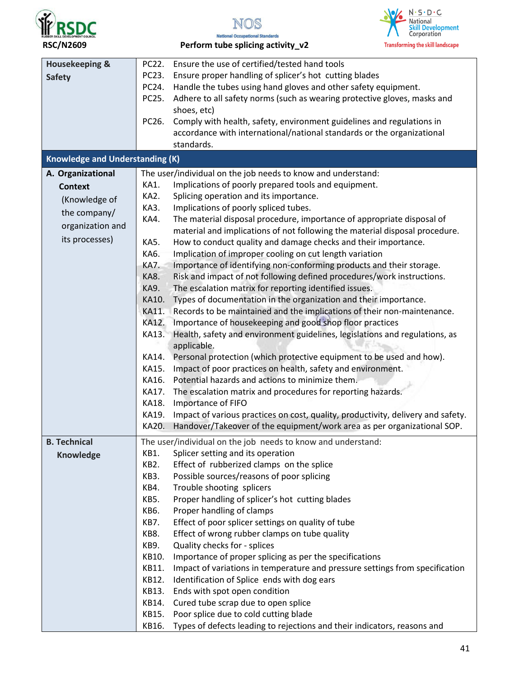



| <b>Housekeeping &amp;</b>              | PC22.       | Ensure the use of certified/tested hand tools                                    |
|----------------------------------------|-------------|----------------------------------------------------------------------------------|
| <b>Safety</b>                          | PC23.       | Ensure proper handling of splicer's hot cutting blades                           |
|                                        | PC24.       | Handle the tubes using hand gloves and other safety equipment.                   |
|                                        | PC25.       | Adhere to all safety norms (such as wearing protective gloves, masks and         |
|                                        |             | shoes, etc)                                                                      |
|                                        | PC26.       | Comply with health, safety, environment guidelines and regulations in            |
|                                        |             | accordance with international/national standards or the organizational           |
|                                        |             | standards.                                                                       |
| <b>Knowledge and Understanding (K)</b> |             |                                                                                  |
|                                        |             |                                                                                  |
| A. Organizational                      |             | The user/individual on the job needs to know and understand:                     |
| <b>Context</b>                         | KA1.        | Implications of poorly prepared tools and equipment.                             |
| (Knowledge of                          | KA2.        | Splicing operation and its importance.                                           |
| the company/                           | KA3.        | Implications of poorly spliced tubes.                                            |
| organization and                       | KA4.        | The material disposal procedure, importance of appropriate disposal of           |
|                                        |             | material and implications of not following the material disposal procedure.      |
| its processes)                         | <b>KA5.</b> | How to conduct quality and damage checks and their importance.                   |
|                                        | KA6.        | Implication of improper cooling on cut length variation                          |
|                                        | KA7.        | Importance of identifying non-conforming products and their storage.             |
|                                        | KA8.        | Risk and impact of not following defined procedures/work instructions.           |
|                                        | KA9.        | The escalation matrix for reporting identified issues.                           |
|                                        | KA10.       | Types of documentation in the organization and their importance.                 |
|                                        | KA11.       | Records to be maintained and the implications of their non-maintenance.          |
|                                        | KA12.       | Importance of housekeeping and good shop floor practices                         |
|                                        | KA13.       | Health, safety and environment guidelines, legislations and regulations, as      |
|                                        |             | applicable.                                                                      |
|                                        | KA14.       | Personal protection (which protective equipment to be used and how).             |
|                                        | KA15.       | Impact of poor practices on health, safety and environment.                      |
|                                        | KA16.       | Potential hazards and actions to minimize them.                                  |
|                                        | KA17.       | The escalation matrix and procedures for reporting hazards.                      |
|                                        | KA18.       | Importance of FIFO                                                               |
|                                        | KA19.       | Impact of various practices on cost, quality, productivity, delivery and safety. |
|                                        | KA20.       | Handover/Takeover of the equipment/work area as per organizational SOP.          |
| <b>B. Technical</b>                    |             | The user/individual on the job needs to know and understand:                     |
|                                        | KB1.        | Splicer setting and its operation                                                |
| Knowledge                              | KB2.        | Effect of rubberized clamps on the splice                                        |
|                                        | KB3.        | Possible sources/reasons of poor splicing                                        |
|                                        | KB4.        | Trouble shooting splicers                                                        |
|                                        | KB5.        | Proper handling of splicer's hot cutting blades                                  |
|                                        | KB6.        | Proper handling of clamps                                                        |
|                                        | KB7.        | Effect of poor splicer settings on quality of tube                               |
|                                        | KB8.        | Effect of wrong rubber clamps on tube quality                                    |
|                                        | KB9.        |                                                                                  |
|                                        | KB10.       | Quality checks for - splices                                                     |
|                                        |             | Importance of proper splicing as per the specifications                          |
|                                        | KB11.       | Impact of variations in temperature and pressure settings from specification     |
|                                        | KB12.       | Identification of Splice ends with dog ears                                      |
|                                        | KB13.       | Ends with spot open condition                                                    |
|                                        | KB14.       | Cured tube scrap due to open splice                                              |
|                                        | KB15.       | Poor splice due to cold cutting blade                                            |
|                                        | KB16.       | Types of defects leading to rejections and their indicators, reasons and         |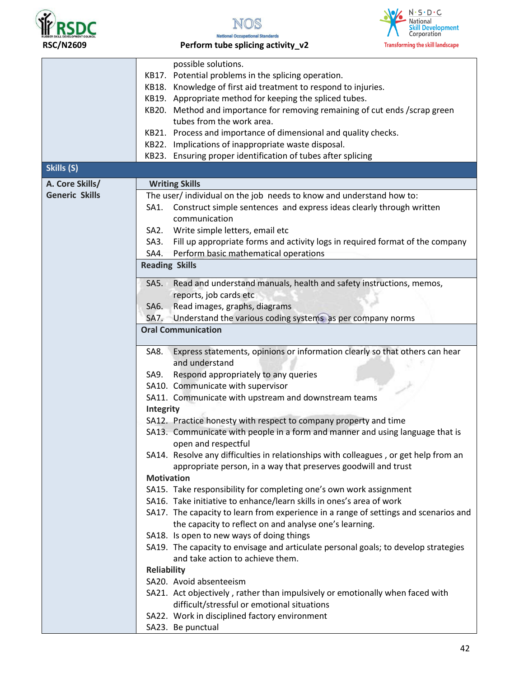



RSC/N2609 **Perform tube splicing activity\_v2** 

|                       | possible solutions.                                                                                                     |
|-----------------------|-------------------------------------------------------------------------------------------------------------------------|
|                       | KB17. Potential problems in the splicing operation.                                                                     |
|                       | KB18. Knowledge of first aid treatment to respond to injuries.                                                          |
|                       | KB19. Appropriate method for keeping the spliced tubes.                                                                 |
|                       | KB20. Method and importance for removing remaining of cut ends /scrap green                                             |
|                       | tubes from the work area.                                                                                               |
|                       | KB21. Process and importance of dimensional and quality checks.                                                         |
|                       | KB22. Implications of inappropriate waste disposal.                                                                     |
|                       | KB23. Ensuring proper identification of tubes after splicing                                                            |
| Skills (S)            |                                                                                                                         |
| A. Core Skills/       | <b>Writing Skills</b>                                                                                                   |
| <b>Generic Skills</b> | The user/ individual on the job needs to know and understand how to:                                                    |
|                       | Construct simple sentences and express ideas clearly through written<br>SA1.                                            |
|                       | communication                                                                                                           |
|                       | Write simple letters, email etc<br>SA <sub>2</sub> .                                                                    |
|                       | Fill up appropriate forms and activity logs in required format of the company<br>SA3.                                   |
|                       | Perform basic mathematical operations<br>SA4.                                                                           |
|                       | <b>Reading Skills</b>                                                                                                   |
|                       |                                                                                                                         |
|                       | Read and understand manuals, health and safety instructions, memos,<br>SA5.                                             |
|                       | reports, job cards etc                                                                                                  |
|                       | Read images, graphs, diagrams<br>SA6.                                                                                   |
|                       | SA7. Understand the various coding systems as per company norms                                                         |
|                       | <b>Oral Communication</b>                                                                                               |
|                       | Express statements, opinions or information clearly so that others can hear<br>SA8.                                     |
|                       | and understand                                                                                                          |
|                       | Respond appropriately to any queries<br>SA9.                                                                            |
|                       | SA10. Communicate with supervisor                                                                                       |
|                       | SA11. Communicate with upstream and downstream teams                                                                    |
|                       | <b>Integrity</b>                                                                                                        |
|                       | SA12. Practice honesty with respect to company property and time                                                        |
|                       | SA13. Communicate with people in a form and manner and using language that is                                           |
|                       | open and respectful                                                                                                     |
|                       | SA14. Resolve any difficulties in relationships with colleagues, or get help from an                                    |
|                       | appropriate person, in a way that preserves goodwill and trust                                                          |
|                       | <b>Motivation</b>                                                                                                       |
|                       | SA15. Take responsibility for completing one's own work assignment                                                      |
|                       | SA16. Take initiative to enhance/learn skills in ones's area of work                                                    |
|                       | SA17. The capacity to learn from experience in a range of settings and scenarios and                                    |
|                       | the capacity to reflect on and analyse one's learning.                                                                  |
|                       | SA18. Is open to new ways of doing things                                                                               |
|                       | SA19. The capacity to envisage and articulate personal goals; to develop strategies<br>and take action to achieve them. |
|                       | <b>Reliability</b>                                                                                                      |
|                       | SA20. Avoid absenteeism                                                                                                 |
|                       | SA21. Act objectively, rather than impulsively or emotionally when faced with                                           |
|                       | difficult/stressful or emotional situations                                                                             |
|                       | SA22. Work in disciplined factory environment                                                                           |
|                       | SA23. Be punctual                                                                                                       |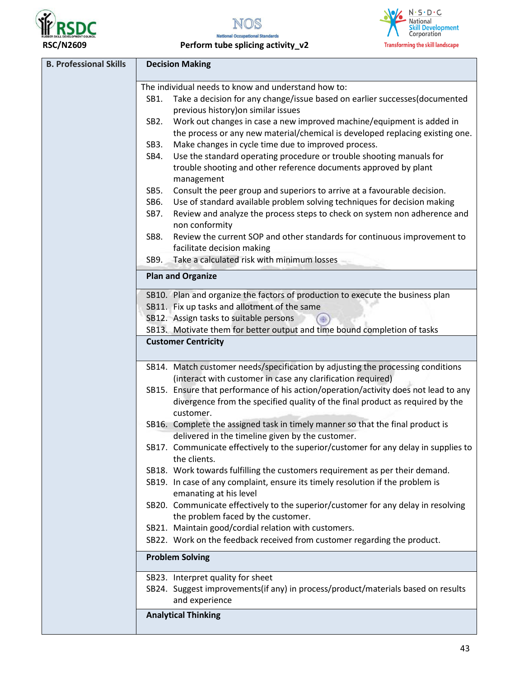



RSC/N2609 **Perform tube splicing activity\_v2** 

| <b>B. Professional Skills</b> | <b>Decision Making</b>                                                                                                                         |
|-------------------------------|------------------------------------------------------------------------------------------------------------------------------------------------|
|                               | The individual needs to know and understand how to:                                                                                            |
|                               | Take a decision for any change/issue based on earlier successes(documented<br>SB1.<br>previous history) on similar issues                      |
|                               | Work out changes in case a new improved machine/equipment is added in<br>SB <sub>2</sub> .                                                     |
|                               | the process or any new material/chemical is developed replacing existing one.                                                                  |
|                               | Make changes in cycle time due to improved process.<br>SB3.                                                                                    |
|                               | Use the standard operating procedure or trouble shooting manuals for<br>SB4.                                                                   |
|                               | trouble shooting and other reference documents approved by plant<br>management                                                                 |
|                               | Consult the peer group and superiors to arrive at a favourable decision.<br>SB5.                                                               |
|                               | Use of standard available problem solving techniques for decision making<br>SB6.                                                               |
|                               | Review and analyze the process steps to check on system non adherence and<br>SB7.<br>non conformity                                            |
|                               | Review the current SOP and other standards for continuous improvement to<br>SB8.                                                               |
|                               | facilitate decision making                                                                                                                     |
|                               | Take a calculated risk with minimum losses<br>SB9.                                                                                             |
|                               | <b>Plan and Organize</b>                                                                                                                       |
|                               | SB10. Plan and organize the factors of production to execute the business plan                                                                 |
|                               | SB11. Fix up tasks and allotment of the same                                                                                                   |
|                               | SB12. Assign tasks to suitable persons                                                                                                         |
|                               | SB13. Motivate them for better output and time bound completion of tasks                                                                       |
|                               | <b>Customer Centricity</b>                                                                                                                     |
|                               | SB14. Match customer needs/specification by adjusting the processing conditions<br>(interact with customer in case any clarification required) |
|                               | SB15. Ensure that performance of his action/operation/activity does not lead to any                                                            |
|                               | divergence from the specified quality of the final product as required by the                                                                  |
|                               | customer.                                                                                                                                      |
|                               | SB16. Complete the assigned task in timely manner so that the final product is<br>delivered in the timeline given by the customer.             |
|                               | SB17. Communicate effectively to the superior/customer for any delay in supplies to<br>the clients.                                            |
|                               | SB18. Work towards fulfilling the customers requirement as per their demand.                                                                   |
|                               | SB19. In case of any complaint, ensure its timely resolution if the problem is<br>emanating at his level                                       |
|                               | SB20. Communicate effectively to the superior/customer for any delay in resolving                                                              |
|                               | the problem faced by the customer.                                                                                                             |
|                               | SB21. Maintain good/cordial relation with customers.                                                                                           |
|                               | SB22. Work on the feedback received from customer regarding the product.                                                                       |
|                               | <b>Problem Solving</b>                                                                                                                         |
|                               | SB23. Interpret quality for sheet                                                                                                              |
|                               | SB24. Suggest improvements(if any) in process/product/materials based on results<br>and experience                                             |
|                               | <b>Analytical Thinking</b>                                                                                                                     |
|                               |                                                                                                                                                |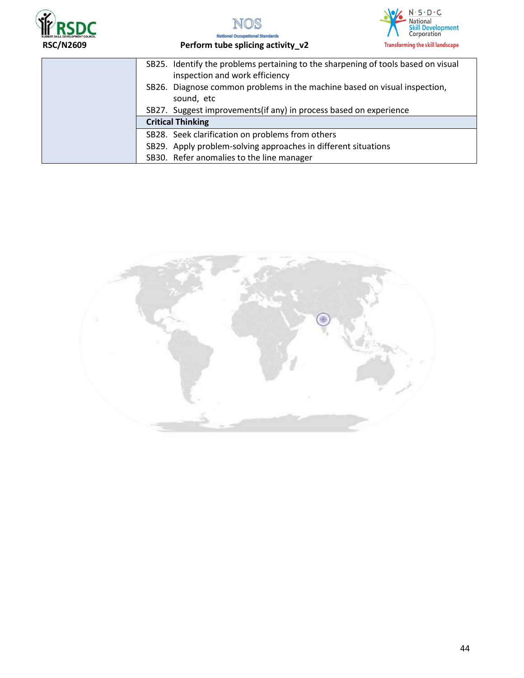





| SB25. Identify the problems pertaining to the sharpening of tools based on visual<br>inspection and work efficiency                                           |
|---------------------------------------------------------------------------------------------------------------------------------------------------------------|
| SB26. Diagnose common problems in the machine based on visual inspection,<br>sound, etc<br>SB27. Suggest improvements (if any) in process based on experience |
| <b>Critical Thinking</b>                                                                                                                                      |
| SB28. Seek clarification on problems from others                                                                                                              |
| SB29. Apply problem-solving approaches in different situations                                                                                                |
| SB30. Refer anomalies to the line manager                                                                                                                     |

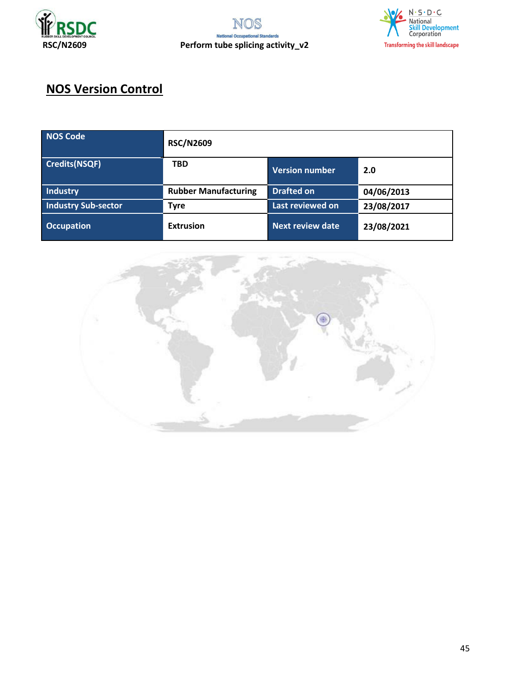



# **NOS Version Control**

| NOS Code                   | <b>RSC/N2609</b>            |                         |            |
|----------------------------|-----------------------------|-------------------------|------------|
| Credits(NSQF)              | <b>TBD</b>                  | Version number          | 2.0        |
| <b>Industry</b>            | <b>Rubber Manufacturing</b> | <b>Drafted on</b>       | 04/06/2013 |
| <b>Industry Sub-sector</b> | <b>Tyre</b>                 | Last reviewed on        | 23/08/2017 |
| <b>Occupation</b>          | <b>Extrusion</b>            | <b>Next review date</b> | 23/08/2021 |

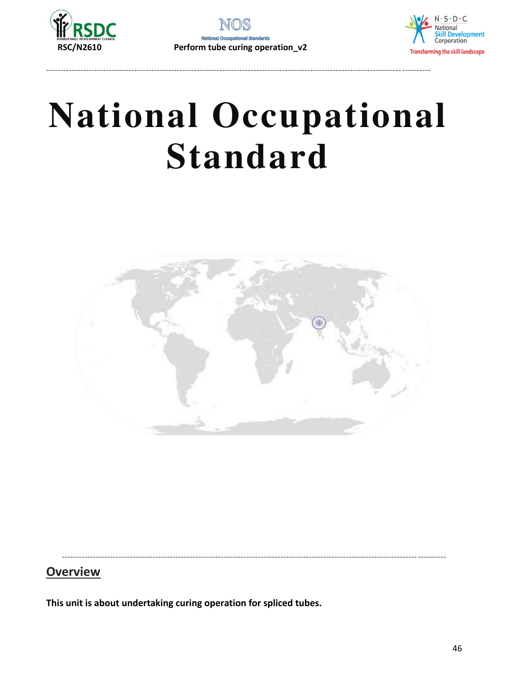

----------------------------------------------------------------------------------------------------------------------------- ----------



# **National Occupational Standard**



----------------------------------------------------------------------------------------------------------------------------- ----------

## **Overview**

**This unit is about undertaking curing operation for spliced tubes.**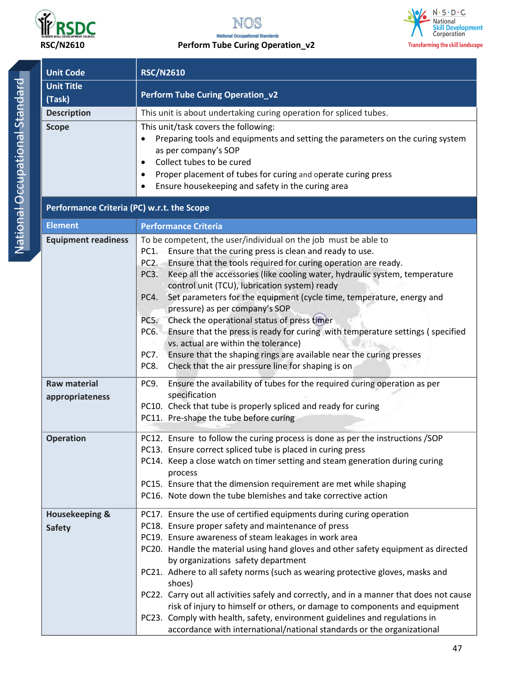

#### **RSC/N2610 Perform Tube Curing Operation\_v2**



**Unit Code | RSC/N2610 Unit Title (Task) Perform Tube Curing Operation\_v2 Description This unit is about undertaking curing operation for spliced tubes. Scope This unit/task covers the following:** • Preparing tools and equipments and setting the parameters on the curing system as per company͛s SOP • Collect tubes to be cured Proper placement of tubes for curing and operate curing press Ensure housekeeping and safety in the curing area **Performance Criteria (PC) w.r.t. the Scope Element** Performance Criteria **Equipment readiness** To be competent, the user/individual on the job must be able to PC1. Ensure that the curing press is clean and ready to use. PC2. Ensure that the tools required for curing operation are ready. PC3. Keep all the accessories (like cooling water, hydraulic system, temperature control unit (TCU), lubrication system) ready PC4. Set parameters for the equipment (cycle time, temperature, energy and pressure) as per company's SOP PC5. Check the operational status of press timer PC6. Ensure that the press is ready for curing with temperature settings ( specified vs. actual are within the tolerance) PC7. Ensure that the shaping rings are available near the curing presses PC8. Check that the air pressure line for shaping is on **Raw material appropriateness**  PC9. Ensure the availability of tubes for the required curing operation as per specification PC10. Check that tube is properly spliced and ready for curing PC11. Pre-shape the tube before curing **Operation PC12.** Ensure to follow the curing process is done as per the instructions /SOP PC13. Ensure correct spliced tube is placed in curing press PC14. Keep a close watch on timer setting and steam generation during curing process PC15. Ensure that the dimension requirement are met while shaping PC16. Note down the tube blemishes and take corrective action **Housekeeping & Safety**  PC17. Ensure the use of certified equipments during curing operation PC18. Ensure proper safety and maintenance of press PC19. Ensure awareness of steam leakages in work area PC20. Handle the material using hand gloves and other safety equipment as directed by organizations safety department PC21. Adhere to all safety norms (such as wearing protective gloves, masks and shoes) PC22. Carry out all activities safely and correctly, and in a manner that does not cause risk of injury to himself or others, or damage to components and equipment PC23. Comply with health, safety, environment guidelines and regulations in accordance with international/national standards or the organizational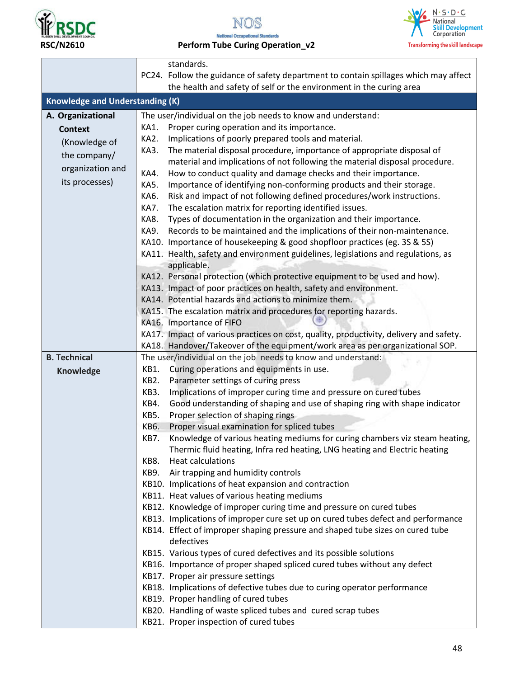



 **RSC/N2610 Perform Tube Curing Operation\_v2** 



|                                        | standards.                                                                                     |  |  |
|----------------------------------------|------------------------------------------------------------------------------------------------|--|--|
|                                        | PC24. Follow the guidance of safety department to contain spillages which may affect           |  |  |
|                                        | the health and safety of self or the environment in the curing area                            |  |  |
| <b>Knowledge and Understanding (K)</b> |                                                                                                |  |  |
| A. Organizational                      | The user/individual on the job needs to know and understand:                                   |  |  |
| <b>Context</b>                         | Proper curing operation and its importance.<br>KA1.                                            |  |  |
| (Knowledge of                          | Implications of poorly prepared tools and material.<br>KA2.                                    |  |  |
| the company/                           | KA3.<br>The material disposal procedure, importance of appropriate disposal of                 |  |  |
|                                        | material and implications of not following the material disposal procedure.                    |  |  |
| organization and                       | How to conduct quality and damage checks and their importance.<br>KA4.                         |  |  |
| its processes)                         | KA5.<br>Importance of identifying non-conforming products and their storage.                   |  |  |
|                                        | KA6.<br>Risk and impact of not following defined procedures/work instructions.                 |  |  |
|                                        | The escalation matrix for reporting identified issues.<br>KA7.                                 |  |  |
|                                        | KA8.<br>Types of documentation in the organization and their importance.                       |  |  |
|                                        | KA9.<br>Records to be maintained and the implications of their non-maintenance.                |  |  |
|                                        | KA10. Importance of housekeeping & good shopfloor practices (eg. 3S & 5S)                      |  |  |
|                                        | KA11. Health, safety and environment guidelines, legislations and regulations, as              |  |  |
|                                        | applicable.                                                                                    |  |  |
|                                        | KA12. Personal protection (which protective equipment to be used and how).                     |  |  |
|                                        | KA13. Impact of poor practices on health, safety and environment.                              |  |  |
|                                        | KA14. Potential hazards and actions to minimize them.                                          |  |  |
|                                        | KA15. The escalation matrix and procedures for reporting hazards.                              |  |  |
|                                        | KA16. Importance of FIFO                                                                       |  |  |
|                                        | KA17. Impact of various practices on cost, quality, productivity, delivery and safety.         |  |  |
|                                        | KA18. Handover/Takeover of the equipment/work area as per organizational SOP.                  |  |  |
| <b>B. Technical</b>                    | The user/individual on the job needs to know and understand:                                   |  |  |
| <b>Knowledge</b>                       | Curing operations and equipments in use.<br>KB1.<br>Parameter settings of curing press<br>KB2. |  |  |
|                                        | Implications of improper curing time and pressure on cured tubes<br>KB3.                       |  |  |
|                                        | Good understanding of shaping and use of shaping ring with shape indicator<br>KB4.             |  |  |
|                                        | KB5.<br>Proper selection of shaping rings                                                      |  |  |
|                                        | Proper visual examination for spliced tubes<br>KB6.                                            |  |  |
|                                        | Knowledge of various heating mediums for curing chambers viz steam heating,<br>KB7.            |  |  |
|                                        | Thermic fluid heating, Infra red heating, LNG heating and Electric heating                     |  |  |
|                                        | Heat calculations<br>KB8.                                                                      |  |  |
|                                        | KB9. Air trapping and humidity controls                                                        |  |  |
|                                        | KB10. Implications of heat expansion and contraction                                           |  |  |
|                                        | KB11. Heat values of various heating mediums                                                   |  |  |
|                                        | KB12. Knowledge of improper curing time and pressure on cured tubes                            |  |  |
|                                        | KB13. Implications of improper cure set up on cured tubes defect and performance               |  |  |
|                                        | KB14. Effect of improper shaping pressure and shaped tube sizes on cured tube                  |  |  |
|                                        | defectives                                                                                     |  |  |
|                                        | KB15. Various types of cured defectives and its possible solutions                             |  |  |
|                                        | KB16. Importance of proper shaped spliced cured tubes without any defect                       |  |  |
|                                        | KB17. Proper air pressure settings                                                             |  |  |
|                                        | KB18. Implications of defective tubes due to curing operator performance                       |  |  |
|                                        | KB19. Proper handling of cured tubes                                                           |  |  |
|                                        | KB20. Handling of waste spliced tubes and cured scrap tubes                                    |  |  |
|                                        | KB21. Proper inspection of cured tubes                                                         |  |  |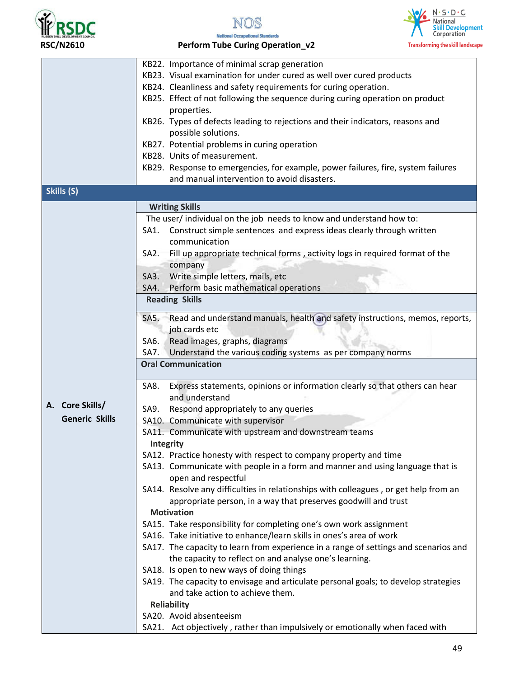

NOS



**National Occupational Standards RSC/N2610 Perform Tube Curing Operation\_v2** 

|                       | KB22. Importance of minimal scrap generation                                         |
|-----------------------|--------------------------------------------------------------------------------------|
|                       | KB23. Visual examination for under cured as well over cured products                 |
|                       | KB24. Cleanliness and safety requirements for curing operation.                      |
|                       | KB25. Effect of not following the sequence during curing operation on product        |
|                       | properties.                                                                          |
|                       | KB26. Types of defects leading to rejections and their indicators, reasons and       |
|                       | possible solutions.                                                                  |
|                       | KB27. Potential problems in curing operation                                         |
|                       | KB28. Units of measurement.                                                          |
|                       |                                                                                      |
|                       | KB29. Response to emergencies, for example, power failures, fire, system failures    |
|                       | and manual intervention to avoid disasters.                                          |
| Skills (S)            |                                                                                      |
|                       | <b>Writing Skills</b>                                                                |
|                       | The user/individual on the job needs to know and understand how to:                  |
|                       | Construct simple sentences and express ideas clearly through written<br>SA1.         |
|                       | communication                                                                        |
|                       | Fill up appropriate technical forms, activity logs in required format of the<br>SA2. |
|                       | company                                                                              |
|                       | Write simple letters, mails, etc<br>SA3.                                             |
|                       | Perform basic mathematical operations<br>SA4.                                        |
|                       | <b>Reading Skills</b>                                                                |
|                       |                                                                                      |
|                       | Read and understand manuals, health and safety instructions, memos, reports,<br>SA5. |
|                       | job cards etc                                                                        |
|                       | Read images, graphs, diagrams<br>SAG.                                                |
|                       | Understand the various coding systems as per company norms<br>SA7.                   |
|                       | <b>Oral Communication</b>                                                            |
|                       | Express statements, opinions or information clearly so that others can hear<br>SA8.  |
|                       | and understand                                                                       |
| A. Core Skills/       | SA9.                                                                                 |
| <b>Generic Skills</b> | Respond appropriately to any queries                                                 |
|                       | SA10. Communicate with supervisor                                                    |
|                       | SA11. Communicate with upstream and downstream teams                                 |
|                       | Integrity                                                                            |
|                       | SA12. Practice honesty with respect to company property and time                     |
|                       | SA13. Communicate with people in a form and manner and using language that is        |
|                       | open and respectful                                                                  |
|                       | SA14. Resolve any difficulties in relationships with colleagues, or get help from an |
|                       | appropriate person, in a way that preserves goodwill and trust                       |
|                       | <b>Motivation</b>                                                                    |
|                       | SA15. Take responsibility for completing one's own work assignment                   |
|                       | SA16. Take initiative to enhance/learn skills in ones's area of work                 |
|                       | SA17. The capacity to learn from experience in a range of settings and scenarios and |
|                       | the capacity to reflect on and analyse one's learning.                               |
|                       | SA18. Is open to new ways of doing things                                            |
|                       | SA19. The capacity to envisage and articulate personal goals; to develop strategies  |
|                       | and take action to achieve them.                                                     |
|                       | <b>Reliability</b>                                                                   |
|                       | SA20. Avoid absenteeism                                                              |
|                       | SA21. Act objectively, rather than impulsively or emotionally when faced with        |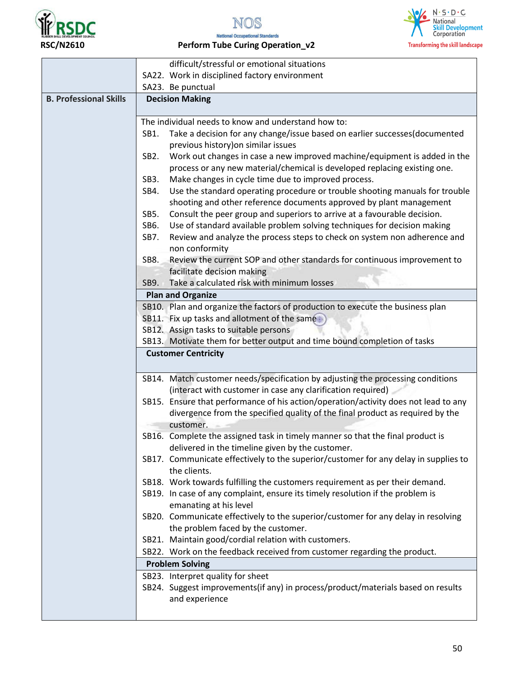

 $\blacksquare$ 







### **RSC/N2610 Perform Tube Curing Operation\_v2**

|                               | difficult/stressful or emotional situations                                                                                                                                                                                                             |
|-------------------------------|---------------------------------------------------------------------------------------------------------------------------------------------------------------------------------------------------------------------------------------------------------|
|                               | SA22. Work in disciplined factory environment                                                                                                                                                                                                           |
|                               | SA23. Be punctual                                                                                                                                                                                                                                       |
| <b>B. Professional Skills</b> | <b>Decision Making</b>                                                                                                                                                                                                                                  |
|                               | The individual needs to know and understand how to:                                                                                                                                                                                                     |
|                               | Take a decision for any change/issue based on earlier successes(documented<br>SB1.<br>previous history) on similar issues                                                                                                                               |
|                               | SB <sub>2</sub> .<br>Work out changes in case a new improved machine/equipment is added in the<br>process or any new material/chemical is developed replacing existing one.<br>Make changes in cycle time due to improved process.<br>SB <sub>3</sub> . |
|                               | Use the standard operating procedure or trouble shooting manuals for trouble<br>SB4.<br>shooting and other reference documents approved by plant management                                                                                             |
|                               | Consult the peer group and superiors to arrive at a favourable decision.<br>SB5.                                                                                                                                                                        |
|                               | Use of standard available problem solving techniques for decision making<br>SB6.                                                                                                                                                                        |
|                               | Review and analyze the process steps to check on system non adherence and<br>SB7.<br>non conformity                                                                                                                                                     |
|                               | Review the current SOP and other standards for continuous improvement to<br>SB8.                                                                                                                                                                        |
|                               | facilitate decision making                                                                                                                                                                                                                              |
|                               | Take a calculated risk with minimum losses<br>SB9.                                                                                                                                                                                                      |
|                               | <b>Plan and Organize</b>                                                                                                                                                                                                                                |
|                               | SB10. Plan and organize the factors of production to execute the business plan                                                                                                                                                                          |
|                               | SB11. Fix up tasks and allotment of the same                                                                                                                                                                                                            |
|                               | SB12. Assign tasks to suitable persons                                                                                                                                                                                                                  |
|                               | SB13. Motivate them for better output and time bound completion of tasks                                                                                                                                                                                |
|                               | <b>Customer Centricity</b>                                                                                                                                                                                                                              |
|                               | SB14. Match customer needs/specification by adjusting the processing conditions<br>(interact with customer in case any clarification required)                                                                                                          |
|                               | SB15. Ensure that performance of his action/operation/activity does not lead to any<br>divergence from the specified quality of the final product as required by the<br>customer.                                                                       |
|                               | SB16. Complete the assigned task in timely manner so that the final product is                                                                                                                                                                          |
|                               | delivered in the timeline given by the customer.                                                                                                                                                                                                        |
|                               | SB17. Communicate effectively to the superior/customer for any delay in supplies to<br>the clients.                                                                                                                                                     |
|                               | SB18. Work towards fulfilling the customers requirement as per their demand.                                                                                                                                                                            |
|                               | SB19. In case of any complaint, ensure its timely resolution if the problem is<br>emanating at his level                                                                                                                                                |
|                               | SB20. Communicate effectively to the superior/customer for any delay in resolving<br>the problem faced by the customer.                                                                                                                                 |
|                               | SB21. Maintain good/cordial relation with customers.                                                                                                                                                                                                    |
|                               | SB22. Work on the feedback received from customer regarding the product.                                                                                                                                                                                |
|                               | <b>Problem Solving</b>                                                                                                                                                                                                                                  |
|                               | SB23. Interpret quality for sheet                                                                                                                                                                                                                       |
|                               | SB24. Suggest improvements(if any) in process/product/materials based on results<br>and experience                                                                                                                                                      |
|                               |                                                                                                                                                                                                                                                         |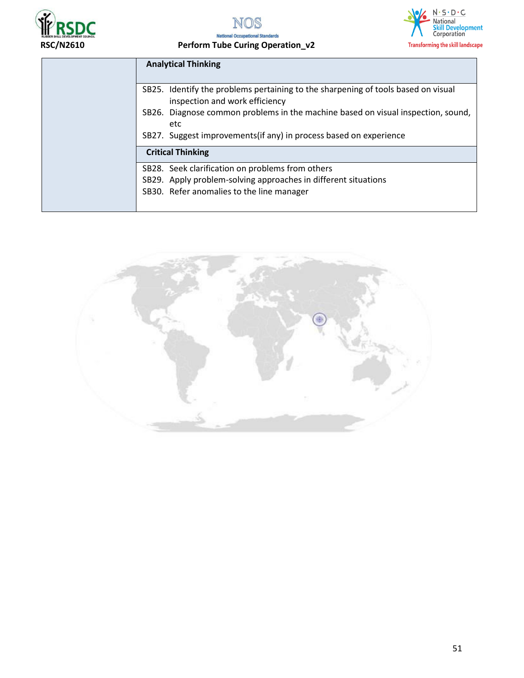



## **RSC/N2610 Perform Tube Curing Operation\_v2**

| <b>Analytical Thinking</b>                                                                                                                                    |
|---------------------------------------------------------------------------------------------------------------------------------------------------------------|
| SB25. Identify the problems pertaining to the sharpening of tools based on visual<br>inspection and work efficiency                                           |
| SB26. Diagnose common problems in the machine based on visual inspection, sound,<br>etc<br>SB27. Suggest improvements (if any) in process based on experience |
| <b>Critical Thinking</b>                                                                                                                                      |
| SB28. Seek clarification on problems from others                                                                                                              |
| SB29. Apply problem-solving approaches in different situations<br>SB30. Refer anomalies to the line manager                                                   |

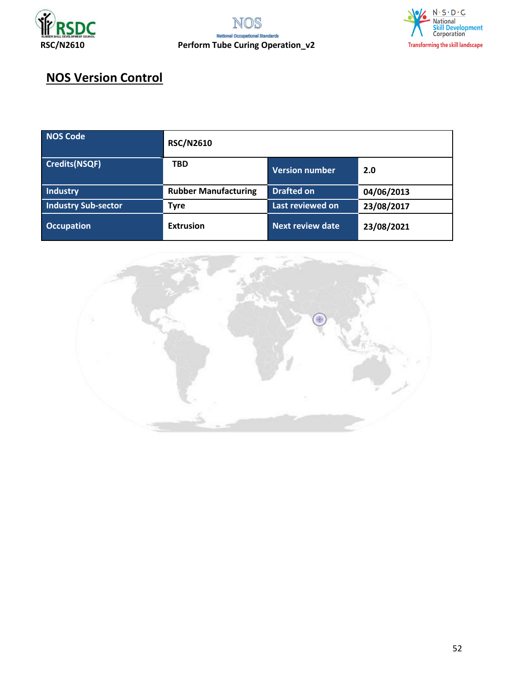



## **NOS Version Control**

| NOS Code                   | <b>RSC/N2610</b>            |                         |            |
|----------------------------|-----------------------------|-------------------------|------------|
| Credits(NSQF)              | <b>TBD</b>                  | Version number          | 2.0        |
| Industry                   | <b>Rubber Manufacturing</b> | <b>Drafted on</b>       | 04/06/2013 |
| <b>Industry Sub-sector</b> | <b>Tyre</b>                 | Last reviewed on        | 23/08/2017 |
| <b>Occupation</b>          | <b>Extrusion</b>            | <b>Next review date</b> | 23/08/2021 |

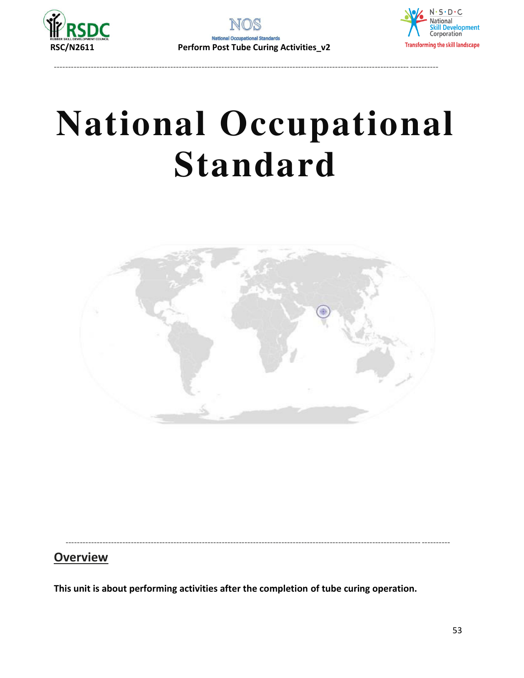

----------------------------------------------------------------------------------------------------------------------------- ----------



# **National Occupational Standard**



----------------------------------------------------------------------------------------------------------------------------- ----------

## **Overview**

**This unit is about performing activities after the completion of tube curing operation.**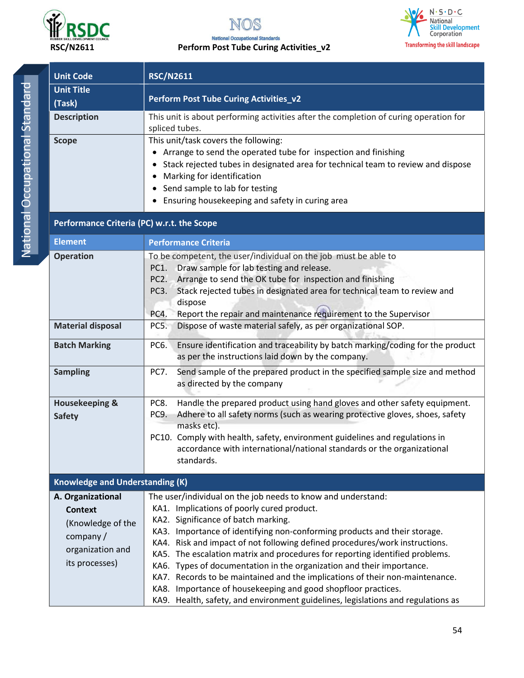

#### **National Occupational Standards RSC/N2611 Perform Post Tube Curing Activities\_v2**



| <b>Unit Code</b>                                   |                                                         | <b>RSC/N2611</b>                                                                                                                                                                                                                                                                                                                                                                                                                                                                                                                                                                                                                                                                                            |
|----------------------------------------------------|---------------------------------------------------------|-------------------------------------------------------------------------------------------------------------------------------------------------------------------------------------------------------------------------------------------------------------------------------------------------------------------------------------------------------------------------------------------------------------------------------------------------------------------------------------------------------------------------------------------------------------------------------------------------------------------------------------------------------------------------------------------------------------|
| <b>Unit Title</b><br>(Task)                        |                                                         | Perform Post Tube Curing Activities_v2                                                                                                                                                                                                                                                                                                                                                                                                                                                                                                                                                                                                                                                                      |
| <b>Description</b>                                 |                                                         | This unit is about performing activities after the completion of curing operation for<br>spliced tubes.                                                                                                                                                                                                                                                                                                                                                                                                                                                                                                                                                                                                     |
| <b>Scope</b>                                       |                                                         | This unit/task covers the following:<br>• Arrange to send the operated tube for inspection and finishing<br>Stack rejected tubes in designated area for technical team to review and dispose<br>٠<br>Marking for identification<br>• Send sample to lab for testing<br>Ensuring housekeeping and safety in curing area                                                                                                                                                                                                                                                                                                                                                                                      |
|                                                    |                                                         | Performance Criteria (PC) w.r.t. the Scope                                                                                                                                                                                                                                                                                                                                                                                                                                                                                                                                                                                                                                                                  |
| <b>Element</b>                                     |                                                         | <b>Performance Criteria</b>                                                                                                                                                                                                                                                                                                                                                                                                                                                                                                                                                                                                                                                                                 |
| <b>Operation</b>                                   |                                                         | To be competent, the user/individual on the job must be able to<br>Draw sample for lab testing and release.<br>PC1.<br>Arrange to send the OK tube for inspection and finishing<br>PC <sub>2</sub> .<br>Stack rejected tubes in designated area for technical team to review and<br>PC <sub>3</sub> .<br>dispose<br>Report the repair and maintenance requirement to the Supervisor<br>PC4.                                                                                                                                                                                                                                                                                                                 |
| <b>Material disposal</b>                           |                                                         | Dispose of waste material safely, as per organizational SOP.<br>PC5.                                                                                                                                                                                                                                                                                                                                                                                                                                                                                                                                                                                                                                        |
| <b>Batch Marking</b>                               |                                                         | Ensure identification and traceability by batch marking/coding for the product<br>PC6.<br>as per the instructions laid down by the company.                                                                                                                                                                                                                                                                                                                                                                                                                                                                                                                                                                 |
| <b>Sampling</b>                                    |                                                         | <b>PC7.</b><br>Send sample of the prepared product in the specified sample size and method<br>as directed by the company                                                                                                                                                                                                                                                                                                                                                                                                                                                                                                                                                                                    |
| <b>Housekeeping &amp;</b><br><b>Safety</b>         |                                                         | Handle the prepared product using hand gloves and other safety equipment.<br>PC8.<br>Adhere to all safety norms (such as wearing protective gloves, shoes, safety<br>PC9.<br>masks etc).<br>PC10. Comply with health, safety, environment guidelines and regulations in<br>accordance with international/national standards or the organizational<br>standards.                                                                                                                                                                                                                                                                                                                                             |
|                                                    | <b>Knowledge and Understanding (K)</b>                  |                                                                                                                                                                                                                                                                                                                                                                                                                                                                                                                                                                                                                                                                                                             |
| A. Organizational<br><b>Context</b><br>company $/$ | (Knowledge of the<br>organization and<br>its processes) | The user/individual on the job needs to know and understand:<br>KA1. Implications of poorly cured product.<br>KA2. Significance of batch marking.<br>KA3. Importance of identifying non-conforming products and their storage.<br>KA4. Risk and impact of not following defined procedures/work instructions.<br>KA5. The escalation matrix and procedures for reporting identified problems.<br>KA6. Types of documentation in the organization and their importance.<br>KA7. Records to be maintained and the implications of their non-maintenance.<br>KA8. Importance of housekeeping and good shopfloor practices.<br>KA9. Health, safety, and environment guidelines, legislations and regulations as |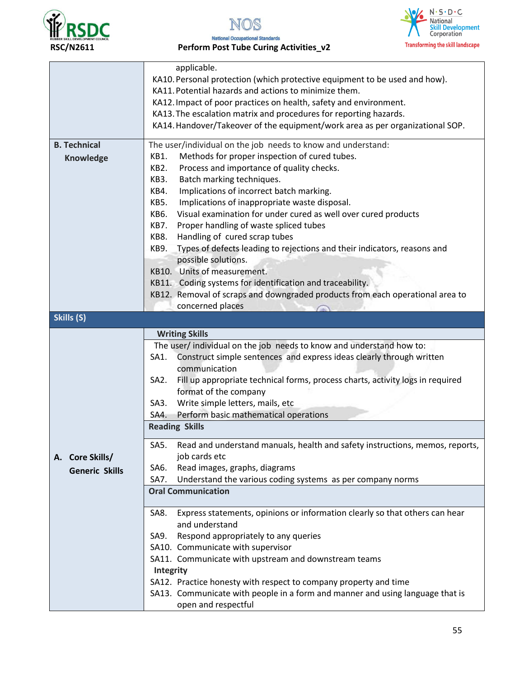





**RSC/N2611 Perform Post Tube Curing Activities\_v2** 

|                       | applicable.                                                                                           |
|-----------------------|-------------------------------------------------------------------------------------------------------|
|                       | KA10. Personal protection (which protective equipment to be used and how).                            |
|                       | KA11. Potential hazards and actions to minimize them.                                                 |
|                       | KA12. Impact of poor practices on health, safety and environment.                                     |
|                       | KA13. The escalation matrix and procedures for reporting hazards.                                     |
|                       | KA14. Handover/Takeover of the equipment/work area as per organizational SOP.                         |
| <b>B. Technical</b>   | The user/individual on the job needs to know and understand:                                          |
| <b>Knowledge</b>      | Methods for proper inspection of cured tubes.<br>KB1.                                                 |
|                       | KB2.<br>Process and importance of quality checks.                                                     |
|                       | KB3.<br>Batch marking techniques.                                                                     |
|                       | KB4.<br>Implications of incorrect batch marking.                                                      |
|                       | KB5.<br>Implications of inappropriate waste disposal.                                                 |
|                       | Visual examination for under cured as well over cured products<br>KB6.                                |
|                       | KB7.<br>Proper handling of waste spliced tubes                                                        |
|                       | KB8.<br>Handling of cured scrap tubes                                                                 |
|                       | Types of defects leading to rejections and their indicators, reasons and<br>KB9.                      |
|                       | possible solutions.                                                                                   |
|                       | KB10. Units of measurement.                                                                           |
|                       | KB11. Coding systems for identification and traceability.                                             |
|                       | KB12. Removal of scraps and downgraded products from each operational area to                         |
|                       | concerned places                                                                                      |
| Skills (S)            |                                                                                                       |
|                       | <b>Writing Skills</b>                                                                                 |
|                       | The user/ individual on the job needs to know and understand how to:                                  |
|                       | Construct simple sentences and express ideas clearly through written<br>SA1.                          |
|                       | communication                                                                                         |
|                       | SA <sub>2</sub> .<br>Fill up appropriate technical forms, process charts, activity logs in required   |
|                       | format of the company                                                                                 |
|                       | Write simple letters, mails, etc<br>SA3.                                                              |
|                       | Perform basic mathematical operations<br>SA4.                                                         |
|                       | <b>Reading Skills</b>                                                                                 |
|                       | Read and understand manuals, health and safety instructions, memos, reports,<br>SA5.                  |
| A. Core Skills/       | job cards etc                                                                                         |
| <b>Generic Skills</b> | Read images, graphs, diagrams<br>SA6.                                                                 |
|                       | Understand the various coding systems as per company norms<br>SA7.                                    |
|                       | <b>Oral Communication</b>                                                                             |
|                       |                                                                                                       |
|                       | Express statements, opinions or information clearly so that others can hear<br>SA8.<br>and understand |
|                       |                                                                                                       |
|                       | Respond appropriately to any queries<br>SA9.                                                          |
|                       | SA10. Communicate with supervisor                                                                     |
|                       | SA11. Communicate with upstream and downstream teams                                                  |
|                       | Integrity                                                                                             |
|                       | SA12. Practice honesty with respect to company property and time                                      |
|                       | SA13. Communicate with people in a form and manner and using language that is<br>open and respectful  |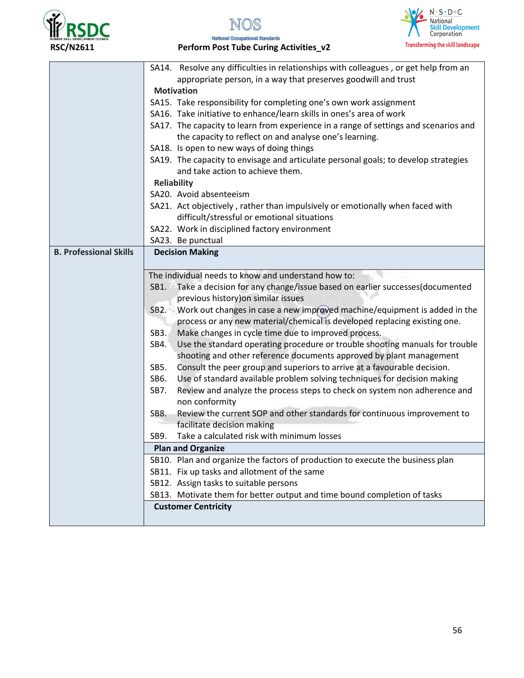



#### $\frac{N \cdot S \cdot D \cdot C}{\text{National}}$  $\mathcal{U}$ Skill Development<br>Corporation **Transforming the skill landscape**

### **RSC/N2611 Perform Post Tube Curing Activities\_v2**

|                               | SA14. Resolve any difficulties in relationships with colleagues, or get help from an                                      |
|-------------------------------|---------------------------------------------------------------------------------------------------------------------------|
|                               | appropriate person, in a way that preserves goodwill and trust                                                            |
|                               | <b>Motivation</b>                                                                                                         |
|                               | SA15. Take responsibility for completing one's own work assignment                                                        |
|                               | SA16. Take initiative to enhance/learn skills in ones's area of work                                                      |
|                               | SA17. The capacity to learn from experience in a range of settings and scenarios and                                      |
|                               | the capacity to reflect on and analyse one's learning.                                                                    |
|                               | SA18. Is open to new ways of doing things                                                                                 |
|                               | SA19. The capacity to envisage and articulate personal goals; to develop strategies<br>and take action to achieve them.   |
|                               | <b>Reliability</b>                                                                                                        |
|                               | SA20. Avoid absenteeism                                                                                                   |
|                               | SA21. Act objectively, rather than impulsively or emotionally when faced with                                             |
|                               | difficult/stressful or emotional situations                                                                               |
|                               | SA22. Work in disciplined factory environment                                                                             |
|                               | SA23. Be punctual                                                                                                         |
| <b>B. Professional Skills</b> | <b>Decision Making</b>                                                                                                    |
|                               |                                                                                                                           |
|                               | The individual needs to know and understand how to:                                                                       |
|                               | Take a decision for any change/issue based on earlier successes(documented<br>SB1.<br>previous history) on similar issues |
|                               | Work out changes in case a new improved machine/equipment is added in the<br>SB2.                                         |
|                               | process or any new material/chemical is developed replacing existing one.                                                 |
|                               | Make changes in cycle time due to improved process.<br>SB <sub>3</sub> .                                                  |
|                               | Use the standard operating procedure or trouble shooting manuals for trouble<br>SB4.                                      |
|                               | shooting and other reference documents approved by plant management                                                       |
|                               | SB5.<br>Consult the peer group and superiors to arrive at a favourable decision.                                          |
|                               | Use of standard available problem solving techniques for decision making<br>SB6.                                          |
|                               | SB7.<br>Review and analyze the process steps to check on system non adherence and                                         |
|                               | non conformity                                                                                                            |
|                               | Review the current SOP and other standards for continuous improvement to<br>SB8.                                          |
|                               | facilitate decision making                                                                                                |
|                               | Take a calculated risk with minimum losses<br>SB9.                                                                        |
|                               | <b>Plan and Organize</b>                                                                                                  |
|                               | SB10. Plan and organize the factors of production to execute the business plan                                            |
|                               | SB11. Fix up tasks and allotment of the same                                                                              |
|                               | SB12. Assign tasks to suitable persons                                                                                    |
|                               | SB13. Motivate them for better output and time bound completion of tasks                                                  |
|                               | <b>Customer Centricity</b>                                                                                                |
|                               |                                                                                                                           |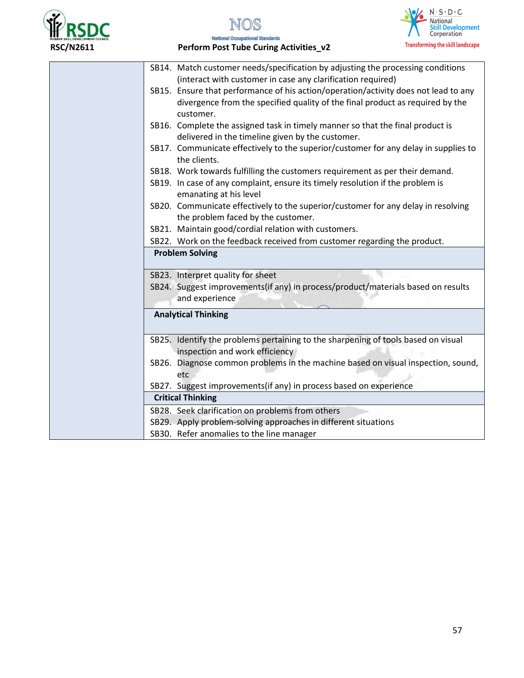



#### $\frac{N \cdot S \cdot D \cdot C}{\text{National}}$  $\mathcal{U}$ Skill Development<br>Corporation **Transforming the skill landscape**

**RSC/N2611 Perform Post Tube Curing Activities\_v2** 

| SB14. Match customer needs/specification by adjusting the processing conditions                                                    |
|------------------------------------------------------------------------------------------------------------------------------------|
| (interact with customer in case any clarification required)                                                                        |
| SB15. Ensure that performance of his action/operation/activity does not lead to any                                                |
| divergence from the specified quality of the final product as required by the<br>customer.                                         |
| SB16. Complete the assigned task in timely manner so that the final product is<br>delivered in the timeline given by the customer. |
| SB17. Communicate effectively to the superior/customer for any delay in supplies to<br>the clients.                                |
| SB18. Work towards fulfilling the customers requirement as per their demand.                                                       |
| SB19. In case of any complaint, ensure its timely resolution if the problem is<br>emanating at his level                           |
| SB20. Communicate effectively to the superior/customer for any delay in resolving<br>the problem faced by the customer.            |
| SB21. Maintain good/cordial relation with customers.                                                                               |
| SB22. Work on the feedback received from customer regarding the product.                                                           |
| <b>Problem Solving</b>                                                                                                             |
| SB23. Interpret quality for sheet                                                                                                  |
| SB24. Suggest improvements(if any) in process/product/materials based on results                                                   |
| and experience                                                                                                                     |
| <b>Analytical Thinking</b>                                                                                                         |
| SB25. Identify the problems pertaining to the sharpening of tools based on visual<br>inspection and work efficiency                |
| SB26. Diagnose common problems in the machine based on visual inspection, sound,<br>etc                                            |
| SB27. Suggest improvements(if any) in process based on experience                                                                  |
| <b>Critical Thinking</b>                                                                                                           |
| SB28. Seek clarification on problems from others                                                                                   |
| SB29. Apply problem-solving approaches in different situations                                                                     |
| SB30. Refer anomalies to the line manager                                                                                          |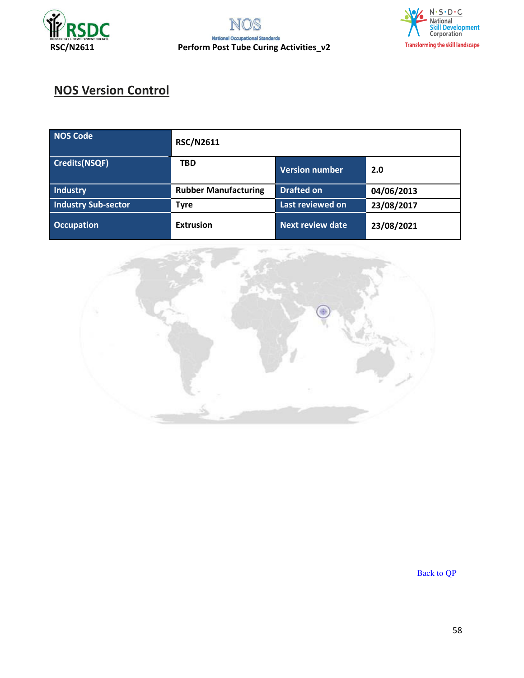





# **NOS Version Control**

| NOS Code                   | <b>RSC/N2611</b>            |                         |            |
|----------------------------|-----------------------------|-------------------------|------------|
| Credits(NSQF)              | <b>TBD</b>                  | <b>Version number</b>   | 2.0        |
| Industry                   | <b>Rubber Manufacturing</b> | <b>Drafted on</b>       | 04/06/2013 |
| <b>Industry Sub-sector</b> | <b>Tyre</b>                 | Last reviewed on        | 23/08/2017 |
| <b>Occupation</b>          | <b>Extrusion</b>            | <b>Next review date</b> | 23/08/2021 |



[Back to QP](#page-1-0)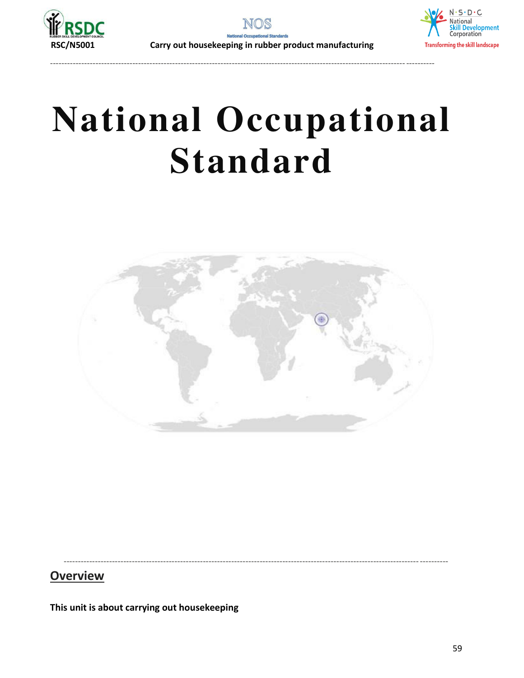



----------------------------------------------------------------------------------------------------------------------------- ----------

 **RSC/N5001 Carry out housekeeping in rubber product manufacturing** 



# **National Occupational Standard**



----------------------------------------------------------------------------------------------------------------------------- ----------

## **Overview**

**This unit is about carrying out housekeeping**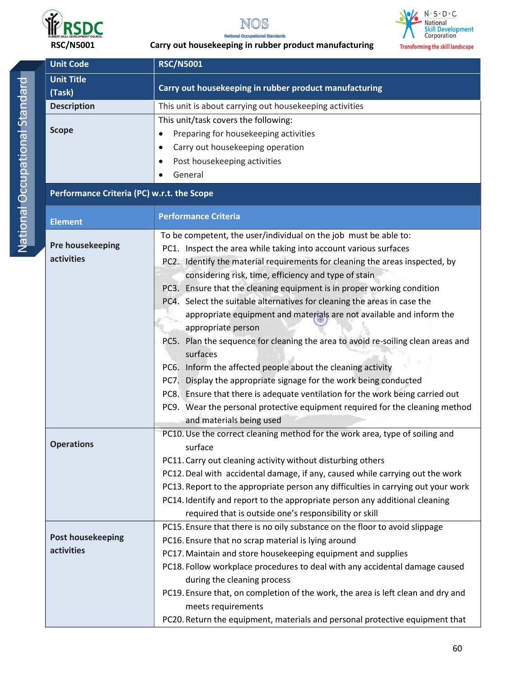



 **RSC/N5001 Carry out housekeeping in rubber product manufacturing** 

| <b>Unit Code</b>                           | <b>RSC/N5001</b>                                                                  |  |  |
|--------------------------------------------|-----------------------------------------------------------------------------------|--|--|
| <b>Unit Title</b>                          | Carry out housekeeping in rubber product manufacturing                            |  |  |
| (Task)                                     |                                                                                   |  |  |
| <b>Description</b>                         | This unit is about carrying out housekeeping activities                           |  |  |
|                                            | This unit/task covers the following:                                              |  |  |
| <b>Scope</b>                               | Preparing for housekeeping activities<br>$\bullet$                                |  |  |
|                                            | Carry out housekeeping operation<br>$\bullet$                                     |  |  |
|                                            | Post housekeeping activities                                                      |  |  |
|                                            | General                                                                           |  |  |
| Performance Criteria (PC) w.r.t. the Scope |                                                                                   |  |  |
| <b>Element</b>                             | <b>Performance Criteria</b>                                                       |  |  |
|                                            | To be competent, the user/individual on the job must be able to:                  |  |  |
| Pre housekeeping                           | PC1. Inspect the area while taking into account various surfaces                  |  |  |
| activities                                 | PC2. Identify the material requirements for cleaning the areas inspected, by      |  |  |
|                                            | considering risk, time, efficiency and type of stain                              |  |  |
|                                            | PC3. Ensure that the cleaning equipment is in proper working condition            |  |  |
|                                            | PC4. Select the suitable alternatives for cleaning the areas in case the          |  |  |
|                                            | appropriate equipment and materials are not available and inform the              |  |  |
|                                            | appropriate person                                                                |  |  |
|                                            | PC5. Plan the sequence for cleaning the area to avoid re-soiling clean areas and  |  |  |
|                                            | surfaces                                                                          |  |  |
|                                            | PC6. Inform the affected people about the cleaning activity                       |  |  |
|                                            | PC7. Display the appropriate signage for the work being conducted                 |  |  |
|                                            | PC8. Ensure that there is adequate ventilation for the work being carried out     |  |  |
|                                            | PC9. Wear the personal protective equipment required for the cleaning method      |  |  |
|                                            | and materials being used                                                          |  |  |
|                                            | PC10. Use the correct cleaning method for the work area, type of soiling and      |  |  |
| <b>Operations</b>                          | surface                                                                           |  |  |
|                                            | PC11. Carry out cleaning activity without disturbing others                       |  |  |
|                                            | PC12. Deal with accidental damage, if any, caused while carrying out the work     |  |  |
|                                            | PC13. Report to the appropriate person any difficulties in carrying out your work |  |  |
|                                            | PC14. Identify and report to the appropriate person any additional cleaning       |  |  |
|                                            | required that is outside one's responsibility or skill                            |  |  |
|                                            | PC15. Ensure that there is no oily substance on the floor to avoid slippage       |  |  |
| <b>Post housekeeping</b>                   | PC16. Ensure that no scrap material is lying around                               |  |  |
| activities                                 | PC17. Maintain and store housekeeping equipment and supplies                      |  |  |
|                                            | PC18. Follow workplace procedures to deal with any accidental damage caused       |  |  |
|                                            | during the cleaning process                                                       |  |  |
|                                            | PC19. Ensure that, on completion of the work, the area is left clean and dry and  |  |  |
|                                            | meets requirements                                                                |  |  |
|                                            | PC20. Return the equipment, materials and personal protective equipment that      |  |  |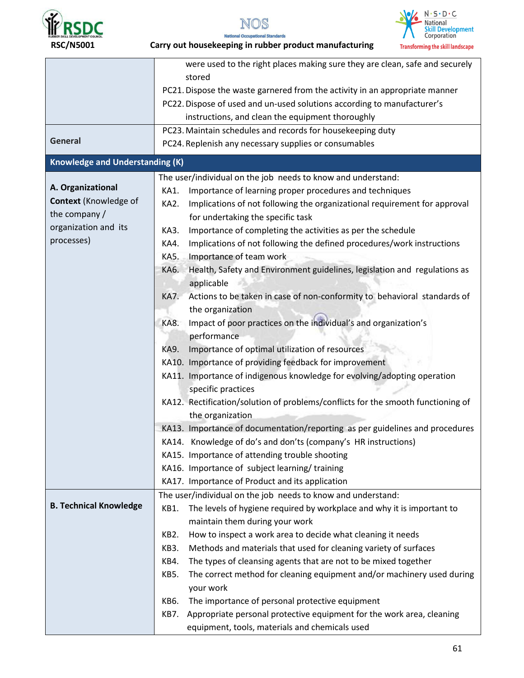





were used to the right places making sure they are clean, safe and securely stored PC21.Dispose the waste garnered from the activity in an appropriate manner PC22. Dispose of used and un-used solutions according to manufacturer's instructions, and clean the equipment thoroughly **General**  PC23.Maintain schedules and records for housekeeping duty PC24.Replenish any necessary supplies or consumables **Knowledge and Understanding (K) A. Organizational Context** (Knowledge of the company / organization and its processes) The user/individual on the job needs to know and understand: KA1. Importance of learning proper procedures and techniques KA2. Implications of not following the organizational requirement for approval for undertaking the specific task KA3. Importance of completing the activities as per the schedule KA4. Implications of not following the defined procedures/work instructions KA5. Importance of team work KA6. Health, Safety and Environment guidelines, legislation and regulations as applicable KA7. Actions to be taken in case of non-conformity to behavioral standards of the organization KA8. Impact of poor practices on the individual's and organization's performance KA9. Importance of optimal utilization of resources KA10. Importance of providing feedback for improvement KA11. Importance of indigenous knowledge for evolving/adopting operation specific practices KA12. Rectification/solution of problems/conflicts for the smooth functioning of the organization KA13. Importance of documentation/reporting as per guidelines and procedures KA14. Knowledge of do's and don'ts (company's HR instructions) KA15. Importance of attending trouble shooting KA16. Importance of subject learning/ training KA17. Importance of Product and its application **B. Technical Knowledge**  The user/individual on the job needs to know and understand: KB1. The levels of hygiene required by workplace and why it is important to maintain them during your work KB2. How to inspect a work area to decide what cleaning it needs KB3. Methods and materials that used for cleaning variety of surfaces KB4. The types of cleansing agents that are not to be mixed together KB5. The correct method for cleaning equipment and/or machinery used during your work KB6. The importance of personal protective equipment KB7. Appropriate personal protective equipment for the work area, cleaning equipment, tools, materials and chemicals used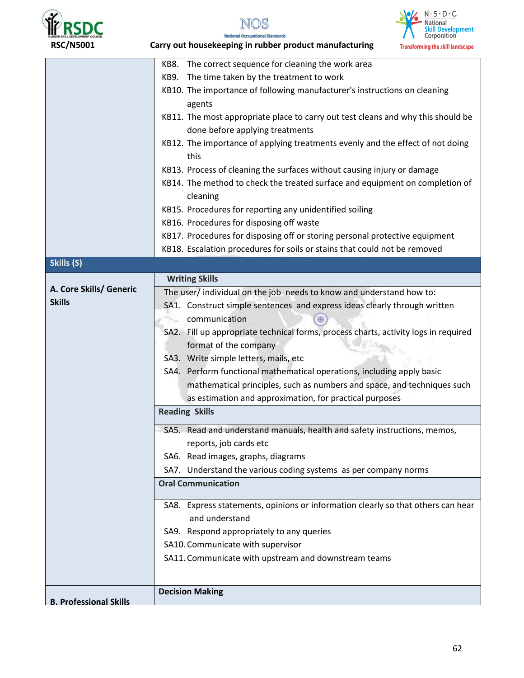





nal Standards **National Occu RSC/N5001 Carry out housekeeping in rubber product manufacturing** 

| LOUCKI IJOU                   | Carry out nousekeeping in rubber product manufacturing<br>Transforming the skill landscape |
|-------------------------------|--------------------------------------------------------------------------------------------|
|                               | KB8. The correct sequence for cleaning the work area                                       |
|                               | KB9. The time taken by the treatment to work                                               |
|                               | KB10. The importance of following manufacturer's instructions on cleaning                  |
|                               | agents                                                                                     |
|                               | KB11. The most appropriate place to carry out test cleans and why this should be           |
|                               | done before applying treatments                                                            |
|                               | KB12. The importance of applying treatments evenly and the effect of not doing             |
|                               | this                                                                                       |
|                               | KB13. Process of cleaning the surfaces without causing injury or damage                    |
|                               | KB14. The method to check the treated surface and equipment on completion of               |
|                               | cleaning                                                                                   |
|                               | KB15. Procedures for reporting any unidentified soiling                                    |
|                               | KB16. Procedures for disposing off waste                                                   |
|                               | KB17. Procedures for disposing off or storing personal protective equipment                |
|                               | KB18. Escalation procedures for soils or stains that could not be removed                  |
| Skills (S)                    |                                                                                            |
|                               | <b>Writing Skills</b>                                                                      |
| A. Core Skills/ Generic       | The user/ individual on the job needs to know and understand how to:                       |
| <b>Skills</b>                 | SA1. Construct simple sentences and express ideas clearly through written                  |
|                               | communication                                                                              |
|                               | SA2. Fill up appropriate technical forms, process charts, activity logs in required        |
|                               | format of the company                                                                      |
|                               | SA3. Write simple letters, mails, etc                                                      |
|                               | SA4. Perform functional mathematical operations, including apply basic                     |
|                               | mathematical principles, such as numbers and space, and techniques such                    |
|                               | as estimation and approximation, for practical purposes                                    |
|                               | <b>Reading Skills</b>                                                                      |
|                               | SA5. Read and understand manuals, health and safety instructions, memos,                   |
|                               | reports, job cards etc                                                                     |
|                               | SA6. Read images, graphs, diagrams                                                         |
|                               | SA7. Understand the various coding systems as per company norms                            |
|                               | <b>Oral Communication</b>                                                                  |
|                               |                                                                                            |
|                               | SA8. Express statements, opinions or information clearly so that others can hear           |
|                               | and understand                                                                             |
|                               | SA9. Respond appropriately to any queries                                                  |
|                               | SA10. Communicate with supervisor                                                          |
|                               | SA11. Communicate with upstream and downstream teams                                       |
|                               |                                                                                            |
|                               |                                                                                            |
| <b>B. Professional Skills</b> | <b>Decision Making</b>                                                                     |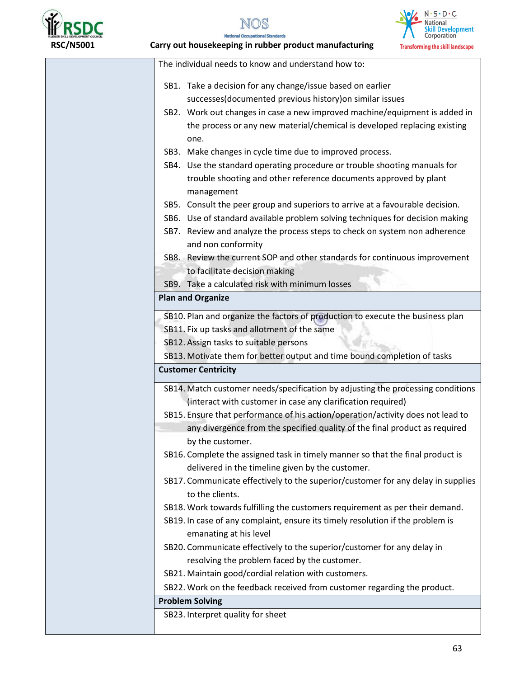





 **RSC/N5001 Carry out housekeeping in rubber product manufacturing** 

| The individual needs to know and understand how to:                                                                                              |
|--------------------------------------------------------------------------------------------------------------------------------------------------|
|                                                                                                                                                  |
| SB1. Take a decision for any change/issue based on earlier                                                                                       |
| successes(documented previous history) on similar issues                                                                                         |
| SB2. Work out changes in case a new improved machine/equipment is added in                                                                       |
| the process or any new material/chemical is developed replacing existing                                                                         |
| one.                                                                                                                                             |
| SB3. Make changes in cycle time due to improved process.                                                                                         |
| SB4. Use the standard operating procedure or trouble shooting manuals for                                                                        |
| trouble shooting and other reference documents approved by plant                                                                                 |
| management                                                                                                                                       |
| SB5. Consult the peer group and superiors to arrive at a favourable decision.                                                                    |
| SB6. Use of standard available problem solving techniques for decision making                                                                    |
| SB7. Review and analyze the process steps to check on system non adherence                                                                       |
| and non conformity                                                                                                                               |
| SB8. Review the current SOP and other standards for continuous improvement                                                                       |
| to facilitate decision making                                                                                                                    |
| SB9. Take a calculated risk with minimum losses                                                                                                  |
| <b>Plan and Organize</b>                                                                                                                         |
|                                                                                                                                                  |
| SB12. Assign tasks to suitable persons<br>SB13. Motivate them for better output and time bound completion of tasks<br><b>Customer Centricity</b> |
| SB14. Match customer needs/specification by adjusting the processing conditions                                                                  |
| (interact with customer in case any clarification required)                                                                                      |
| SB15. Ensure that performance of his action/operation/activity does not lead to                                                                  |
| any divergence from the specified quality of the final product as required                                                                       |
| by the customer.                                                                                                                                 |
| SB16. Complete the assigned task in timely manner so that the final product is                                                                   |
| delivered in the timeline given by the customer.                                                                                                 |
| SB17. Communicate effectively to the superior/customer for any delay in supplies                                                                 |
| to the clients.                                                                                                                                  |
| SB18. Work towards fulfilling the customers requirement as per their demand.                                                                     |
| SB19. In case of any complaint, ensure its timely resolution if the problem is                                                                   |
| emanating at his level                                                                                                                           |
| SB20. Communicate effectively to the superior/customer for any delay in                                                                          |
| resolving the problem faced by the customer.                                                                                                     |
| SB21. Maintain good/cordial relation with customers.                                                                                             |
| SB22. Work on the feedback received from customer regarding the product.                                                                         |
| <b>Problem Solving</b>                                                                                                                           |
| SB23. Interpret quality for sheet                                                                                                                |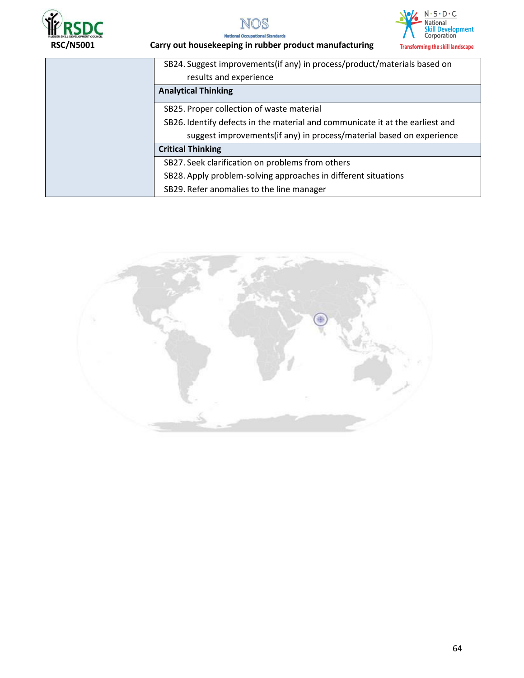





## **RSC/N5001 Carry out housekeeping in rubber product manufacturing**

| SB24. Suggest improvements(if any) in process/product/materials based on      |
|-------------------------------------------------------------------------------|
| results and experience                                                        |
| <b>Analytical Thinking</b>                                                    |
| SB25. Proper collection of waste material                                     |
| SB26. Identify defects in the material and communicate it at the earliest and |
| suggest improvements (if any) in process/material based on experience         |
| <b>Critical Thinking</b>                                                      |
| SB27. Seek clarification on problems from others                              |
| SB28. Apply problem-solving approaches in different situations                |
| SB29. Refer anomalies to the line manager                                     |

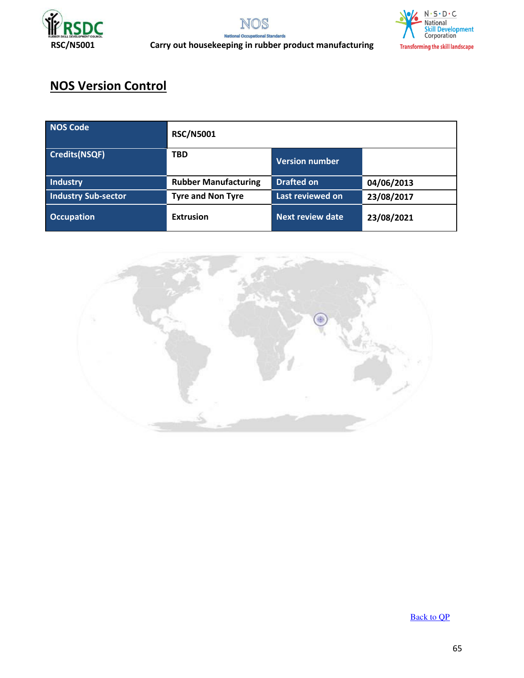





 **RSC/N5001 Carry out housekeeping in rubber product manufacturing** 

## **NOS Version Control**

| <b>NOS Code</b>            | <b>RSC/N5001</b>            |                       |            |
|----------------------------|-----------------------------|-----------------------|------------|
| <b>Credits(NSQF)</b>       | <b>TBD</b>                  | <b>Version number</b> |            |
| Industry                   | <b>Rubber Manufacturing</b> | <b>Drafted on</b>     | 04/06/2013 |
| <b>Industry Sub-sector</b> | <b>Tyre and Non Tyre</b>    | Last reviewed on      | 23/08/2017 |
| <b>Occupation</b>          | <b>Extrusion</b>            | Next review date      | 23/08/2021 |



[Back to QP](#page-1-0)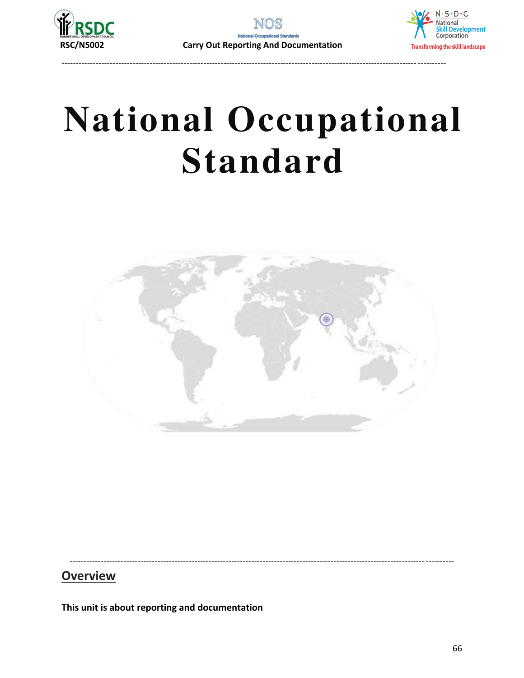

----------------------------------------------------------------------------------------------------------------------------- ----------



# **National Occupational Standard**



----------------------------------------------------------------------------------------------------------------------------- ----------

### **Overview**

**This unit is about reporting and documentation**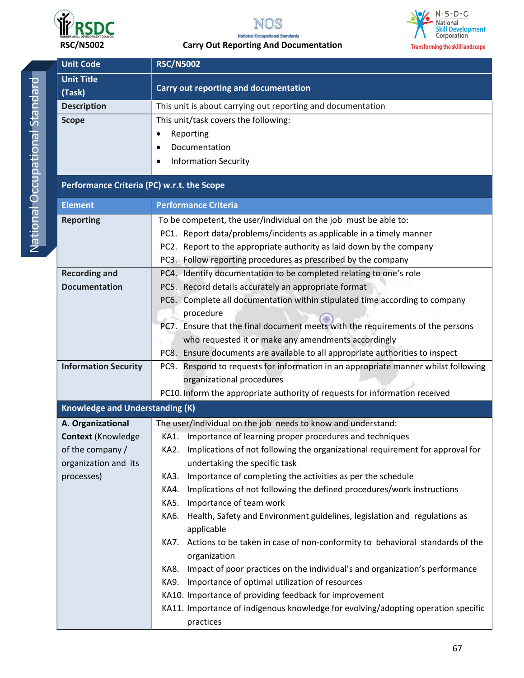



#### **RSC/N5002 Carry Out Reporting And Documentation**



| <b>Unit Code</b>                                                                                         | <b>RSC/N5002</b>                                                                                                                                                                                                                                                                                                                                                                                                                                                                                                                                                                                                                                                                                                                                                                                                                                                         |  |  |
|----------------------------------------------------------------------------------------------------------|--------------------------------------------------------------------------------------------------------------------------------------------------------------------------------------------------------------------------------------------------------------------------------------------------------------------------------------------------------------------------------------------------------------------------------------------------------------------------------------------------------------------------------------------------------------------------------------------------------------------------------------------------------------------------------------------------------------------------------------------------------------------------------------------------------------------------------------------------------------------------|--|--|
| <b>Unit Title</b><br>(Task)                                                                              | Carry out reporting and documentation                                                                                                                                                                                                                                                                                                                                                                                                                                                                                                                                                                                                                                                                                                                                                                                                                                    |  |  |
| <b>Description</b>                                                                                       | This unit is about carrying out reporting and documentation                                                                                                                                                                                                                                                                                                                                                                                                                                                                                                                                                                                                                                                                                                                                                                                                              |  |  |
| <b>Scope</b>                                                                                             | This unit/task covers the following:<br>Reporting<br>Documentation<br><b>Information Security</b>                                                                                                                                                                                                                                                                                                                                                                                                                                                                                                                                                                                                                                                                                                                                                                        |  |  |
| Performance Criteria (PC) w.r.t. the Scope                                                               |                                                                                                                                                                                                                                                                                                                                                                                                                                                                                                                                                                                                                                                                                                                                                                                                                                                                          |  |  |
| <b>Element</b>                                                                                           | <b>Performance Criteria</b>                                                                                                                                                                                                                                                                                                                                                                                                                                                                                                                                                                                                                                                                                                                                                                                                                                              |  |  |
| <b>Reporting</b>                                                                                         | To be competent, the user/individual on the job must be able to:<br>PC1. Report data/problems/incidents as applicable in a timely manner<br>PC2. Report to the appropriate authority as laid down by the company<br>PC3. Follow reporting procedures as prescribed by the company                                                                                                                                                                                                                                                                                                                                                                                                                                                                                                                                                                                        |  |  |
| <b>Recording and</b>                                                                                     | PC4. Identify documentation to be completed relating to one's role                                                                                                                                                                                                                                                                                                                                                                                                                                                                                                                                                                                                                                                                                                                                                                                                       |  |  |
| <b>Documentation</b>                                                                                     | PC5. Record details accurately an appropriate format<br>PC6. Complete all documentation within stipulated time according to company<br>procedure<br>PC7. Ensure that the final document meets with the requirements of the persons<br>who requested it or make any amendments accordingly<br>PC8. Ensure documents are available to all appropriate authorities to inspect                                                                                                                                                                                                                                                                                                                                                                                                                                                                                               |  |  |
| <b>Information Security</b>                                                                              | PC9. Respond to requests for information in an appropriate manner whilst following<br>organizational procedures<br>PC10. Inform the appropriate authority of requests for information received                                                                                                                                                                                                                                                                                                                                                                                                                                                                                                                                                                                                                                                                           |  |  |
| <b>Knowledge and Understanding (K)</b>                                                                   |                                                                                                                                                                                                                                                                                                                                                                                                                                                                                                                                                                                                                                                                                                                                                                                                                                                                          |  |  |
| A. Organizational<br><b>Context (Knowledge</b><br>of the company /<br>organization and its<br>processes) | The user/individual on the job needs to know and understand:<br>KA1. Importance of learning proper procedures and techniques<br>Implications of not following the organizational requirement for approval for<br>KA2.<br>undertaking the specific task<br>Importance of completing the activities as per the schedule<br>KA3.<br>Implications of not following the defined procedures/work instructions<br>KA4.<br>Importance of team work<br>KA5.<br>Health, Safety and Environment guidelines, legislation and regulations as<br>KA6.<br>applicable<br>Actions to be taken in case of non-conformity to behavioral standards of the<br>KA7.<br>organization<br>Impact of poor practices on the individual's and organization's performance<br>KA8.<br>Importance of optimal utilization of resources<br>KA9.<br>KA10. Importance of providing feedback for improvement |  |  |

67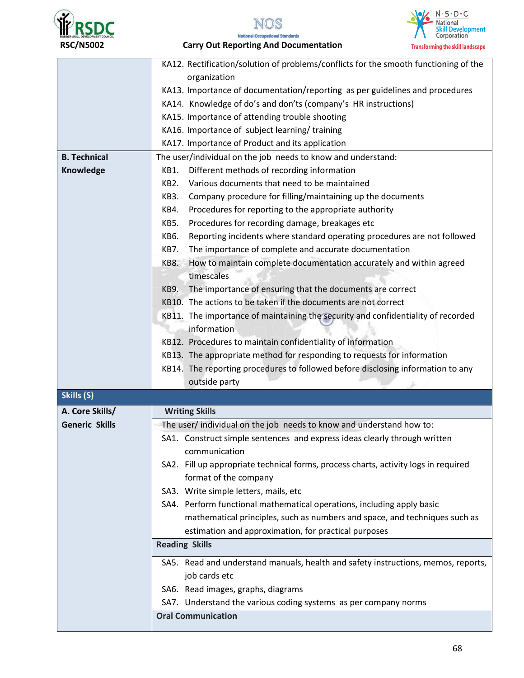





**National Occupational Standards RSC/N5002 Carry Out Reporting And Documentation** 

|                       | KA12. Rectification/solution of problems/conflicts for the smooth functioning of the |  |  |  |  |  |
|-----------------------|--------------------------------------------------------------------------------------|--|--|--|--|--|
|                       | organization                                                                         |  |  |  |  |  |
|                       | KA13. Importance of documentation/reporting as per guidelines and procedures         |  |  |  |  |  |
|                       | KA14. Knowledge of do's and don'ts (company's HR instructions)                       |  |  |  |  |  |
|                       | KA15. Importance of attending trouble shooting                                       |  |  |  |  |  |
|                       | KA16. Importance of subject learning/training                                        |  |  |  |  |  |
|                       | KA17. Importance of Product and its application                                      |  |  |  |  |  |
| <b>B. Technical</b>   | The user/individual on the job needs to know and understand:                         |  |  |  |  |  |
| Knowledge             | Different methods of recording information<br>KB1.                                   |  |  |  |  |  |
|                       | Various documents that need to be maintained<br>KB2.                                 |  |  |  |  |  |
|                       | Company procedure for filling/maintaining up the documents<br>KB3.                   |  |  |  |  |  |
|                       | Procedures for reporting to the appropriate authority<br>KB4.                        |  |  |  |  |  |
|                       | Procedures for recording damage, breakages etc<br>KB5.                               |  |  |  |  |  |
|                       | KB6.<br>Reporting incidents where standard operating procedures are not followed     |  |  |  |  |  |
|                       | The importance of complete and accurate documentation<br>KB7.                        |  |  |  |  |  |
|                       | How to maintain complete documentation accurately and within agreed<br>KB8.          |  |  |  |  |  |
|                       | timescales                                                                           |  |  |  |  |  |
|                       | The importance of ensuring that the documents are correct<br><b>KB9.</b>             |  |  |  |  |  |
|                       | KB10. The actions to be taken if the documents are not correct                       |  |  |  |  |  |
|                       | KB11. The importance of maintaining the security and confidentiality of recorded     |  |  |  |  |  |
|                       | information                                                                          |  |  |  |  |  |
|                       |                                                                                      |  |  |  |  |  |
|                       | KB12. Procedures to maintain confidentiality of information                          |  |  |  |  |  |
|                       | KB13. The appropriate method for responding to requests for information              |  |  |  |  |  |
|                       | KB14. The reporting procedures to followed before disclosing information to any      |  |  |  |  |  |
|                       | outside party                                                                        |  |  |  |  |  |
| Skills (S)            |                                                                                      |  |  |  |  |  |
| A. Core Skills/       | <b>Writing Skills</b>                                                                |  |  |  |  |  |
| <b>Generic Skills</b> | The user/individual on the job needs to know and understand how to:                  |  |  |  |  |  |
|                       | SA1. Construct simple sentences and express ideas clearly through written            |  |  |  |  |  |
|                       | communication                                                                        |  |  |  |  |  |
|                       | SA2. Fill up appropriate technical forms, process charts, activity logs in required  |  |  |  |  |  |
|                       | format of the company                                                                |  |  |  |  |  |
|                       | SA3. Write simple letters, mails, etc                                                |  |  |  |  |  |
|                       | SA4. Perform functional mathematical operations, including apply basic               |  |  |  |  |  |
|                       | mathematical principles, such as numbers and space, and techniques such as           |  |  |  |  |  |
|                       | estimation and approximation, for practical purposes                                 |  |  |  |  |  |
|                       | <b>Reading Skills</b>                                                                |  |  |  |  |  |
|                       |                                                                                      |  |  |  |  |  |
|                       | SA5. Read and understand manuals, health and safety instructions, memos, reports,    |  |  |  |  |  |
|                       | job cards etc                                                                        |  |  |  |  |  |
|                       | SA6. Read images, graphs, diagrams                                                   |  |  |  |  |  |
|                       | SA7. Understand the various coding systems as per company norms                      |  |  |  |  |  |
|                       | <b>Oral Communication</b>                                                            |  |  |  |  |  |
|                       |                                                                                      |  |  |  |  |  |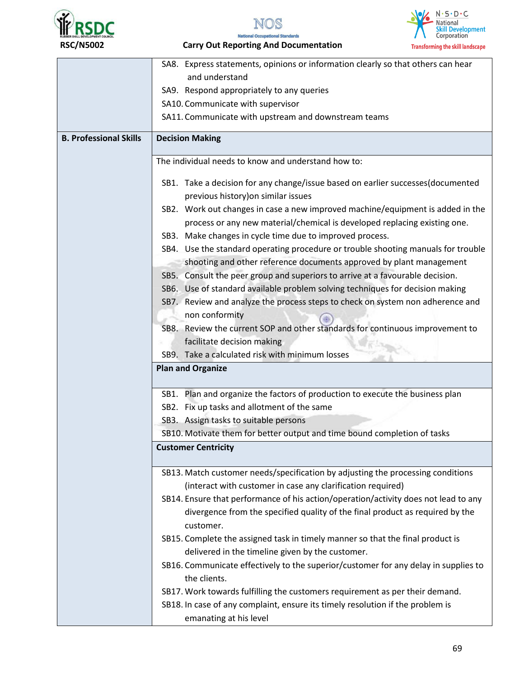





**National Occupational Standards RSC/N5002 Carry Out Reporting And Documentation** 

|                               | SA8. Express statements, opinions or information clearly so that others can hear    |  |  |  |  |  |
|-------------------------------|-------------------------------------------------------------------------------------|--|--|--|--|--|
|                               | and understand                                                                      |  |  |  |  |  |
|                               | SA9. Respond appropriately to any queries                                           |  |  |  |  |  |
|                               | SA10. Communicate with supervisor                                                   |  |  |  |  |  |
|                               | SA11. Communicate with upstream and downstream teams                                |  |  |  |  |  |
| <b>B. Professional Skills</b> | <b>Decision Making</b>                                                              |  |  |  |  |  |
|                               | The individual needs to know and understand how to:                                 |  |  |  |  |  |
|                               | SB1. Take a decision for any change/issue based on earlier successes(documented     |  |  |  |  |  |
|                               | previous history) on similar issues                                                 |  |  |  |  |  |
|                               | SB2. Work out changes in case a new improved machine/equipment is added in the      |  |  |  |  |  |
|                               | process or any new material/chemical is developed replacing existing one.           |  |  |  |  |  |
|                               | SB3. Make changes in cycle time due to improved process.                            |  |  |  |  |  |
|                               | SB4. Use the standard operating procedure or trouble shooting manuals for trouble   |  |  |  |  |  |
|                               | shooting and other reference documents approved by plant management                 |  |  |  |  |  |
|                               | SB5. Consult the peer group and superiors to arrive at a favourable decision.       |  |  |  |  |  |
|                               | SB6. Use of standard available problem solving techniques for decision making       |  |  |  |  |  |
|                               | SB7. Review and analyze the process steps to check on system non adherence and      |  |  |  |  |  |
|                               | non conformity                                                                      |  |  |  |  |  |
|                               | SB8. Review the current SOP and other standards for continuous improvement to       |  |  |  |  |  |
|                               | facilitate decision making                                                          |  |  |  |  |  |
|                               | SB9. Take a calculated risk with minimum losses                                     |  |  |  |  |  |
|                               | <b>Plan and Organize</b>                                                            |  |  |  |  |  |
|                               | SB1. Plan and organize the factors of production to execute the business plan       |  |  |  |  |  |
|                               | SB2. Fix up tasks and allotment of the same                                         |  |  |  |  |  |
|                               | SB3. Assign tasks to suitable persons                                               |  |  |  |  |  |
|                               | SB10. Motivate them for better output and time bound completion of tasks            |  |  |  |  |  |
|                               | <b>Customer Centricity</b>                                                          |  |  |  |  |  |
|                               | SB13. Match customer needs/specification by adjusting the processing conditions     |  |  |  |  |  |
|                               | (interact with customer in case any clarification required)                         |  |  |  |  |  |
|                               | SB14. Ensure that performance of his action/operation/activity does not lead to any |  |  |  |  |  |
|                               | divergence from the specified quality of the final product as required by the       |  |  |  |  |  |
|                               | customer.                                                                           |  |  |  |  |  |
|                               | SB15. Complete the assigned task in timely manner so that the final product is      |  |  |  |  |  |
|                               | delivered in the timeline given by the customer.                                    |  |  |  |  |  |
|                               | SB16. Communicate effectively to the superior/customer for any delay in supplies to |  |  |  |  |  |
|                               | the clients.                                                                        |  |  |  |  |  |
|                               | SB17. Work towards fulfilling the customers requirement as per their demand.        |  |  |  |  |  |
|                               | SB18. In case of any complaint, ensure its timely resolution if the problem is      |  |  |  |  |  |
|                               | emanating at his level                                                              |  |  |  |  |  |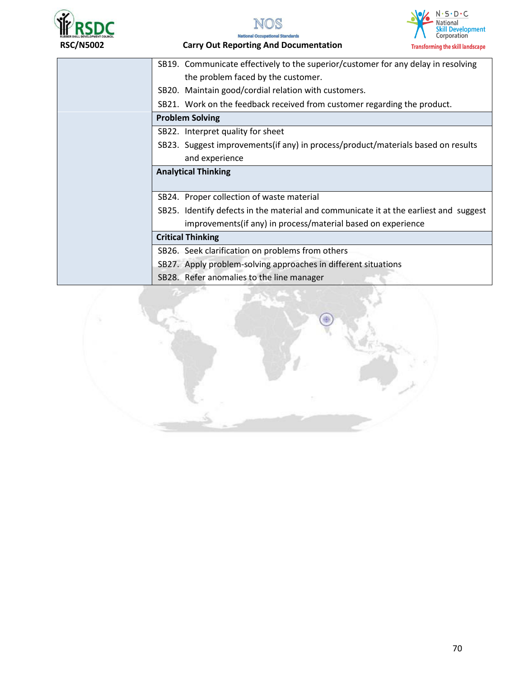







 **RSC/N5002 Carry Out Reporting And Documentation** 

| SB19. Communicate effectively to the superior/customer for any delay in resolving     |  |  |  |
|---------------------------------------------------------------------------------------|--|--|--|
| the problem faced by the customer.                                                    |  |  |  |
| SB20. Maintain good/cordial relation with customers.                                  |  |  |  |
| SB21. Work on the feedback received from customer regarding the product.              |  |  |  |
| <b>Problem Solving</b>                                                                |  |  |  |
| SB22. Interpret quality for sheet                                                     |  |  |  |
| SB23. Suggest improvements (if any) in process/product/materials based on results     |  |  |  |
| and experience                                                                        |  |  |  |
| <b>Analytical Thinking</b>                                                            |  |  |  |
|                                                                                       |  |  |  |
| SB24. Proper collection of waste material                                             |  |  |  |
| SB25. Identify defects in the material and communicate it at the earliest and suggest |  |  |  |
| improvements (if any) in process/material based on experience                         |  |  |  |
| <b>Critical Thinking</b>                                                              |  |  |  |
| SB26. Seek clarification on problems from others                                      |  |  |  |
| SB27. Apply problem-solving approaches in different situations                        |  |  |  |
| SB28. Refer anomalies to the line manager                                             |  |  |  |
|                                                                                       |  |  |  |

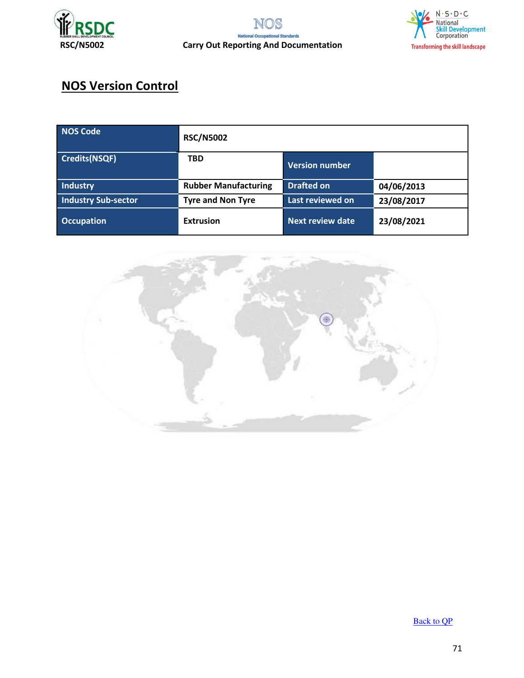



# **NOS Version Control**

| NOS Code                   | <b>RSC/N5002</b>            |                         |            |  |
|----------------------------|-----------------------------|-------------------------|------------|--|
| Credits(NSQF)              | <b>TBD</b>                  | <b>Version number</b>   |            |  |
| Industry                   | <b>Rubber Manufacturing</b> | <b>Drafted on</b>       | 04/06/2013 |  |
| <b>Industry Sub-sector</b> | <b>Tyre and Non Tyre</b>    | Last reviewed on        | 23/08/2017 |  |
| <b>Occupation</b>          | <b>Extrusion</b>            | <b>Next review date</b> | 23/08/2021 |  |



[Back to QP](#page-1-0)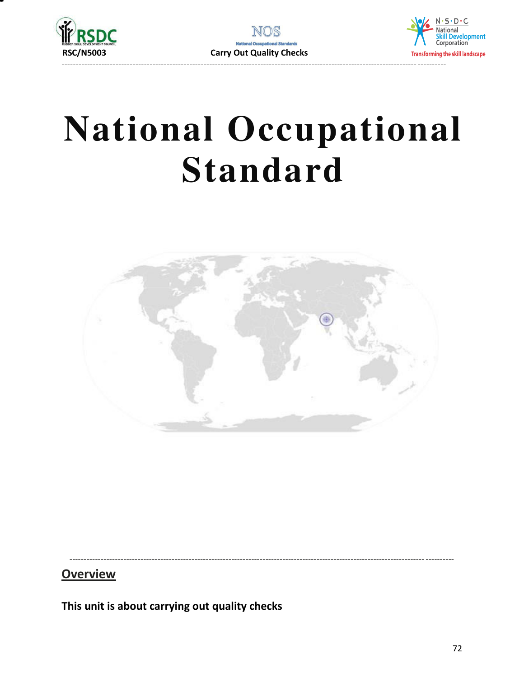





**Overview** 

This unit is about carrying out quality checks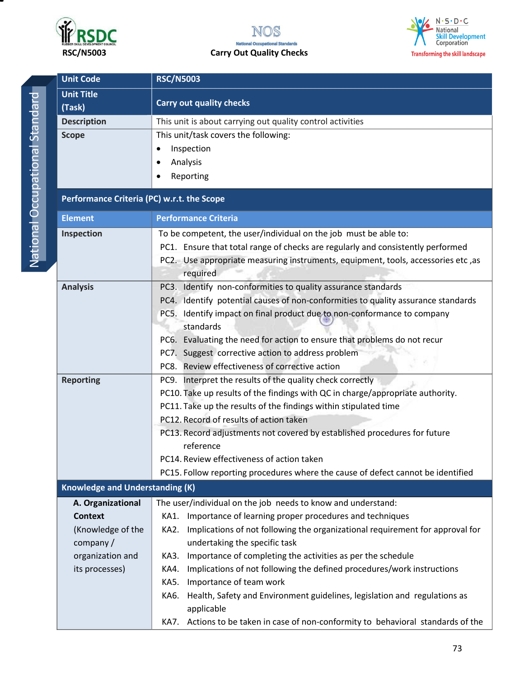

# **RSC/N5003 Carry Out Quality Checks**



**Unit Code RSC/N5003 Unit Title (Task) Carry out quality checks Description This unit is about carrying out quality control activities Scope This unit/task covers the following:** • Inspection Analysis Reporting **Performance Criteria (PC) w.r.t. the Scope Element** Performance Criteria **Inspection To be competent, the user/individual on the job must be able to:** PC1. Ensure that total range of checks are regularly and consistently performed PC2. Use appropriate measuring instruments, equipment, tools, accessories etc ,as required **Analysis** PC3. Identify non-conformities to quality assurance standards PC4. Identify potential causes of non-conformities to quality assurance standards PC5. Identify impact on final product due to non-conformance to company standards PC6. Evaluating the need for action to ensure that problems do not recur PC7. Suggest corrective action to address problem PC8. Review effectiveness of corrective action **Reporting PC9.** Interpret the results of the quality check correctly PC10. Take up results of the findings with QC in charge/appropriate authority. PC11. Take up the results of the findings within stipulated time PC12. Record of results of action taken PC13. Record adjustments not covered by established procedures for future reference PC14. Review effectiveness of action taken PC15. Follow reporting procedures where the cause of defect cannot be identified **Knowledge and Understanding (K) A. Organizational Context**  (Knowledge of the company / organization and its processes) The user/individual on the job needs to know and understand: KA1. Importance of learning proper procedures and techniques KA2. Implications of not following the organizational requirement for approval for undertaking the specific task KA3. Importance of completing the activities as per the schedule KA4. Implications of not following the defined procedures/work instructions KA5. Importance of team work KA6. Health, Safety and Environment guidelines, legislation and regulations as applicable KA7. Actions to be taken in case of non-conformity to behavioral standards of the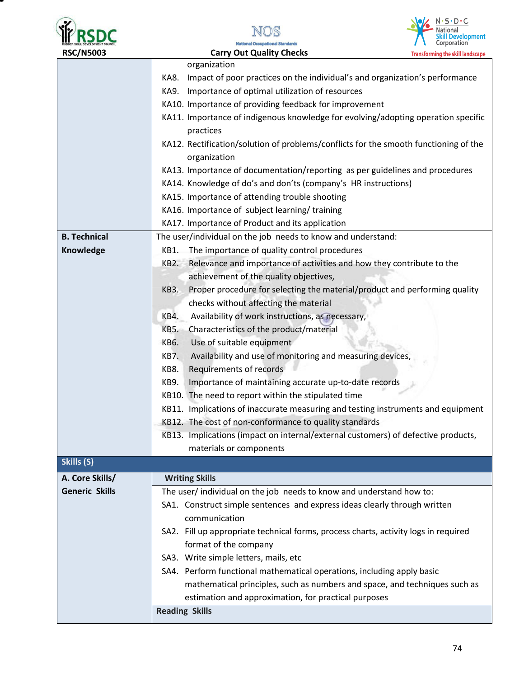| <b>RUBBER SKILL DEVELOPMENT COUNCIL</b> |
|-----------------------------------------|
| <b>RCC/NIENN3</b>                       |







| <b>RSC/N5003</b>      | <b>Carry Out Quality Checks</b>                                                           | <b>Transforming the skill landscape</b> |
|-----------------------|-------------------------------------------------------------------------------------------|-----------------------------------------|
|                       | organization                                                                              |                                         |
|                       | Impact of poor practices on the individual's and organization's performance<br>KA8.       |                                         |
|                       | Importance of optimal utilization of resources<br>KA9.                                    |                                         |
|                       | KA10. Importance of providing feedback for improvement                                    |                                         |
|                       | KA11. Importance of indigenous knowledge for evolving/adopting operation specific         |                                         |
|                       | practices                                                                                 |                                         |
|                       | KA12. Rectification/solution of problems/conflicts for the smooth functioning of the      |                                         |
|                       | organization                                                                              |                                         |
|                       | KA13. Importance of documentation/reporting as per guidelines and procedures              |                                         |
|                       | KA14. Knowledge of do's and don'ts (company's HR instructions)                            |                                         |
|                       | KA15. Importance of attending trouble shooting                                            |                                         |
|                       | KA16. Importance of subject learning/training                                             |                                         |
|                       | KA17. Importance of Product and its application                                           |                                         |
| <b>B. Technical</b>   | The user/individual on the job needs to know and understand:                              |                                         |
| Knowledge             | The importance of quality control procedures<br>KB1.                                      |                                         |
|                       | Relevance and importance of activities and how they contribute to the<br>KB2.             |                                         |
|                       | achievement of the quality objectives,                                                    |                                         |
|                       | Proper procedure for selecting the material/product and performing quality<br><b>KB3.</b> |                                         |
|                       | checks without affecting the material                                                     |                                         |
|                       | Availability of work instructions, as necessary,<br>KB4.                                  |                                         |
|                       | Characteristics of the product/material<br><b>KB5.</b>                                    |                                         |
|                       | Use of suitable equipment<br>KB6.                                                         |                                         |
|                       | Availability and use of monitoring and measuring devices,<br><b>KB7.</b>                  |                                         |
|                       | Requirements of records<br>KB8.                                                           |                                         |
|                       | Importance of maintaining accurate up-to-date records<br><b>KB9.</b>                      |                                         |
|                       | KB10. The need to report within the stipulated time                                       |                                         |
|                       | KB11. Implications of inaccurate measuring and testing instruments and equipment          |                                         |
|                       | KB12. The cost of non-conformance to quality standards                                    |                                         |
|                       | KB13. Implications (impact on internal/external customers) of defective products,         |                                         |
|                       | materials or components                                                                   |                                         |
| Skills (S)            |                                                                                           |                                         |
| A. Core Skills/       | <b>Writing Skills</b>                                                                     |                                         |
| <b>Generic Skills</b> | The user/individual on the job needs to know and understand how to:                       |                                         |
|                       | SA1. Construct simple sentences and express ideas clearly through written                 |                                         |
|                       | communication                                                                             |                                         |
|                       | SA2. Fill up appropriate technical forms, process charts, activity logs in required       |                                         |
|                       | format of the company                                                                     |                                         |
|                       | SA3. Write simple letters, mails, etc                                                     |                                         |
|                       | SA4. Perform functional mathematical operations, including apply basic                    |                                         |
|                       | mathematical principles, such as numbers and space, and techniques such as                |                                         |
|                       |                                                                                           |                                         |
|                       | estimation and approximation, for practical purposes<br><b>Reading Skills</b>             |                                         |
|                       |                                                                                           |                                         |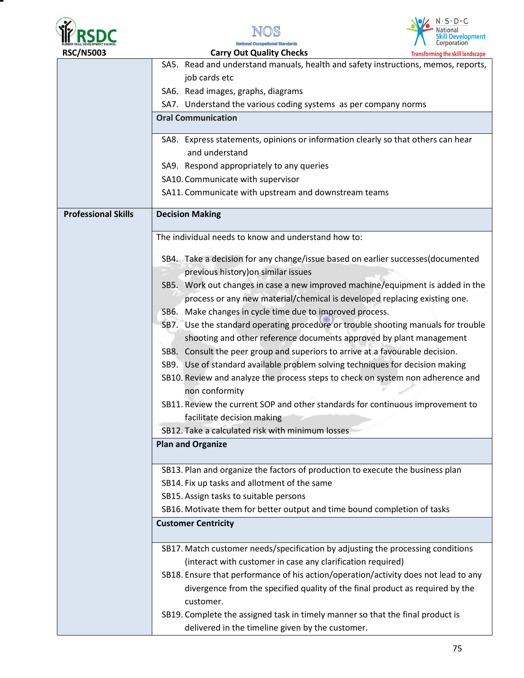





SA5. Read and understand manuals, health and safety instructions, memos, reports, job cards etc SA6. Read images, graphs, diagrams SA7. Understand the various coding systems as per company norms **Oral Communication**  SA8. Express statements, opinions or information clearly so that others can hear and understand SA9. Respond appropriately to any queries SA10. Communicate with supervisor SA11. Communicate with upstream and downstream teams **Professional Skills | Decision Making** The individual needs to know and understand how to: SB4. Take a decision for any change/issue based on earlier successes(documented previous history)on similar issues SB5. Work out changes in case a new improved machine/equipment is added in the process or any new material/chemical is developed replacing existing one. SB6. Make changes in cycle time due to improved process. SB7. Use the standard operating procedure or trouble shooting manuals for trouble shooting and other reference documents approved by plant management SB8. Consult the peer group and superiors to arrive at a favourable decision. SB9. Use of standard available problem solving techniques for decision making SB10. Review and analyze the process steps to check on system non adherence and non conformity SB11. Review the current SOP and other standards for continuous improvement to facilitate decision making SB12. Take a calculated risk with minimum losses **Plan and Organize**  SB13. Plan and organize the factors of production to execute the business plan SB14. Fix up tasks and allotment of the same SB15. Assign tasks to suitable persons SB16. Motivate them for better output and time bound completion of tasks **Customer Centricity**  SB17. Match customer needs/specification by adjusting the processing conditions (interact with customer in case any clarification required) SB18. Ensure that performance of his action/operation/activity does not lead to any divergence from the specified quality of the final product as required by the customer. SB19. Complete the assigned task in timely manner so that the final product is delivered in the timeline given by the customer.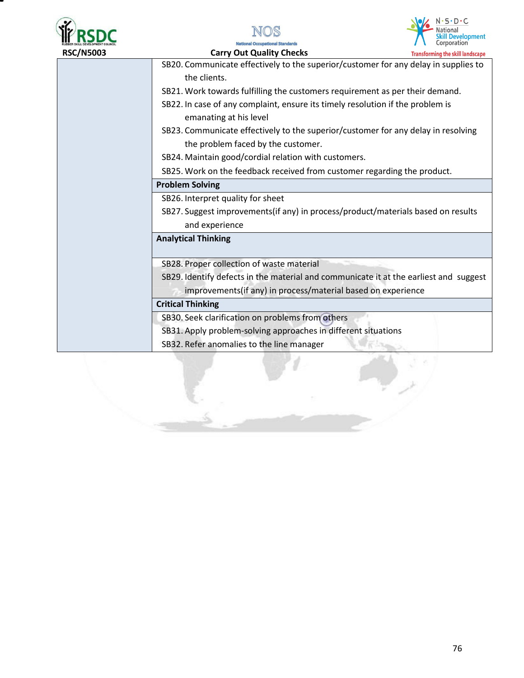





 **RSC/N5003 Carry Out Quality Checks Transforming the skill landscape** SB20. Communicate effectively to the superior/customer for any delay in supplies to the clients. SB21. Work towards fulfilling the customers requirement as per their demand. SB22. In case of any complaint, ensure its timely resolution if the problem is emanating at his level SB23. Communicate effectively to the superior/customer for any delay in resolving the problem faced by the customer. SB24. Maintain good/cordial relation with customers. SB25. Work on the feedback received from customer regarding the product. **Problem Solving**  SB26. Interpret quality for sheet SB27. Suggest improvements(if any) in process/product/materials based on results and experience **Analytical Thinking**  SB28. Proper collection of waste material SB29. Identify defects in the material and communicate it at the earliest and suggest improvements(if any) in process/material based on experience **Critical Thinking** SB30. Seek clarification on problems from others SB31. Apply problem-solving approaches in different situations SB32. Refer anomalies to the line manager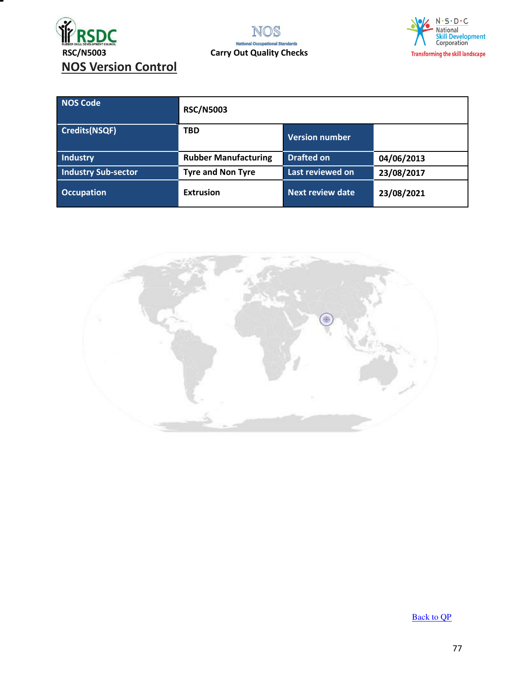

NOS **National Occ** al Standards



| NOS Code                   | <b>RSC/N5003</b>            |                         |            |
|----------------------------|-----------------------------|-------------------------|------------|
| <b>Credits(NSQF)</b>       | <b>TBD</b>                  | <b>Version number</b>   |            |
| <b>Industry</b>            | <b>Rubber Manufacturing</b> | <b>Drafted on</b>       | 04/06/2013 |
| <b>Industry Sub-sector</b> | <b>Tyre and Non Tyre</b>    | Last reviewed on        | 23/08/2017 |
| <b>Occupation</b>          | <b>Extrusion</b>            | <b>Next review date</b> | 23/08/2021 |



[Back to QP](#page-1-0)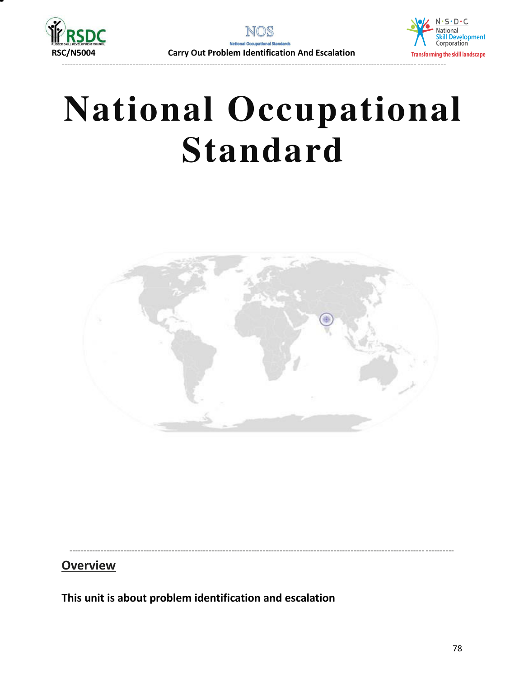



# **National Occupational Standard**



----------------------------------------------------------------------------------------------------------------------------- ----------

# **Overview**

**This unit is about problem identification and escalation**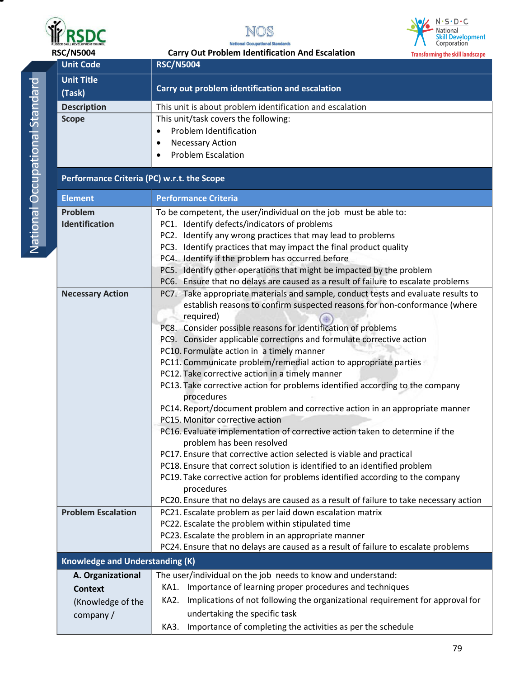





| ı      |
|--------|
|        |
| ı      |
| l      |
|        |
|        |
| ı      |
|        |
| Ī      |
|        |
|        |
| I      |
| I      |
|        |
|        |
|        |
| ֚֚֚֬   |
|        |
|        |
|        |
|        |
|        |
| ì<br>l |
|        |
|        |
| I      |
| I      |
|        |
|        |
|        |
|        |
|        |
|        |
|        |

| <b>RSC/N5004</b><br><b>Carry Out Problem Identification And Escalation</b><br><b>Transforming the skill landscape</b><br><b>Unit Code</b><br><b>RSC/N5004</b><br><b>Unit Title</b><br>Carry out problem identification and escalation<br>(Task)<br><b>Description</b><br>This unit is about problem identification and escalation<br>This unit/task covers the following:<br><b>Scope</b><br>Problem Identification<br>$\bullet$<br><b>Necessary Action</b><br>$\bullet$<br><b>Problem Escalation</b><br>$\bullet$<br>Performance Criteria (PC) w.r.t. the Scope<br><b>Element</b><br><b>Performance Criteria</b><br>Problem<br>To be competent, the user/individual on the job must be able to:<br>Identification<br>PC1. Identify defects/indicators of problems<br>PC2. Identify any wrong practices that may lead to problems<br>PC3. Identify practices that may impact the final product quality<br>PC4. Identify if the problem has occurred before<br>PC5. Identify other operations that might be impacted by the problem<br>PC6. Ensure that no delays are caused as a result of failure to escalate problems<br>PC7. Take appropriate materials and sample, conduct tests and evaluate results to<br><b>Necessary Action</b><br>establish reasons to confirm suspected reasons for non-conformance (where<br>required)<br>PC8. Consider possible reasons for identification of problems<br>PC9. Consider applicable corrections and formulate corrective action<br>PC10. Formulate action in a timely manner<br>PC11. Communicate problem/remedial action to appropriate parties<br>PC12. Take corrective action in a timely manner<br>PC13. Take corrective action for problems identified according to the company<br>procedures<br>PC14. Report/document problem and corrective action in an appropriate manner<br>PC15. Monitor corrective action<br>PC16. Evaluate implementation of corrective action taken to determine if the<br>problem has been resolved<br>PC17. Ensure that corrective action selected is viable and practical<br>PC18. Ensure that correct solution is identified to an identified problem<br>PC19. Take corrective action for problems identified according to the company<br>procedures<br>PC20. Ensure that no delays are caused as a result of failure to take necessary action<br><b>Problem Escalation</b><br>PC21. Escalate problem as per laid down escalation matrix<br>PC22. Escalate the problem within stipulated time<br>PC23. Escalate the problem in an appropriate manner<br>PC24. Ensure that no delays are caused as a result of failure to escalate problems<br><b>Knowledge and Understanding (K)</b><br>The user/individual on the job needs to know and understand:<br>A. Organizational<br>Importance of learning proper procedures and techniques<br>KA1.<br><b>Context</b><br>Implications of not following the organizational requirement for approval for<br>KA2. |  | RUBBER SKILL DEVELOPMENT COUNCIL | Corporation<br><b>National Occupational Standards</b> |
|--------------------------------------------------------------------------------------------------------------------------------------------------------------------------------------------------------------------------------------------------------------------------------------------------------------------------------------------------------------------------------------------------------------------------------------------------------------------------------------------------------------------------------------------------------------------------------------------------------------------------------------------------------------------------------------------------------------------------------------------------------------------------------------------------------------------------------------------------------------------------------------------------------------------------------------------------------------------------------------------------------------------------------------------------------------------------------------------------------------------------------------------------------------------------------------------------------------------------------------------------------------------------------------------------------------------------------------------------------------------------------------------------------------------------------------------------------------------------------------------------------------------------------------------------------------------------------------------------------------------------------------------------------------------------------------------------------------------------------------------------------------------------------------------------------------------------------------------------------------------------------------------------------------------------------------------------------------------------------------------------------------------------------------------------------------------------------------------------------------------------------------------------------------------------------------------------------------------------------------------------------------------------------------------------------------------------------------------------------------------------------------------------------------------------------------------------------------------------------------------------------------------------------------------------------------------------------------------------------------------------------------------------------------------------------------------------------------------------------------------------------------------------------------------------------------------------------------------------------------------------------------------------------------------------------------|--|----------------------------------|-------------------------------------------------------|
|                                                                                                                                                                                                                                                                                                                                                                                                                                                                                                                                                                                                                                                                                                                                                                                                                                                                                                                                                                                                                                                                                                                                                                                                                                                                                                                                                                                                                                                                                                                                                                                                                                                                                                                                                                                                                                                                                                                                                                                                                                                                                                                                                                                                                                                                                                                                                                                                                                                                                                                                                                                                                                                                                                                                                                                                                                                                                                                                      |  |                                  |                                                       |
|                                                                                                                                                                                                                                                                                                                                                                                                                                                                                                                                                                                                                                                                                                                                                                                                                                                                                                                                                                                                                                                                                                                                                                                                                                                                                                                                                                                                                                                                                                                                                                                                                                                                                                                                                                                                                                                                                                                                                                                                                                                                                                                                                                                                                                                                                                                                                                                                                                                                                                                                                                                                                                                                                                                                                                                                                                                                                                                                      |  |                                  |                                                       |
|                                                                                                                                                                                                                                                                                                                                                                                                                                                                                                                                                                                                                                                                                                                                                                                                                                                                                                                                                                                                                                                                                                                                                                                                                                                                                                                                                                                                                                                                                                                                                                                                                                                                                                                                                                                                                                                                                                                                                                                                                                                                                                                                                                                                                                                                                                                                                                                                                                                                                                                                                                                                                                                                                                                                                                                                                                                                                                                                      |  |                                  |                                                       |
|                                                                                                                                                                                                                                                                                                                                                                                                                                                                                                                                                                                                                                                                                                                                                                                                                                                                                                                                                                                                                                                                                                                                                                                                                                                                                                                                                                                                                                                                                                                                                                                                                                                                                                                                                                                                                                                                                                                                                                                                                                                                                                                                                                                                                                                                                                                                                                                                                                                                                                                                                                                                                                                                                                                                                                                                                                                                                                                                      |  |                                  |                                                       |
|                                                                                                                                                                                                                                                                                                                                                                                                                                                                                                                                                                                                                                                                                                                                                                                                                                                                                                                                                                                                                                                                                                                                                                                                                                                                                                                                                                                                                                                                                                                                                                                                                                                                                                                                                                                                                                                                                                                                                                                                                                                                                                                                                                                                                                                                                                                                                                                                                                                                                                                                                                                                                                                                                                                                                                                                                                                                                                                                      |  |                                  |                                                       |
|                                                                                                                                                                                                                                                                                                                                                                                                                                                                                                                                                                                                                                                                                                                                                                                                                                                                                                                                                                                                                                                                                                                                                                                                                                                                                                                                                                                                                                                                                                                                                                                                                                                                                                                                                                                                                                                                                                                                                                                                                                                                                                                                                                                                                                                                                                                                                                                                                                                                                                                                                                                                                                                                                                                                                                                                                                                                                                                                      |  |                                  |                                                       |
|                                                                                                                                                                                                                                                                                                                                                                                                                                                                                                                                                                                                                                                                                                                                                                                                                                                                                                                                                                                                                                                                                                                                                                                                                                                                                                                                                                                                                                                                                                                                                                                                                                                                                                                                                                                                                                                                                                                                                                                                                                                                                                                                                                                                                                                                                                                                                                                                                                                                                                                                                                                                                                                                                                                                                                                                                                                                                                                                      |  |                                  |                                                       |
|                                                                                                                                                                                                                                                                                                                                                                                                                                                                                                                                                                                                                                                                                                                                                                                                                                                                                                                                                                                                                                                                                                                                                                                                                                                                                                                                                                                                                                                                                                                                                                                                                                                                                                                                                                                                                                                                                                                                                                                                                                                                                                                                                                                                                                                                                                                                                                                                                                                                                                                                                                                                                                                                                                                                                                                                                                                                                                                                      |  |                                  |                                                       |
|                                                                                                                                                                                                                                                                                                                                                                                                                                                                                                                                                                                                                                                                                                                                                                                                                                                                                                                                                                                                                                                                                                                                                                                                                                                                                                                                                                                                                                                                                                                                                                                                                                                                                                                                                                                                                                                                                                                                                                                                                                                                                                                                                                                                                                                                                                                                                                                                                                                                                                                                                                                                                                                                                                                                                                                                                                                                                                                                      |  |                                  |                                                       |
|                                                                                                                                                                                                                                                                                                                                                                                                                                                                                                                                                                                                                                                                                                                                                                                                                                                                                                                                                                                                                                                                                                                                                                                                                                                                                                                                                                                                                                                                                                                                                                                                                                                                                                                                                                                                                                                                                                                                                                                                                                                                                                                                                                                                                                                                                                                                                                                                                                                                                                                                                                                                                                                                                                                                                                                                                                                                                                                                      |  |                                  |                                                       |
|                                                                                                                                                                                                                                                                                                                                                                                                                                                                                                                                                                                                                                                                                                                                                                                                                                                                                                                                                                                                                                                                                                                                                                                                                                                                                                                                                                                                                                                                                                                                                                                                                                                                                                                                                                                                                                                                                                                                                                                                                                                                                                                                                                                                                                                                                                                                                                                                                                                                                                                                                                                                                                                                                                                                                                                                                                                                                                                                      |  |                                  |                                                       |
|                                                                                                                                                                                                                                                                                                                                                                                                                                                                                                                                                                                                                                                                                                                                                                                                                                                                                                                                                                                                                                                                                                                                                                                                                                                                                                                                                                                                                                                                                                                                                                                                                                                                                                                                                                                                                                                                                                                                                                                                                                                                                                                                                                                                                                                                                                                                                                                                                                                                                                                                                                                                                                                                                                                                                                                                                                                                                                                                      |  |                                  |                                                       |
|                                                                                                                                                                                                                                                                                                                                                                                                                                                                                                                                                                                                                                                                                                                                                                                                                                                                                                                                                                                                                                                                                                                                                                                                                                                                                                                                                                                                                                                                                                                                                                                                                                                                                                                                                                                                                                                                                                                                                                                                                                                                                                                                                                                                                                                                                                                                                                                                                                                                                                                                                                                                                                                                                                                                                                                                                                                                                                                                      |  |                                  |                                                       |
|                                                                                                                                                                                                                                                                                                                                                                                                                                                                                                                                                                                                                                                                                                                                                                                                                                                                                                                                                                                                                                                                                                                                                                                                                                                                                                                                                                                                                                                                                                                                                                                                                                                                                                                                                                                                                                                                                                                                                                                                                                                                                                                                                                                                                                                                                                                                                                                                                                                                                                                                                                                                                                                                                                                                                                                                                                                                                                                                      |  |                                  |                                                       |
|                                                                                                                                                                                                                                                                                                                                                                                                                                                                                                                                                                                                                                                                                                                                                                                                                                                                                                                                                                                                                                                                                                                                                                                                                                                                                                                                                                                                                                                                                                                                                                                                                                                                                                                                                                                                                                                                                                                                                                                                                                                                                                                                                                                                                                                                                                                                                                                                                                                                                                                                                                                                                                                                                                                                                                                                                                                                                                                                      |  |                                  |                                                       |
|                                                                                                                                                                                                                                                                                                                                                                                                                                                                                                                                                                                                                                                                                                                                                                                                                                                                                                                                                                                                                                                                                                                                                                                                                                                                                                                                                                                                                                                                                                                                                                                                                                                                                                                                                                                                                                                                                                                                                                                                                                                                                                                                                                                                                                                                                                                                                                                                                                                                                                                                                                                                                                                                                                                                                                                                                                                                                                                                      |  |                                  |                                                       |
|                                                                                                                                                                                                                                                                                                                                                                                                                                                                                                                                                                                                                                                                                                                                                                                                                                                                                                                                                                                                                                                                                                                                                                                                                                                                                                                                                                                                                                                                                                                                                                                                                                                                                                                                                                                                                                                                                                                                                                                                                                                                                                                                                                                                                                                                                                                                                                                                                                                                                                                                                                                                                                                                                                                                                                                                                                                                                                                                      |  |                                  |                                                       |
|                                                                                                                                                                                                                                                                                                                                                                                                                                                                                                                                                                                                                                                                                                                                                                                                                                                                                                                                                                                                                                                                                                                                                                                                                                                                                                                                                                                                                                                                                                                                                                                                                                                                                                                                                                                                                                                                                                                                                                                                                                                                                                                                                                                                                                                                                                                                                                                                                                                                                                                                                                                                                                                                                                                                                                                                                                                                                                                                      |  |                                  |                                                       |
|                                                                                                                                                                                                                                                                                                                                                                                                                                                                                                                                                                                                                                                                                                                                                                                                                                                                                                                                                                                                                                                                                                                                                                                                                                                                                                                                                                                                                                                                                                                                                                                                                                                                                                                                                                                                                                                                                                                                                                                                                                                                                                                                                                                                                                                                                                                                                                                                                                                                                                                                                                                                                                                                                                                                                                                                                                                                                                                                      |  |                                  |                                                       |
|                                                                                                                                                                                                                                                                                                                                                                                                                                                                                                                                                                                                                                                                                                                                                                                                                                                                                                                                                                                                                                                                                                                                                                                                                                                                                                                                                                                                                                                                                                                                                                                                                                                                                                                                                                                                                                                                                                                                                                                                                                                                                                                                                                                                                                                                                                                                                                                                                                                                                                                                                                                                                                                                                                                                                                                                                                                                                                                                      |  |                                  |                                                       |
|                                                                                                                                                                                                                                                                                                                                                                                                                                                                                                                                                                                                                                                                                                                                                                                                                                                                                                                                                                                                                                                                                                                                                                                                                                                                                                                                                                                                                                                                                                                                                                                                                                                                                                                                                                                                                                                                                                                                                                                                                                                                                                                                                                                                                                                                                                                                                                                                                                                                                                                                                                                                                                                                                                                                                                                                                                                                                                                                      |  |                                  |                                                       |
|                                                                                                                                                                                                                                                                                                                                                                                                                                                                                                                                                                                                                                                                                                                                                                                                                                                                                                                                                                                                                                                                                                                                                                                                                                                                                                                                                                                                                                                                                                                                                                                                                                                                                                                                                                                                                                                                                                                                                                                                                                                                                                                                                                                                                                                                                                                                                                                                                                                                                                                                                                                                                                                                                                                                                                                                                                                                                                                                      |  |                                  |                                                       |
|                                                                                                                                                                                                                                                                                                                                                                                                                                                                                                                                                                                                                                                                                                                                                                                                                                                                                                                                                                                                                                                                                                                                                                                                                                                                                                                                                                                                                                                                                                                                                                                                                                                                                                                                                                                                                                                                                                                                                                                                                                                                                                                                                                                                                                                                                                                                                                                                                                                                                                                                                                                                                                                                                                                                                                                                                                                                                                                                      |  |                                  |                                                       |
|                                                                                                                                                                                                                                                                                                                                                                                                                                                                                                                                                                                                                                                                                                                                                                                                                                                                                                                                                                                                                                                                                                                                                                                                                                                                                                                                                                                                                                                                                                                                                                                                                                                                                                                                                                                                                                                                                                                                                                                                                                                                                                                                                                                                                                                                                                                                                                                                                                                                                                                                                                                                                                                                                                                                                                                                                                                                                                                                      |  |                                  |                                                       |
|                                                                                                                                                                                                                                                                                                                                                                                                                                                                                                                                                                                                                                                                                                                                                                                                                                                                                                                                                                                                                                                                                                                                                                                                                                                                                                                                                                                                                                                                                                                                                                                                                                                                                                                                                                                                                                                                                                                                                                                                                                                                                                                                                                                                                                                                                                                                                                                                                                                                                                                                                                                                                                                                                                                                                                                                                                                                                                                                      |  |                                  |                                                       |
|                                                                                                                                                                                                                                                                                                                                                                                                                                                                                                                                                                                                                                                                                                                                                                                                                                                                                                                                                                                                                                                                                                                                                                                                                                                                                                                                                                                                                                                                                                                                                                                                                                                                                                                                                                                                                                                                                                                                                                                                                                                                                                                                                                                                                                                                                                                                                                                                                                                                                                                                                                                                                                                                                                                                                                                                                                                                                                                                      |  |                                  |                                                       |
|                                                                                                                                                                                                                                                                                                                                                                                                                                                                                                                                                                                                                                                                                                                                                                                                                                                                                                                                                                                                                                                                                                                                                                                                                                                                                                                                                                                                                                                                                                                                                                                                                                                                                                                                                                                                                                                                                                                                                                                                                                                                                                                                                                                                                                                                                                                                                                                                                                                                                                                                                                                                                                                                                                                                                                                                                                                                                                                                      |  |                                  |                                                       |
|                                                                                                                                                                                                                                                                                                                                                                                                                                                                                                                                                                                                                                                                                                                                                                                                                                                                                                                                                                                                                                                                                                                                                                                                                                                                                                                                                                                                                                                                                                                                                                                                                                                                                                                                                                                                                                                                                                                                                                                                                                                                                                                                                                                                                                                                                                                                                                                                                                                                                                                                                                                                                                                                                                                                                                                                                                                                                                                                      |  |                                  |                                                       |
|                                                                                                                                                                                                                                                                                                                                                                                                                                                                                                                                                                                                                                                                                                                                                                                                                                                                                                                                                                                                                                                                                                                                                                                                                                                                                                                                                                                                                                                                                                                                                                                                                                                                                                                                                                                                                                                                                                                                                                                                                                                                                                                                                                                                                                                                                                                                                                                                                                                                                                                                                                                                                                                                                                                                                                                                                                                                                                                                      |  |                                  |                                                       |
|                                                                                                                                                                                                                                                                                                                                                                                                                                                                                                                                                                                                                                                                                                                                                                                                                                                                                                                                                                                                                                                                                                                                                                                                                                                                                                                                                                                                                                                                                                                                                                                                                                                                                                                                                                                                                                                                                                                                                                                                                                                                                                                                                                                                                                                                                                                                                                                                                                                                                                                                                                                                                                                                                                                                                                                                                                                                                                                                      |  |                                  |                                                       |
|                                                                                                                                                                                                                                                                                                                                                                                                                                                                                                                                                                                                                                                                                                                                                                                                                                                                                                                                                                                                                                                                                                                                                                                                                                                                                                                                                                                                                                                                                                                                                                                                                                                                                                                                                                                                                                                                                                                                                                                                                                                                                                                                                                                                                                                                                                                                                                                                                                                                                                                                                                                                                                                                                                                                                                                                                                                                                                                                      |  |                                  |                                                       |
|                                                                                                                                                                                                                                                                                                                                                                                                                                                                                                                                                                                                                                                                                                                                                                                                                                                                                                                                                                                                                                                                                                                                                                                                                                                                                                                                                                                                                                                                                                                                                                                                                                                                                                                                                                                                                                                                                                                                                                                                                                                                                                                                                                                                                                                                                                                                                                                                                                                                                                                                                                                                                                                                                                                                                                                                                                                                                                                                      |  |                                  |                                                       |
|                                                                                                                                                                                                                                                                                                                                                                                                                                                                                                                                                                                                                                                                                                                                                                                                                                                                                                                                                                                                                                                                                                                                                                                                                                                                                                                                                                                                                                                                                                                                                                                                                                                                                                                                                                                                                                                                                                                                                                                                                                                                                                                                                                                                                                                                                                                                                                                                                                                                                                                                                                                                                                                                                                                                                                                                                                                                                                                                      |  |                                  |                                                       |
|                                                                                                                                                                                                                                                                                                                                                                                                                                                                                                                                                                                                                                                                                                                                                                                                                                                                                                                                                                                                                                                                                                                                                                                                                                                                                                                                                                                                                                                                                                                                                                                                                                                                                                                                                                                                                                                                                                                                                                                                                                                                                                                                                                                                                                                                                                                                                                                                                                                                                                                                                                                                                                                                                                                                                                                                                                                                                                                                      |  |                                  |                                                       |
|                                                                                                                                                                                                                                                                                                                                                                                                                                                                                                                                                                                                                                                                                                                                                                                                                                                                                                                                                                                                                                                                                                                                                                                                                                                                                                                                                                                                                                                                                                                                                                                                                                                                                                                                                                                                                                                                                                                                                                                                                                                                                                                                                                                                                                                                                                                                                                                                                                                                                                                                                                                                                                                                                                                                                                                                                                                                                                                                      |  |                                  |                                                       |
|                                                                                                                                                                                                                                                                                                                                                                                                                                                                                                                                                                                                                                                                                                                                                                                                                                                                                                                                                                                                                                                                                                                                                                                                                                                                                                                                                                                                                                                                                                                                                                                                                                                                                                                                                                                                                                                                                                                                                                                                                                                                                                                                                                                                                                                                                                                                                                                                                                                                                                                                                                                                                                                                                                                                                                                                                                                                                                                                      |  |                                  |                                                       |
|                                                                                                                                                                                                                                                                                                                                                                                                                                                                                                                                                                                                                                                                                                                                                                                                                                                                                                                                                                                                                                                                                                                                                                                                                                                                                                                                                                                                                                                                                                                                                                                                                                                                                                                                                                                                                                                                                                                                                                                                                                                                                                                                                                                                                                                                                                                                                                                                                                                                                                                                                                                                                                                                                                                                                                                                                                                                                                                                      |  |                                  |                                                       |
|                                                                                                                                                                                                                                                                                                                                                                                                                                                                                                                                                                                                                                                                                                                                                                                                                                                                                                                                                                                                                                                                                                                                                                                                                                                                                                                                                                                                                                                                                                                                                                                                                                                                                                                                                                                                                                                                                                                                                                                                                                                                                                                                                                                                                                                                                                                                                                                                                                                                                                                                                                                                                                                                                                                                                                                                                                                                                                                                      |  |                                  |                                                       |
|                                                                                                                                                                                                                                                                                                                                                                                                                                                                                                                                                                                                                                                                                                                                                                                                                                                                                                                                                                                                                                                                                                                                                                                                                                                                                                                                                                                                                                                                                                                                                                                                                                                                                                                                                                                                                                                                                                                                                                                                                                                                                                                                                                                                                                                                                                                                                                                                                                                                                                                                                                                                                                                                                                                                                                                                                                                                                                                                      |  |                                  |                                                       |
|                                                                                                                                                                                                                                                                                                                                                                                                                                                                                                                                                                                                                                                                                                                                                                                                                                                                                                                                                                                                                                                                                                                                                                                                                                                                                                                                                                                                                                                                                                                                                                                                                                                                                                                                                                                                                                                                                                                                                                                                                                                                                                                                                                                                                                                                                                                                                                                                                                                                                                                                                                                                                                                                                                                                                                                                                                                                                                                                      |  |                                  |                                                       |
|                                                                                                                                                                                                                                                                                                                                                                                                                                                                                                                                                                                                                                                                                                                                                                                                                                                                                                                                                                                                                                                                                                                                                                                                                                                                                                                                                                                                                                                                                                                                                                                                                                                                                                                                                                                                                                                                                                                                                                                                                                                                                                                                                                                                                                                                                                                                                                                                                                                                                                                                                                                                                                                                                                                                                                                                                                                                                                                                      |  | (Knowledge of the                |                                                       |
| undertaking the specific task<br>company/                                                                                                                                                                                                                                                                                                                                                                                                                                                                                                                                                                                                                                                                                                                                                                                                                                                                                                                                                                                                                                                                                                                                                                                                                                                                                                                                                                                                                                                                                                                                                                                                                                                                                                                                                                                                                                                                                                                                                                                                                                                                                                                                                                                                                                                                                                                                                                                                                                                                                                                                                                                                                                                                                                                                                                                                                                                                                            |  |                                  |                                                       |
| Importance of completing the activities as per the schedule<br>KA3.                                                                                                                                                                                                                                                                                                                                                                                                                                                                                                                                                                                                                                                                                                                                                                                                                                                                                                                                                                                                                                                                                                                                                                                                                                                                                                                                                                                                                                                                                                                                                                                                                                                                                                                                                                                                                                                                                                                                                                                                                                                                                                                                                                                                                                                                                                                                                                                                                                                                                                                                                                                                                                                                                                                                                                                                                                                                  |  |                                  |                                                       |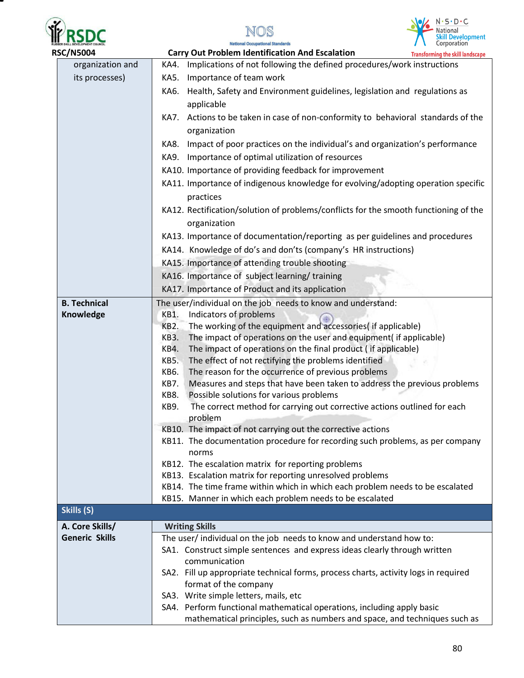





| <b>RSC/N5004</b>      | <b>Carry Out Problem Identification And Escalation</b><br><b>Transforming the skill landscape</b>                                            |
|-----------------------|----------------------------------------------------------------------------------------------------------------------------------------------|
| organization and      | Implications of not following the defined procedures/work instructions<br>KA4.                                                               |
| its processes)        | Importance of team work<br>KA5.                                                                                                              |
|                       | Health, Safety and Environment guidelines, legislation and regulations as<br>KA6.                                                            |
|                       | applicable                                                                                                                                   |
|                       | KA7. Actions to be taken in case of non-conformity to behavioral standards of the                                                            |
|                       | organization                                                                                                                                 |
|                       | Impact of poor practices on the individual's and organization's performance<br>KA8.                                                          |
|                       | KA9. Importance of optimal utilization of resources                                                                                          |
|                       | KA10. Importance of providing feedback for improvement                                                                                       |
|                       | KA11. Importance of indigenous knowledge for evolving/adopting operation specific                                                            |
|                       | practices                                                                                                                                    |
|                       | KA12. Rectification/solution of problems/conflicts for the smooth functioning of the                                                         |
|                       | organization                                                                                                                                 |
|                       | KA13. Importance of documentation/reporting as per guidelines and procedures                                                                 |
|                       | KA14. Knowledge of do's and don'ts (company's HR instructions)                                                                               |
|                       | KA15. Importance of attending trouble shooting                                                                                               |
|                       | KA16. Importance of subject learning/training                                                                                                |
|                       | KA17. Importance of Product and its application                                                                                              |
| <b>B. Technical</b>   | The user/individual on the job needs to know and understand:                                                                                 |
| Knowledge             | Indicators of problems<br>KB1.                                                                                                               |
|                       | The working of the equipment and accessories( if applicable)<br>KB2.                                                                         |
|                       | The impact of operations on the user and equipment( if applicable)<br>KB3.                                                                   |
|                       | The impact of operations on the final product (if applicable)<br>KB4.                                                                        |
|                       | The effect of not rectifying the problems identified<br>KB5.                                                                                 |
|                       | KB6.<br>The reason for the occurrence of previous problems                                                                                   |
|                       | KB7.<br>Measures and steps that have been taken to address the previous problems                                                             |
|                       | Possible solutions for various problems<br>KB8.                                                                                              |
|                       | The correct method for carrying out corrective actions outlined for each<br><b>KB9.</b>                                                      |
|                       | problem                                                                                                                                      |
|                       | KB10. The impact of not carrying out the corrective actions<br>KB11. The documentation procedure for recording such problems, as per company |
|                       | norms                                                                                                                                        |
|                       | KB12. The escalation matrix for reporting problems                                                                                           |
|                       | KB13. Escalation matrix for reporting unresolved problems                                                                                    |
|                       | KB14. The time frame within which in which each problem needs to be escalated                                                                |
|                       | KB15. Manner in which each problem needs to be escalated                                                                                     |
| Skills (S)            |                                                                                                                                              |
| A. Core Skills/       | <b>Writing Skills</b>                                                                                                                        |
| <b>Generic Skills</b> | The user/ individual on the job needs to know and understand how to:                                                                         |
|                       | SA1. Construct simple sentences and express ideas clearly through written                                                                    |
|                       | communication                                                                                                                                |
|                       | SA2. Fill up appropriate technical forms, process charts, activity logs in required                                                          |
|                       | format of the company                                                                                                                        |
|                       | SA3. Write simple letters, mails, etc                                                                                                        |
|                       | SA4. Perform functional mathematical operations, including apply basic                                                                       |
|                       | mathematical principles, such as numbers and space, and techniques such as                                                                   |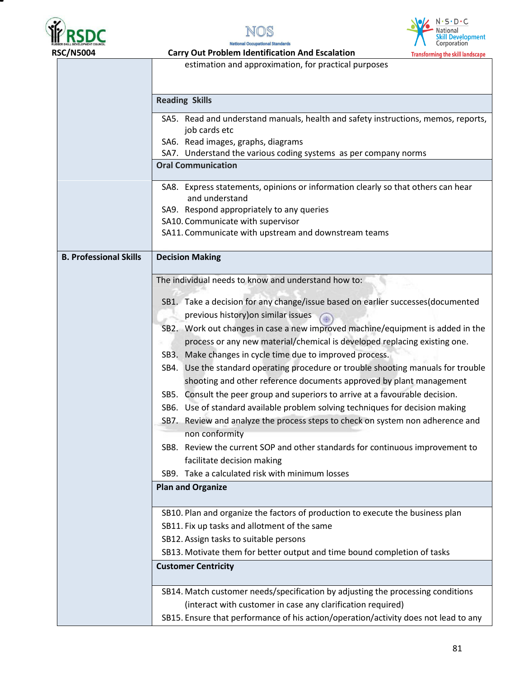

Ξ





|                               | estimation and approximation, for practical purposes                                         |  |  |  |
|-------------------------------|----------------------------------------------------------------------------------------------|--|--|--|
|                               |                                                                                              |  |  |  |
|                               |                                                                                              |  |  |  |
|                               | <b>Reading Skills</b>                                                                        |  |  |  |
|                               | SA5. Read and understand manuals, health and safety instructions, memos, reports,            |  |  |  |
|                               | job cards etc                                                                                |  |  |  |
|                               | SA6. Read images, graphs, diagrams                                                           |  |  |  |
|                               | SA7. Understand the various coding systems as per company norms<br><b>Oral Communication</b> |  |  |  |
|                               |                                                                                              |  |  |  |
|                               | SA8. Express statements, opinions or information clearly so that others can hear             |  |  |  |
|                               | and understand                                                                               |  |  |  |
|                               | SA9. Respond appropriately to any queries                                                    |  |  |  |
|                               | SA10. Communicate with supervisor                                                            |  |  |  |
|                               | SA11. Communicate with upstream and downstream teams                                         |  |  |  |
| <b>B. Professional Skills</b> | <b>Decision Making</b>                                                                       |  |  |  |
|                               |                                                                                              |  |  |  |
|                               | The individual needs to know and understand how to:                                          |  |  |  |
|                               |                                                                                              |  |  |  |
|                               | SB1. Take a decision for any change/issue based on earlier successes(documented              |  |  |  |
|                               | previous history) on similar issues                                                          |  |  |  |
|                               | SB2. Work out changes in case a new improved machine/equipment is added in the               |  |  |  |
|                               | process or any new material/chemical is developed replacing existing one.                    |  |  |  |
|                               | SB3. Make changes in cycle time due to improved process.                                     |  |  |  |
|                               | SB4. Use the standard operating procedure or trouble shooting manuals for trouble            |  |  |  |
|                               | shooting and other reference documents approved by plant management                          |  |  |  |
|                               | SB5. Consult the peer group and superiors to arrive at a favourable decision.                |  |  |  |
|                               | SB6. Use of standard available problem solving techniques for decision making                |  |  |  |
|                               | SB7. Review and analyze the process steps to check on system non adherence and               |  |  |  |
|                               | non conformity                                                                               |  |  |  |
|                               | SB8. Review the current SOP and other standards for continuous improvement to                |  |  |  |
|                               | facilitate decision making                                                                   |  |  |  |
|                               | SB9. Take a calculated risk with minimum losses                                              |  |  |  |
|                               | <b>Plan and Organize</b>                                                                     |  |  |  |
|                               |                                                                                              |  |  |  |
|                               | SB10. Plan and organize the factors of production to execute the business plan               |  |  |  |
|                               | SB11. Fix up tasks and allotment of the same                                                 |  |  |  |
|                               | SB12. Assign tasks to suitable persons                                                       |  |  |  |
|                               | SB13. Motivate them for better output and time bound completion of tasks                     |  |  |  |
|                               | <b>Customer Centricity</b>                                                                   |  |  |  |
|                               | SB14. Match customer needs/specification by adjusting the processing conditions              |  |  |  |
|                               | (interact with customer in case any clarification required)                                  |  |  |  |
|                               | SB15. Ensure that performance of his action/operation/activity does not lead to any          |  |  |  |
|                               |                                                                                              |  |  |  |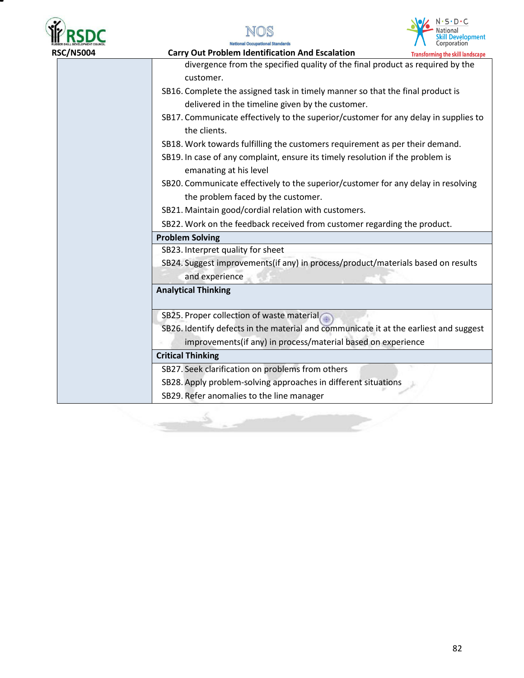





**RSC/N5004****Carry Out Problem Identification And Escalation Transforming the skill landscape** divergence from the specified quality of the final product as required by the customer. SB16. Complete the assigned task in timely manner so that the final product is delivered in the timeline given by the customer. SB17. Communicate effectively to the superior/customer for any delay in supplies to the clients. SB18. Work towards fulfilling the customers requirement as per their demand. SB19. In case of any complaint, ensure its timely resolution if the problem is emanating at his level SB20. Communicate effectively to the superior/customer for any delay in resolving the problem faced by the customer. SB21. Maintain good/cordial relation with customers. SB22. Work on the feedback received from customer regarding the product. **Problem Solving**  SB23. Interpret quality for sheet SB24. Suggest improvements(if any) in process/product/materials based on results and experience **Analytical Thinking**  SB25. Proper collection of waste material SB26. Identify defects in the material and communicate it at the earliest and suggest improvements(if any) in process/material based on experience **Critical Thinking** SB27. Seek clarification on problems from others SB28. Apply problem-solving approaches in different situations SB29. Refer anomalies to the line manager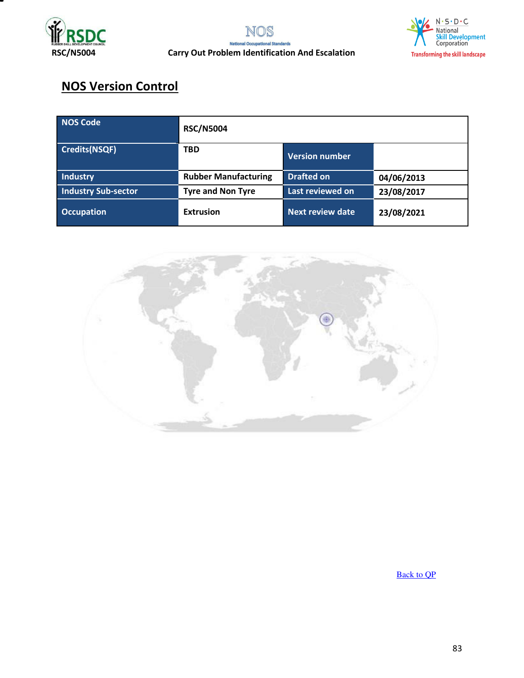



# **NOS Version Control**

| <b>NOS Code</b>            | <b>RSC/N5004</b>            |                         |            |
|----------------------------|-----------------------------|-------------------------|------------|
| <b>Credits(NSQF)</b>       | <b>TBD</b>                  | <b>Version number</b>   |            |
| Industry                   | <b>Rubber Manufacturing</b> | <b>Drafted on</b>       | 04/06/2013 |
| <b>Industry Sub-sector</b> | <b>Tyre and Non Tyre</b>    | Last reviewed on        | 23/08/2017 |
| <b>Occupation</b>          | <b>Extrusion</b>            | <b>Next review date</b> | 23/08/2021 |



[Back to QP](#page-1-0)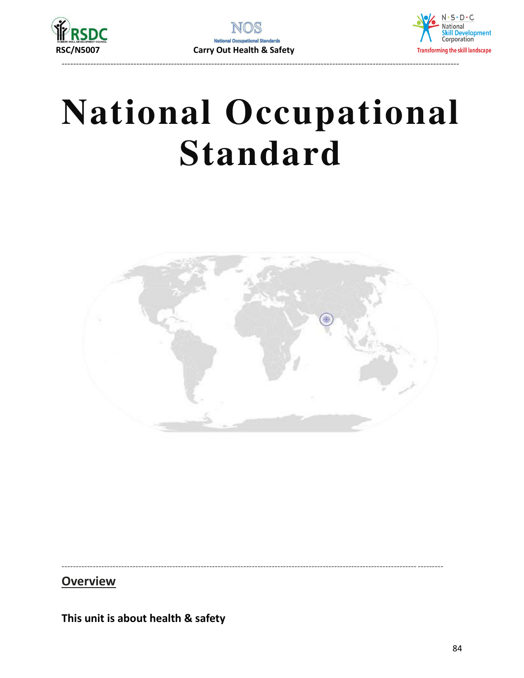



# **National Occupational Standard**



**Overview** 

This unit is about health & safety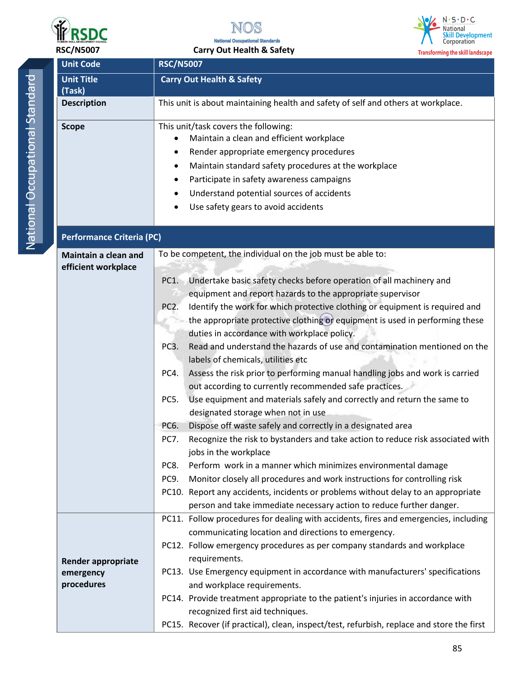

**Unit Code RSC/N5007** 



 **RSC/N5007 Carry Out Health & Safety** 



**Transforming the skill landscape** 

| <b>Unit Title</b>                                    | <b>Carry Out Health &amp; Safety</b>                                                                                                                                                                                                                                                                                                                                                                                                                                                                                                                                                                                                                                                                                                                                                                                                                                                                                                                                                                                                                                                                                                                                                                                                                                                                                                                                                         |  |  |
|------------------------------------------------------|----------------------------------------------------------------------------------------------------------------------------------------------------------------------------------------------------------------------------------------------------------------------------------------------------------------------------------------------------------------------------------------------------------------------------------------------------------------------------------------------------------------------------------------------------------------------------------------------------------------------------------------------------------------------------------------------------------------------------------------------------------------------------------------------------------------------------------------------------------------------------------------------------------------------------------------------------------------------------------------------------------------------------------------------------------------------------------------------------------------------------------------------------------------------------------------------------------------------------------------------------------------------------------------------------------------------------------------------------------------------------------------------|--|--|
| (Task)                                               |                                                                                                                                                                                                                                                                                                                                                                                                                                                                                                                                                                                                                                                                                                                                                                                                                                                                                                                                                                                                                                                                                                                                                                                                                                                                                                                                                                                              |  |  |
| <b>Description</b>                                   | This unit is about maintaining health and safety of self and others at workplace.                                                                                                                                                                                                                                                                                                                                                                                                                                                                                                                                                                                                                                                                                                                                                                                                                                                                                                                                                                                                                                                                                                                                                                                                                                                                                                            |  |  |
| <b>Scope</b>                                         | This unit/task covers the following:<br>Maintain a clean and efficient workplace<br>٠<br>Render appropriate emergency procedures<br>$\bullet$<br>Maintain standard safety procedures at the workplace<br>٠<br>Participate in safety awareness campaigns<br>٠<br>Understand potential sources of accidents<br>٠<br>Use safety gears to avoid accidents                                                                                                                                                                                                                                                                                                                                                                                                                                                                                                                                                                                                                                                                                                                                                                                                                                                                                                                                                                                                                                        |  |  |
| <b>Performance Criteria (PC)</b>                     |                                                                                                                                                                                                                                                                                                                                                                                                                                                                                                                                                                                                                                                                                                                                                                                                                                                                                                                                                                                                                                                                                                                                                                                                                                                                                                                                                                                              |  |  |
| Maintain a clean and<br>efficient workplace          | To be competent, the individual on the job must be able to:<br>Undertake basic safety checks before operation of all machinery and<br>PC1.<br>equipment and report hazards to the appropriate supervisor<br>Identify the work for which protective clothing or equipment is required and<br>PC <sub>2</sub> .<br>the appropriate protective clothing or equipment is used in performing these<br>duties in accordance with workplace policy.<br>Read and understand the hazards of use and contamination mentioned on the<br>PC <sub>3</sub> .<br>labels of chemicals, utilities etc<br>Assess the risk prior to performing manual handling jobs and work is carried<br>PC4.<br>out according to currently recommended safe practices.<br>Use equipment and materials safely and correctly and return the same to<br>PC5.<br>designated storage when not in use<br>Dispose off waste safely and correctly in a designated area<br>PC6.<br>Recognize the risk to bystanders and take action to reduce risk associated with<br><b>PC7.</b><br>jobs in the workplace<br>PC8.<br>Perform work in a manner which minimizes environmental damage<br>Monitor closely all procedures and work instructions for controlling risk<br>PC9.<br>PC10. Report any accidents, incidents or problems without delay to an appropriate<br>person and take immediate necessary action to reduce further danger. |  |  |
| <b>Render appropriate</b><br>emergency<br>procedures | PC11. Follow procedures for dealing with accidents, fires and emergencies, including<br>communicating location and directions to emergency.<br>PC12. Follow emergency procedures as per company standards and workplace<br>requirements.<br>PC13. Use Emergency equipment in accordance with manufacturers' specifications<br>and workplace requirements.<br>PC14. Provide treatment appropriate to the patient's injuries in accordance with<br>recognized first aid techniques.<br>PC15. Recover (if practical), clean, inspect/test, refurbish, replace and store the first                                                                                                                                                                                                                                                                                                                                                                                                                                                                                                                                                                                                                                                                                                                                                                                                               |  |  |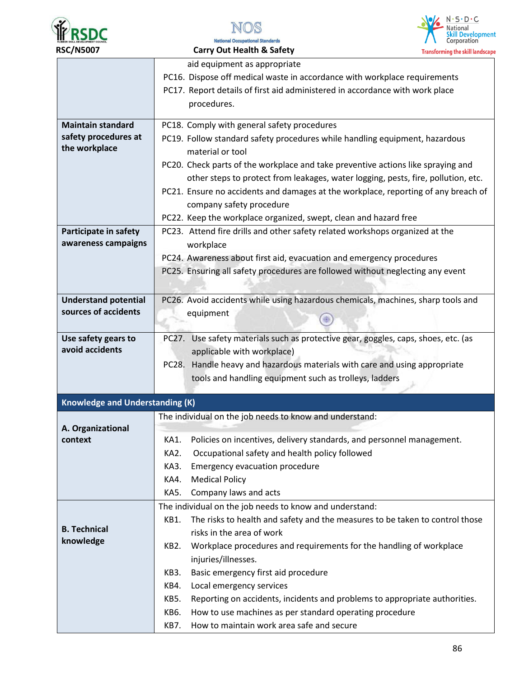





|                                                     | aid equipment as appropriate                                                         |
|-----------------------------------------------------|--------------------------------------------------------------------------------------|
|                                                     |                                                                                      |
|                                                     | PC16. Dispose off medical waste in accordance with workplace requirements            |
|                                                     | PC17. Report details of first aid administered in accordance with work place         |
|                                                     | procedures.                                                                          |
| <b>Maintain standard</b>                            | PC18. Comply with general safety procedures                                          |
| safety procedures at                                | PC19. Follow standard safety procedures while handling equipment, hazardous          |
| the workplace                                       | material or tool                                                                     |
|                                                     | PC20. Check parts of the workplace and take preventive actions like spraying and     |
|                                                     | other steps to protect from leakages, water logging, pests, fire, pollution, etc.    |
|                                                     | PC21. Ensure no accidents and damages at the workplace, reporting of any breach of   |
|                                                     | company safety procedure                                                             |
|                                                     | PC22. Keep the workplace organized, swept, clean and hazard free                     |
| Participate in safety                               | PC23. Attend fire drills and other safety related workshops organized at the         |
| awareness campaigns                                 | workplace                                                                            |
|                                                     | PC24. Awareness about first aid, evacuation and emergency procedures                 |
|                                                     | PC25. Ensuring all safety procedures are followed without neglecting any event       |
|                                                     |                                                                                      |
|                                                     |                                                                                      |
| <b>Understand potential</b><br>sources of accidents | PC26. Avoid accidents while using hazardous chemicals, machines, sharp tools and     |
|                                                     | equipment                                                                            |
| Use safety gears to                                 | PC27. Use safety materials such as protective gear, goggles, caps, shoes, etc. (as   |
| avoid accidents                                     | applicable with workplace)                                                           |
|                                                     | PC28. Handle heavy and hazardous materials with care and using appropriate           |
|                                                     | tools and handling equipment such as trolleys, ladders                               |
|                                                     |                                                                                      |
| <b>Knowledge and Understanding (K)</b>              |                                                                                      |
|                                                     | The individual on the job needs to know and understand:                              |
| A. Organizational                                   |                                                                                      |
| context                                             | Policies on incentives, delivery standards, and personnel management.<br>KA1.        |
|                                                     | Occupational safety and health policy followed<br>KA2.                               |
|                                                     | KA3.<br><b>Emergency evacuation procedure</b>                                        |
|                                                     | <b>Medical Policy</b><br>KA4.                                                        |
|                                                     | KA5.<br>Company laws and acts                                                        |
|                                                     | The individual on the job needs to know and understand:                              |
|                                                     | The risks to health and safety and the measures to be taken to control those<br>KB1. |
| <b>B.</b> Technical                                 | risks in the area of work                                                            |
| knowledge                                           | Workplace procedures and requirements for the handling of workplace<br>KB2.          |
|                                                     | injuries/illnesses.                                                                  |
|                                                     | Basic emergency first aid procedure<br>KB3.                                          |
|                                                     | Local emergency services<br>KB4.                                                     |
|                                                     | KB5.<br>Reporting on accidents, incidents and problems to appropriate authorities.   |
|                                                     | How to use machines as per standard operating procedure<br>KB6.                      |
|                                                     | How to maintain work area safe and secure<br>KB7.                                    |
|                                                     |                                                                                      |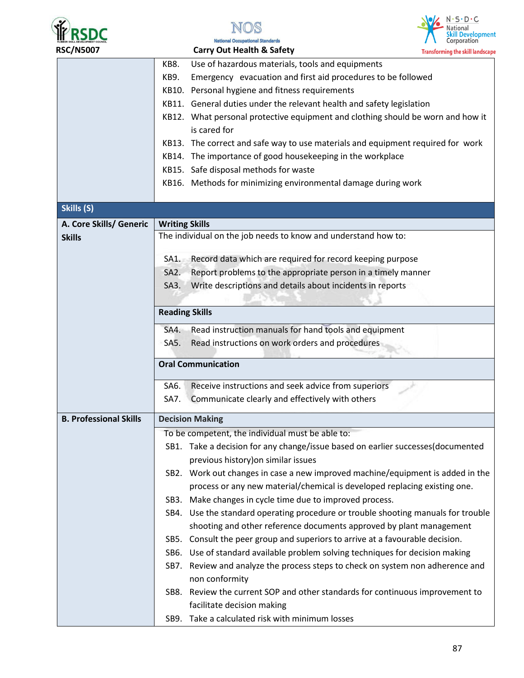





| <b>RSC/N5007</b>              | <b>Carry Out Health &amp; Safety</b>                                                                                                                        | <b>Transforming the skill landscape</b> |
|-------------------------------|-------------------------------------------------------------------------------------------------------------------------------------------------------------|-----------------------------------------|
|                               | Use of hazardous materials, tools and equipments<br>KB8.                                                                                                    |                                         |
|                               | Emergency evacuation and first aid procedures to be followed<br><b>KB9.</b>                                                                                 |                                         |
|                               | KB10. Personal hygiene and fitness requirements                                                                                                             |                                         |
|                               | KB11. General duties under the relevant health and safety legislation                                                                                       |                                         |
|                               | KB12. What personal protective equipment and clothing should be worn and how it<br>is cared for                                                             |                                         |
|                               | KB13. The correct and safe way to use materials and equipment required for work                                                                             |                                         |
|                               | KB14. The importance of good housekeeping in the workplace                                                                                                  |                                         |
|                               | KB15. Safe disposal methods for waste                                                                                                                       |                                         |
|                               | KB16. Methods for minimizing environmental damage during work                                                                                               |                                         |
| Skills (S)                    |                                                                                                                                                             |                                         |
| A. Core Skills/ Generic       | <b>Writing Skills</b>                                                                                                                                       |                                         |
| <b>Skills</b>                 | The individual on the job needs to know and understand how to:                                                                                              |                                         |
|                               | Record data which are required for record keeping purpose<br>SA1.                                                                                           |                                         |
|                               | Report problems to the appropriate person in a timely manner<br>SA <sub>2</sub> .                                                                           |                                         |
|                               | Write descriptions and details about incidents in reports<br>SA <sub>3</sub> .                                                                              |                                         |
|                               |                                                                                                                                                             |                                         |
|                               | <b>Reading Skills</b>                                                                                                                                       |                                         |
|                               | SA4. Read instruction manuals for hand tools and equipment                                                                                                  |                                         |
|                               | Read instructions on work orders and procedures<br>SA5.                                                                                                     |                                         |
|                               | <b>Oral Communication</b>                                                                                                                                   |                                         |
|                               | Receive instructions and seek advice from superiors<br>SA6.                                                                                                 |                                         |
|                               | Communicate clearly and effectively with others<br>SA7.                                                                                                     |                                         |
| <b>B. Professional Skills</b> | <b>Decision Making</b>                                                                                                                                      |                                         |
|                               | To be competent, the individual must be able to:                                                                                                            |                                         |
|                               | SB1. Take a decision for any change/issue based on earlier successes(documented<br>previous history) on similar issues                                      |                                         |
|                               | SB2. Work out changes in case a new improved machine/equipment is added in the<br>process or any new material/chemical is developed replacing existing one. |                                         |
|                               | SB3. Make changes in cycle time due to improved process.                                                                                                    |                                         |
|                               | SB4. Use the standard operating procedure or trouble shooting manuals for trouble                                                                           |                                         |
|                               | shooting and other reference documents approved by plant management                                                                                         |                                         |
|                               | SB5. Consult the peer group and superiors to arrive at a favourable decision.                                                                               |                                         |
|                               | SB6. Use of standard available problem solving techniques for decision making                                                                               |                                         |
|                               | SB7. Review and analyze the process steps to check on system non adherence and<br>non conformity                                                            |                                         |
|                               | SB8. Review the current SOP and other standards for continuous improvement to<br>facilitate decision making                                                 |                                         |
|                               | SB9. Take a calculated risk with minimum losses                                                                                                             |                                         |
|                               |                                                                                                                                                             |                                         |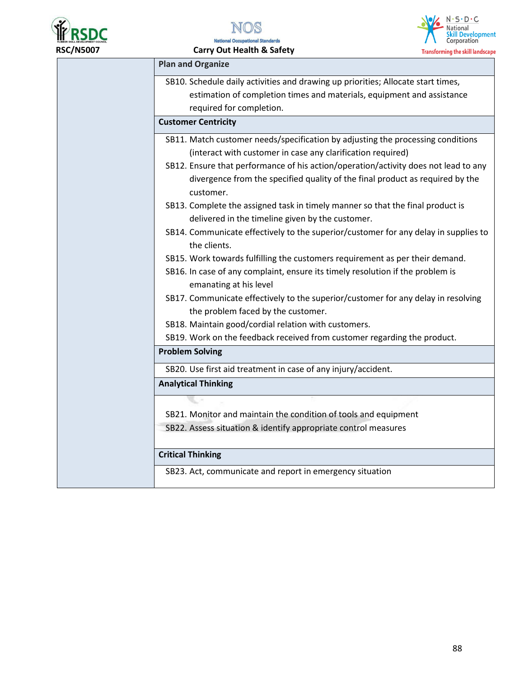

 **RSC/N5007 Carry Out Health & Safety** 

required for completion.

**Plan and Organize**

**Customer Centricity** 



SB10. Schedule daily activities and drawing up priorities; Allocate start times, estimation of completion times and materials, equipment and assistance SB11. Match customer needs/specification by adjusting the processing conditions (interact with customer in case any clarification required)

- SB12. Ensure that performance of his action/operation/activity does not lead to any divergence from the specified quality of the final product as required by the customer.
- SB13. Complete the assigned task in timely manner so that the final product is delivered in the timeline given by the customer.
- SB14. Communicate effectively to the superior/customer for any delay in supplies to the clients.
- SB15. Work towards fulfilling the customers requirement as per their demand.
- SB16. In case of any complaint, ensure its timely resolution if the problem is emanating at his level
- SB17. Communicate effectively to the superior/customer for any delay in resolving the problem faced by the customer.
- SB18. Maintain good/cordial relation with customers.
- SB19. Work on the feedback received from customer regarding the product.

**Problem Solving** 

SB20. Use first aid treatment in case of any injury/accident.

**Analytical Thinking**

- SB21. Monitor and maintain the condition of tools and equipment
- SB22. Assess situation & identify appropriate control measures

### **Critical Thinking**

SB23. Act, communicate and report in emergency situation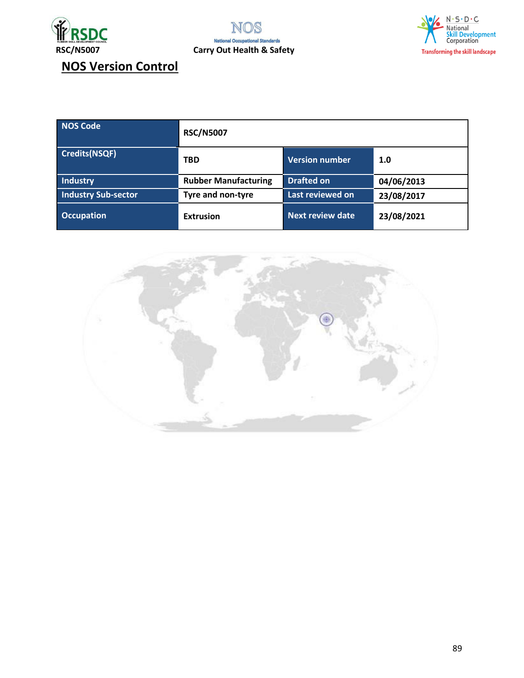





**NOS Version Control** 

| <b>NOS Code</b>            | <b>RSC/N5007</b>            |                         |            |
|----------------------------|-----------------------------|-------------------------|------------|
| <b>Credits(NSQF)</b>       | <b>TBD</b>                  | Version number          | 1.0        |
| Industry                   | <b>Rubber Manufacturing</b> | <b>Drafted on</b>       | 04/06/2013 |
| <b>Industry Sub-sector</b> | Tyre and non-tyre           | Last reviewed on        | 23/08/2017 |
| <b>Occupation</b>          | <b>Extrusion</b>            | <b>Next review date</b> | 23/08/2021 |

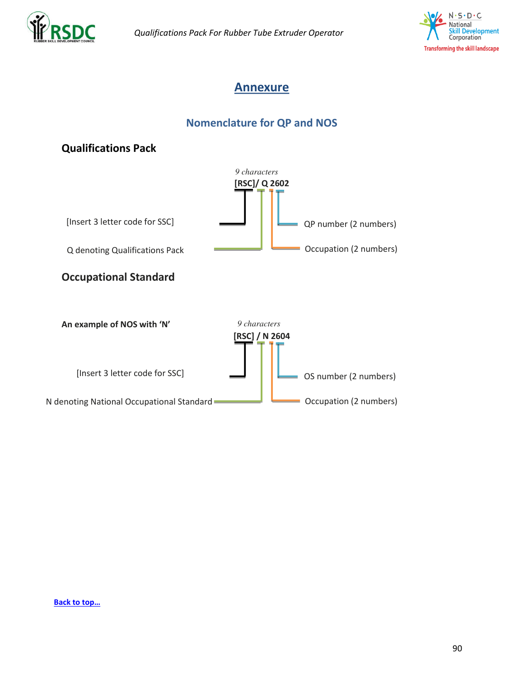



# **Annexure**

# **Nomenclature for QP and NOS**



#### **[Back to top…](#page-0-0)**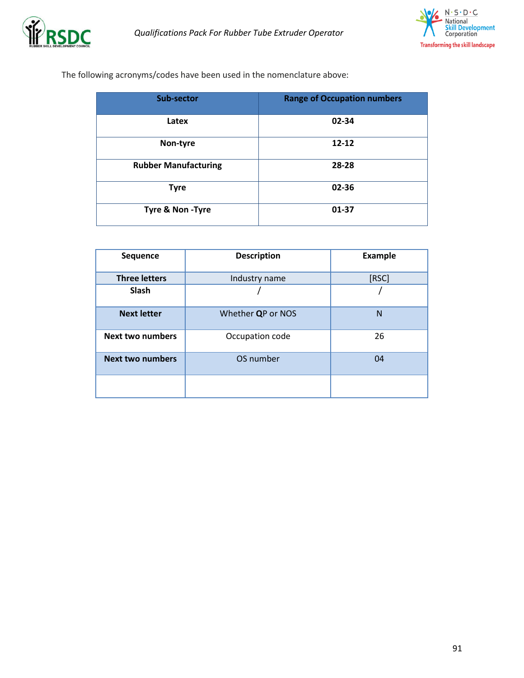



The following acronyms/codes have been used in the nomenclature above:

| <b>Sub-sector</b>           | <b>Range of Occupation numbers</b> |
|-----------------------------|------------------------------------|
| Latex                       | 02-34                              |
| Non-tyre                    | $12 - 12$                          |
| <b>Rubber Manufacturing</b> | 28-28                              |
| <b>Tyre</b>                 | 02-36                              |
| Tyre & Non-Tyre             | 01-37                              |

| <b>Sequence</b>         | <b>Description</b> | <b>Example</b> |
|-------------------------|--------------------|----------------|
| <b>Three letters</b>    | Industry name      | [RSC]          |
| Slash                   |                    |                |
| <b>Next letter</b>      | Whether QP or NOS  | $\mathsf{N}$   |
| <b>Next two numbers</b> | Occupation code    | 26             |
| <b>Next two numbers</b> | OS number          | 04             |
|                         |                    |                |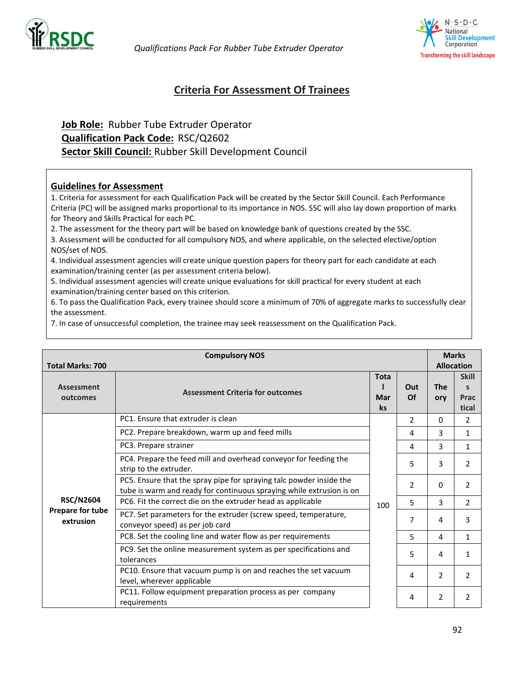



# **Criteria For Assessment Of Trainees**

# **Job Role:** Rubber Tube Extruder Operator **Qualification Pack Code:** RSC/Q2602 **Sector Skill Council:** Rubber Skill Development Council

#### **Guidelines for Assessment**

1. Criteria for assessment for each Qualification Pack will be created by the Sector Skill Council. Each Performance Criteria (PC) will be assigned marks proportional to its importance in NOS. SSC will also lay down proportion of marks for Theory and Skills Practical for each PC.

2. The assessment for the theory part will be based on knowledge bank of questions created by the SSC.

3. Assessment will be conducted for all compulsory NOS, and where applicable, on the selected elective/option NOS/set of NOS.

4. Individual assessment agencies will create unique question papers for theory part for each candidate at each examination/training center (as per assessment criteria below).

5. Individual assessment agencies will create unique evaluations for skill practical for every student at each examination/training center based on this criterion.

6. To pass the Qualification Pack, every trainee should score a minimum of 70% of aggregate marks to successfully clear the assessment.

7. In case of unsuccessful completion, the trainee may seek reassessment on the Qualification Pack.

| <b>Total Marks: 700</b>                                                                                           | <b>Compulsory NOS</b>                                                                                                                       |                   |                                               |   | <b>Marks</b><br><b>Allocation</b> |
|-------------------------------------------------------------------------------------------------------------------|---------------------------------------------------------------------------------------------------------------------------------------------|-------------------|-----------------------------------------------|---|-----------------------------------|
| <b>Tota</b><br><b>Assessment</b><br>Out<br><b>Assessment Criteria for outcomes</b><br>Of<br>Mar<br>outcomes<br>ks |                                                                                                                                             | <b>The</b><br>ory | <b>Skill</b><br>$\mathbf{s}$<br>Prac<br>tical |   |                                   |
|                                                                                                                   | PC1. Ensure that extruder is clean                                                                                                          |                   | $\overline{2}$                                | 0 | $\overline{2}$                    |
|                                                                                                                   | PC2. Prepare breakdown, warm up and feed mills                                                                                              |                   | 4                                             | 3 | $\mathbf{1}$                      |
|                                                                                                                   | PC3. Prepare strainer                                                                                                                       |                   | 4                                             | 3 | $\mathbf{1}$                      |
|                                                                                                                   | PC4. Prepare the feed mill and overhead conveyor for feeding the<br>strip to the extruder.                                                  |                   | 5                                             | 3 | $\overline{2}$                    |
|                                                                                                                   | PC5. Ensure that the spray pipe for spraying talc powder inside the<br>tube is warm and ready for continuous spraying while extrusion is on |                   | 2                                             | 0 | 2                                 |
| <b>RSC/N2604</b>                                                                                                  | PC6. Fit the correct die on the extruder head as applicable                                                                                 | 100               | 5                                             | 3 | $\overline{2}$                    |
| Prepare for tube<br>extrusion                                                                                     | PC7. Set parameters for the extruder (screw speed, temperature,<br>conveyor speed) as per job card                                          |                   | 7                                             | 4 | 3                                 |
|                                                                                                                   | PC8. Set the cooling line and water flow as per requirements                                                                                |                   | 5                                             | 4 | 1                                 |
|                                                                                                                   | PC9. Set the online measurement system as per specifications and<br>tolerances                                                              |                   | 5                                             | 4 | 1                                 |
|                                                                                                                   | PC10. Ensure that vacuum pump is on and reaches the set vacuum<br>level, wherever applicable                                                |                   | 4                                             | 2 | $\overline{2}$                    |
|                                                                                                                   | PC11. Follow equipment preparation process as per company<br>requirements                                                                   |                   | 4                                             | 2 | $\overline{2}$                    |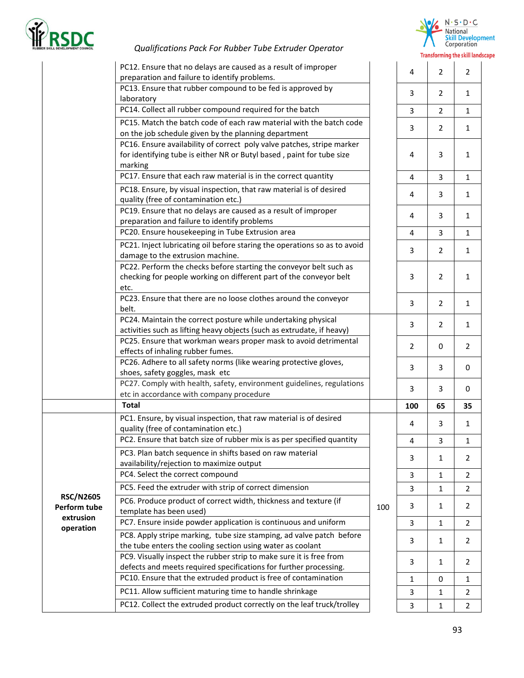



|                                  | PC12. Ensure that no delays are caused as a result of improper<br>preparation and failure to identify problems.                                            |     | $\overline{4}$ | $\overline{2}$ | $\overline{2}$ |
|----------------------------------|------------------------------------------------------------------------------------------------------------------------------------------------------------|-----|----------------|----------------|----------------|
|                                  | PC13. Ensure that rubber compound to be fed is approved by<br>laboratory                                                                                   |     | 3              | $\overline{2}$ | 1              |
|                                  | PC14. Collect all rubber compound required for the batch                                                                                                   |     | 3              | $\overline{2}$ | $\mathbf{1}$   |
|                                  | PC15. Match the batch code of each raw material with the batch code<br>on the job schedule given by the planning department                                |     | 3              | 2              | $\mathbf{1}$   |
|                                  | PC16. Ensure availability of correct poly valve patches, stripe marker<br>for identifying tube is either NR or Butyl based, paint for tube size<br>marking |     | 4              | 3              | $\mathbf{1}$   |
|                                  | PC17. Ensure that each raw material is in the correct quantity                                                                                             |     | $\overline{4}$ | 3              | $\mathbf{1}$   |
|                                  | PC18. Ensure, by visual inspection, that raw material is of desired<br>quality (free of contamination etc.)                                                |     | 4              | 3              | $\mathbf{1}$   |
|                                  | PC19. Ensure that no delays are caused as a result of improper<br>preparation and failure to identify problems                                             |     | 4              | 3              | 1              |
|                                  | PC20. Ensure housekeeping in Tube Extrusion area                                                                                                           |     | 4              | 3              | $\mathbf{1}$   |
|                                  | PC21. Inject lubricating oil before staring the operations so as to avoid<br>damage to the extrusion machine.                                              |     | 3              | $\overline{2}$ | $\mathbf{1}$   |
|                                  | PC22. Perform the checks before starting the conveyor belt such as<br>checking for people working on different part of the conveyor belt<br>etc.           |     | 3              | $\overline{2}$ | $\mathbf{1}$   |
|                                  | PC23. Ensure that there are no loose clothes around the conveyor<br>belt.                                                                                  |     | 3              | $\overline{2}$ | 1              |
|                                  | PC24. Maintain the correct posture while undertaking physical<br>activities such as lifting heavy objects (such as extrudate, if heavy)                    |     | 3              | $\overline{2}$ | $\mathbf{1}$   |
|                                  | PC25. Ensure that workman wears proper mask to avoid detrimental<br>effects of inhaling rubber fumes.                                                      |     | 2              | $\mathbf 0$    | $\overline{2}$ |
|                                  | PC26. Adhere to all safety norms (like wearing protective gloves,<br>shoes, safety goggles, mask etc                                                       |     | 3              | 3              | 0              |
|                                  | PC27. Comply with health, safety, environment guidelines, regulations<br>etc in accordance with company procedure                                          |     | 3              | 3              | 0              |
|                                  | <b>Total</b>                                                                                                                                               |     | 100            | 65             | 35             |
|                                  | PC1. Ensure, by visual inspection, that raw material is of desired<br>quality (free of contamination etc.)                                                 |     | 4              | 3              | $\mathbf{1}$   |
|                                  | PC2. Ensure that batch size of rubber mix is as per specified quantity                                                                                     |     | 4              | 3              | $\mathbf{1}$   |
|                                  | PC3. Plan batch sequence in shifts based on raw material<br>availability/rejection to maximize output                                                      |     | 3              | $\mathbf{1}$   | 2              |
|                                  | PC4. Select the correct compound                                                                                                                           |     | 3              | $\mathbf{1}$   | $\overline{2}$ |
|                                  | PC5. Feed the extruder with strip of correct dimension                                                                                                     |     | 3              | $\mathbf{1}$   | 2              |
| <b>RSC/N2605</b><br>Perform tube | PC6. Produce product of correct width, thickness and texture (if<br>template has been used)                                                                | 100 | 3              | 1              | $\overline{2}$ |
| extrusion                        | PC7. Ensure inside powder application is continuous and uniform                                                                                            |     | 3              | $\mathbf{1}$   | 2              |
| operation                        | PC8. Apply stripe marking, tube size stamping, ad valve patch before<br>the tube enters the cooling section using water as coolant                         |     | 3              | 1              | $\overline{2}$ |
|                                  | PC9. Visually inspect the rubber strip to make sure it is free from<br>defects and meets required specifications for further processing.                   |     | 3              | 1              | $\overline{2}$ |
|                                  | PC10. Ensure that the extruded product is free of contamination                                                                                            |     | 1              | $\mathbf 0$    | $\mathbf{1}$   |
|                                  | PC11. Allow sufficient maturing time to handle shrinkage                                                                                                   |     | 3              | $\mathbf{1}$   | 2              |
|                                  | PC12. Collect the extruded product correctly on the leaf truck/trolley                                                                                     |     | 3              | $\mathbf{1}$   | $\overline{2}$ |

| 3                       | $\overline{\mathbf{c}}$ | $\mathbf 1$             |
|-------------------------|-------------------------|-------------------------|
| 4                       | 3                       | $\mathbf{1}$            |
| 4                       | 3                       | $\mathbf{1}$            |
| 4                       | 3                       | $\mathbf{1}$            |
| 4                       | 3                       | $\mathbf{1}$            |
| 4                       | 3                       | $\mathbf{1}$            |
| 3                       | $\overline{\mathbf{c}}$ | $\mathbf{1}$            |
| 3                       | $\overline{\mathbf{c}}$ | $\mathbf{1}$            |
| 3                       | $\overline{\mathbf{c}}$ | $\mathbf{1}$            |
| 3                       | $\overline{\mathbf{c}}$ | $\mathbf{1}$            |
| $\overline{\mathbf{c}}$ | 0                       | $\overline{\mathbf{c}}$ |
|                         |                         |                         |
| 3                       | 3                       | $\mathbf 0$             |
| 3                       | 3                       | $\mathbf 0$             |
| 100                     | 65                      | 35                      |
| 4                       | 3                       | $\mathbf{1}$            |
| $\overline{\mathbf{4}}$ | 3                       | $\mathbf{1}$            |
| 3                       | $\mathbf{1}$            | $\overline{\mathbf{c}}$ |
| 3                       | $\mathbf{1}$            | $\overline{\mathbf{c}}$ |
| 3                       | $\mathbf{1}$            | $\overline{\mathbf{c}}$ |
| 3                       | $\mathbf{1}$            | 2                       |
| 3                       | $\mathbf{1}$            | $\overline{c}$          |
| 3                       | $\mathbf{1}$            | $\overline{\mathbf{c}}$ |
| 3                       | $\mathbf{1}$            | $\overline{\mathbf{c}}$ |
| $\mathbf 1$             | 0                       | $\mathbf{1}$            |
| 3                       | $\mathbf{1}$            | $\overline{\mathbf{c}}$ |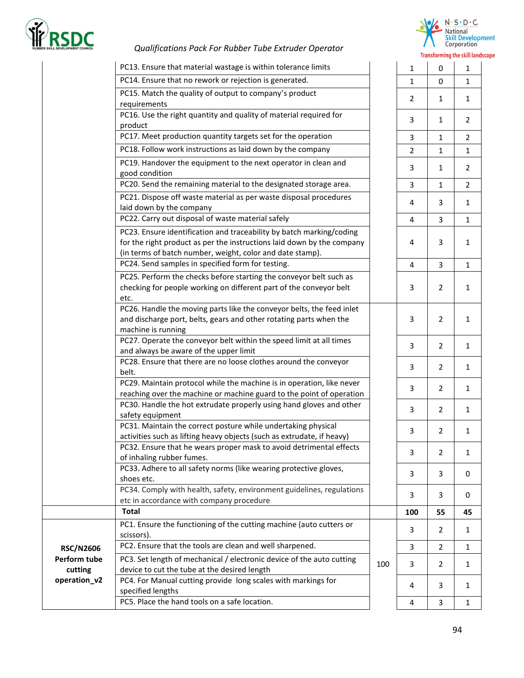



|                  | PC13. Ensure that material wastage is within tolerance limits                                                                                                                                               |     | $\mathbf{1}$   | $\mathbf 0$    | $\mathbf{1}$   |
|------------------|-------------------------------------------------------------------------------------------------------------------------------------------------------------------------------------------------------------|-----|----------------|----------------|----------------|
|                  | PC14. Ensure that no rework or rejection is generated.                                                                                                                                                      |     | 1              | $\mathbf 0$    | $\mathbf{1}$   |
|                  | PC15. Match the quality of output to company's product<br>requirements                                                                                                                                      |     | 2              | 1              | $\mathbf{1}$   |
|                  | PC16. Use the right quantity and quality of material required for<br>product                                                                                                                                |     | 3              | 1              | $\overline{2}$ |
|                  | PC17. Meet production quantity targets set for the operation                                                                                                                                                |     | 3              | 1              | $\overline{2}$ |
|                  | PC18. Follow work instructions as laid down by the company                                                                                                                                                  |     | 2              | 1              | $\mathbf{1}$   |
|                  | PC19. Handover the equipment to the next operator in clean and<br>good condition                                                                                                                            |     | 3              | 1              | $\overline{2}$ |
|                  | PC20. Send the remaining material to the designated storage area.                                                                                                                                           |     | 3              | 1              | $\overline{2}$ |
|                  | PC21. Dispose off waste material as per waste disposal procedures<br>laid down by the company                                                                                                               |     | 4              | 3              | $\mathbf{1}$   |
|                  | PC22. Carry out disposal of waste material safely                                                                                                                                                           |     | 4              | 3              | $\mathbf{1}$   |
|                  | PC23. Ensure identification and traceability by batch marking/coding<br>for the right product as per the instructions laid down by the company<br>(in terms of batch number, weight, color and date stamp). |     | 4              | 3              | $\mathbf{1}$   |
|                  | PC24. Send samples in specified form for testing.                                                                                                                                                           |     | $\overline{4}$ | 3              | $\mathbf{1}$   |
|                  | PC25. Perform the checks before starting the conveyor belt such as<br>checking for people working on different part of the conveyor belt<br>etc.                                                            |     | 3              | $\overline{2}$ | $\mathbf{1}$   |
|                  | PC26. Handle the moving parts like the conveyor belts, the feed inlet<br>and discharge port, belts, gears and other rotating parts when the<br>machine is running                                           |     | 3              | $\overline{2}$ | $\mathbf{1}$   |
|                  | PC27. Operate the conveyor belt within the speed limit at all times<br>and always be aware of the upper limit                                                                                               |     | 3              | 2              | $\mathbf{1}$   |
|                  | PC28. Ensure that there are no loose clothes around the conveyor<br>belt.                                                                                                                                   |     | 3              | $\overline{2}$ | $\mathbf{1}$   |
|                  | PC29. Maintain protocol while the machine is in operation, like never<br>reaching over the machine or machine guard to the point of operation                                                               |     | 3              | $\overline{2}$ | $\mathbf{1}$   |
|                  | PC30. Handle the hot extrudate properly using hand gloves and other<br>safety equipment                                                                                                                     |     | 3              | 2              | $\mathbf{1}$   |
|                  | PC31. Maintain the correct posture while undertaking physical<br>activities such as lifting heavy objects (such as extrudate, if heavy)                                                                     |     | 3              | 2              | $\mathbf{1}$   |
|                  | PC32. Ensure that he wears proper mask to avoid detrimental effects<br>of inhaling rubber fumes.                                                                                                            |     | 3              | $\overline{2}$ | $\mathbf{1}$   |
|                  | PC33. Adhere to all safety norms (like wearing protective gloves,<br>shoes etc.                                                                                                                             |     | 3              | 3              | 0              |
|                  | PC34. Comply with health, safety, environment guidelines, regulations<br>etc in accordance with company procedure                                                                                           |     | 3              | 3              | 0              |
|                  | <b>Total</b>                                                                                                                                                                                                |     | 100            | 55             | 45             |
|                  | PC1. Ensure the functioning of the cutting machine (auto cutters or                                                                                                                                         |     |                |                |                |
|                  | scissors).                                                                                                                                                                                                  |     | 3              | 2              | 1              |
| <b>RSC/N2606</b> | PC2. Ensure that the tools are clean and well sharpened.                                                                                                                                                    |     | 3              | $\overline{2}$ | $\mathbf{1}$   |
| Perform tube     | PC3. Set length of mechanical / electronic device of the auto cutting                                                                                                                                       |     |                |                |                |
| cutting          | device to cut the tube at the desired length                                                                                                                                                                | 100 | 3              | 2              | 1              |
| operation_v2     | PC4. For Manual cutting provide long scales with markings for<br>specified lengths                                                                                                                          |     | 4              | 3              | 1              |
|                  | PC5. Place the hand tools on a safe location.                                                                                                                                                               |     | 4              | 3              | $\mathbf{1}$   |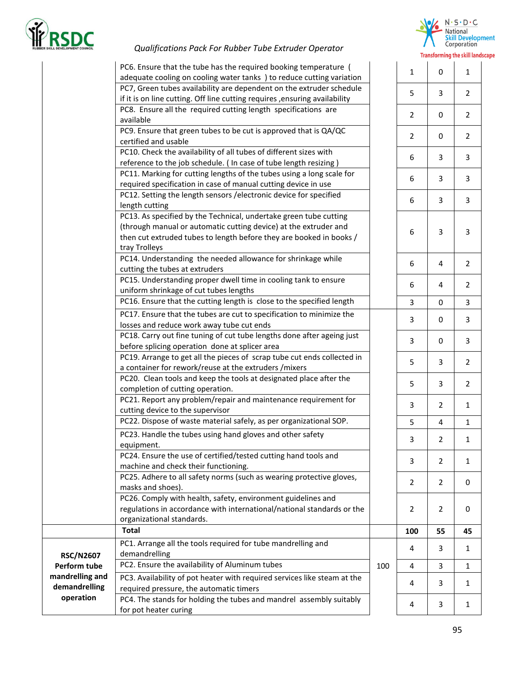



|                                         | PC6. Ensure that the tube has the required booking temperature (<br>adequate cooling on cooling water tanks ) to reduce cutting variation                                                                                     |     | $\mathbf{1}$   | $\mathbf 0$    | $\mathbf{1}$   |
|-----------------------------------------|-------------------------------------------------------------------------------------------------------------------------------------------------------------------------------------------------------------------------------|-----|----------------|----------------|----------------|
|                                         | PC7, Green tubes availability are dependent on the extruder schedule<br>if it is on line cutting. Off line cutting requires , ensuring availability                                                                           |     | 5              | 3              | 2              |
|                                         | PC8. Ensure all the required cutting length specifications are<br>available                                                                                                                                                   |     | $\overline{2}$ | $\mathbf 0$    | $\overline{2}$ |
|                                         | PC9. Ensure that green tubes to be cut is approved that is QA/QC<br>certified and usable                                                                                                                                      |     | $\overline{2}$ | 0              | $\overline{2}$ |
|                                         | PC10. Check the availability of all tubes of different sizes with<br>reference to the job schedule. ( In case of tube length resizing )                                                                                       |     | 6              | 3              | 3              |
|                                         | PC11. Marking for cutting lengths of the tubes using a long scale for<br>required specification in case of manual cutting device in use                                                                                       |     | 6              | 3              | 3              |
|                                         | PC12. Setting the length sensors / electronic device for specified<br>length cutting                                                                                                                                          |     | 6              | 3              | 3              |
|                                         | PC13. As specified by the Technical, undertake green tube cutting<br>(through manual or automatic cutting device) at the extruder and<br>then cut extruded tubes to length before they are booked in books /<br>tray Trolleys |     | 6              | 3              | 3              |
|                                         | PC14. Understanding the needed allowance for shrinkage while<br>cutting the tubes at extruders                                                                                                                                |     | 6              | 4              | $\overline{2}$ |
|                                         | PC15. Understanding proper dwell time in cooling tank to ensure<br>uniform shrinkage of cut tubes lengths                                                                                                                     |     | 6              | 4              | $\overline{2}$ |
|                                         | PC16. Ensure that the cutting length is close to the specified length                                                                                                                                                         |     | 3              | 0              | 3              |
|                                         | PC17. Ensure that the tubes are cut to specification to minimize the<br>losses and reduce work away tube cut ends                                                                                                             |     | 3              | 0              | 3              |
|                                         | PC18. Carry out fine tuning of cut tube lengths done after ageing just<br>before splicing operation done at splicer area                                                                                                      |     | 3              | $\mathbf 0$    | 3              |
|                                         | PC19. Arrange to get all the pieces of scrap tube cut ends collected in<br>a container for rework/reuse at the extruders / mixers                                                                                             |     | 5              | 3              | $\overline{2}$ |
|                                         | PC20. Clean tools and keep the tools at designated place after the<br>completion of cutting operation.                                                                                                                        |     | 5              | 3              | $\overline{2}$ |
|                                         | PC21. Report any problem/repair and maintenance requirement for<br>cutting device to the supervisor                                                                                                                           |     | 3              | $\overline{2}$ | $\mathbf{1}$   |
|                                         | PC22. Dispose of waste material safely, as per organizational SOP.                                                                                                                                                            |     | 5              | 4              | $\mathbf{1}$   |
|                                         | PC23. Handle the tubes using hand gloves and other safety<br>equipment.                                                                                                                                                       |     | 3              | 2              | 1              |
|                                         | PC24. Ensure the use of certified/tested cutting hand tools and<br>machine and check their functioning.                                                                                                                       |     | 3              | $\overline{2}$ | 1              |
|                                         | PC25. Adhere to all safety norms (such as wearing protective gloves,<br>masks and shoes).                                                                                                                                     |     | 2              | $\overline{2}$ | 0              |
|                                         | PC26. Comply with health, safety, environment guidelines and<br>regulations in accordance with international/national standards or the<br>organizational standards.                                                           |     | 2              | 2              | 0              |
|                                         | <b>Total</b>                                                                                                                                                                                                                  |     | 100            | 55             | 45             |
|                                         | PC1. Arrange all the tools required for tube mandrelling and<br>demandrelling                                                                                                                                                 |     | 4              | 3              | 1              |
| <b>RSC/N2607</b><br><b>Perform tube</b> | PC2. Ensure the availability of Aluminum tubes                                                                                                                                                                                | 100 | 4              | 3              | 1              |
| mandrelling and<br>demandrelling        | PC3. Availability of pot heater with required services like steam at the<br>required pressure, the automatic timers                                                                                                           |     | 4              | 3              | 1              |
| operation                               | PC4. The stands for holding the tubes and mandrel assembly suitably<br>for pot heater curing                                                                                                                                  |     | 4              | 3              | 1              |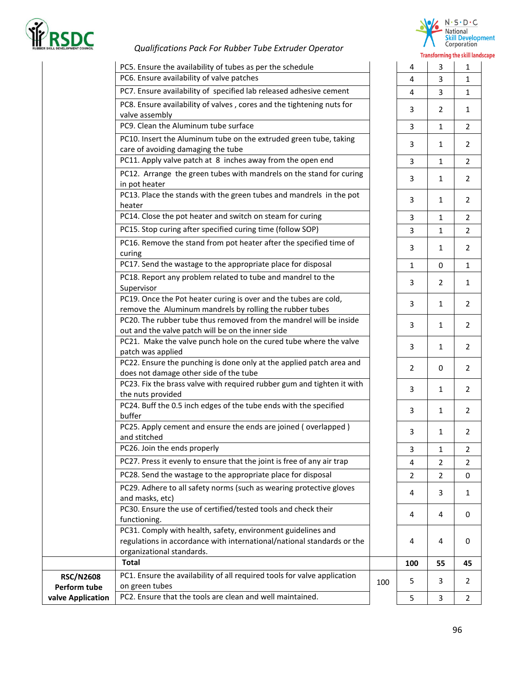

**valve Application** 

#### *Qualifications Pack For Rubber Tube Extruder Operator*



|                                  |                                                                                                                  |     |                | Transforming the skill |                |
|----------------------------------|------------------------------------------------------------------------------------------------------------------|-----|----------------|------------------------|----------------|
|                                  | PC5. Ensure the availability of tubes as per the schedule                                                        |     | 4              | 3                      | $\mathbf{1}$   |
|                                  | PC6. Ensure availability of valve patches                                                                        |     | $\overline{4}$ | $\overline{3}$         | $\mathbf{1}$   |
|                                  | PC7. Ensure availability of specified lab released adhesive cement                                               |     | 4              | 3                      | $\mathbf{1}$   |
|                                  | PC8. Ensure availability of valves, cores and the tightening nuts for<br>valve assembly                          |     | 3              | $\overline{2}$         | 1              |
|                                  | PC9. Clean the Aluminum tube surface                                                                             |     | 3              | $\mathbf{1}$           | $\overline{2}$ |
|                                  | PC10. Insert the Aluminum tube on the extruded green tube, taking                                                |     | 3              | $\mathbf{1}$           | 2              |
|                                  | care of avoiding damaging the tube<br>PC11. Apply valve patch at 8 inches away from the open end                 |     |                |                        |                |
|                                  |                                                                                                                  |     | 3              | $\mathbf{1}$           | $\overline{2}$ |
|                                  | PC12. Arrange the green tubes with mandrels on the stand for curing<br>in pot heater                             |     | 3              | $\mathbf{1}$           | $\overline{2}$ |
|                                  | PC13. Place the stands with the green tubes and mandrels in the pot<br>heater                                    |     | 3              | $\mathbf{1}$           | $\overline{2}$ |
|                                  | PC14. Close the pot heater and switch on steam for curing                                                        |     | 3              | $\mathbf{1}$           | 2              |
|                                  | PC15. Stop curing after specified curing time (follow SOP)                                                       |     | 3              | $\mathbf{1}$           | $\overline{2}$ |
|                                  | PC16. Remove the stand from pot heater after the specified time of                                               |     | 3              | $\mathbf{1}$           | $\overline{2}$ |
|                                  | curing<br>PC17. Send the wastage to the appropriate place for disposal                                           |     | $\mathbf{1}$   | $\mathbf 0$            |                |
|                                  |                                                                                                                  |     |                |                        | $\mathbf{1}$   |
|                                  | PC18. Report any problem related to tube and mandrel to the<br>Supervisor                                        |     | 3              | $\overline{2}$         | $\mathbf{1}$   |
|                                  | PC19. Once the Pot heater curing is over and the tubes are cold,                                                 |     |                |                        |                |
|                                  | remove the Aluminum mandrels by rolling the rubber tubes                                                         |     | 3              | 1                      | $\overline{2}$ |
|                                  | PC20. The rubber tube thus removed from the mandrel will be inside                                               |     | 3              | $\mathbf{1}$           | 2              |
|                                  | out and the valve patch will be on the inner side                                                                |     |                |                        |                |
|                                  | PC21. Make the valve punch hole on the cured tube where the valve                                                |     | 3              | $\mathbf{1}$           | 2              |
|                                  | patch was applied                                                                                                |     |                |                        |                |
|                                  | PC22. Ensure the punching is done only at the applied patch area and                                             |     | 2              | 0                      | $\overline{2}$ |
|                                  | does not damage other side of the tube<br>PC23. Fix the brass valve with required rubber gum and tighten it with |     |                |                        |                |
|                                  | the nuts provided                                                                                                |     | 3              | $\mathbf{1}$           | $\overline{2}$ |
|                                  | PC24. Buff the 0.5 inch edges of the tube ends with the specified                                                |     |                |                        |                |
|                                  | buffer                                                                                                           |     | 3              | $\mathbf{1}$           | $\overline{2}$ |
|                                  | PC25. Apply cement and ensure the ends are joined (overlapped)<br>and stitched                                   |     | 3              | 1                      | $\overline{2}$ |
|                                  | PC26. Join the ends properly                                                                                     |     | 3              | 1                      | $\overline{2}$ |
|                                  | PC27. Press it evenly to ensure that the joint is free of any air trap                                           |     | 4              | 2                      | 2              |
|                                  | PC28. Send the wastage to the appropriate place for disposal                                                     |     | $\overline{2}$ | $\overline{2}$         | 0              |
|                                  | PC29. Adhere to all safety norms (such as wearing protective gloves                                              |     | 4              | 3                      | 1              |
|                                  | and masks, etc)                                                                                                  |     |                |                        |                |
|                                  | PC30. Ensure the use of certified/tested tools and check their<br>functioning.                                   |     | 4              | 4                      | 0              |
|                                  | PC31. Comply with health, safety, environment guidelines and                                                     |     |                |                        |                |
|                                  | regulations in accordance with international/national standards or the                                           |     | 4              | 4                      | 0              |
|                                  | organizational standards.                                                                                        |     |                |                        |                |
|                                  | <b>Total</b>                                                                                                     |     | 100            | 55                     | 45             |
| <b>RSC/N2608</b><br>Perform tube | PC1. Ensure the availability of all required tools for valve application<br>on green tubes                       | 100 | 5              | 3                      | 2              |
|                                  |                                                                                                                  |     |                |                        |                |

PC2. Ensure that the tools are clean and well maintained. 5 3 2

|                         |                         | <b>Transforming the skill lands</b> |
|-------------------------|-------------------------|-------------------------------------|
| 4                       | 3                       | 1                                   |
| 4                       | 3                       | $\mathbf 1$                         |
| 4                       | 3                       | $\mathbf{1}$                        |
| 3                       | $\overline{c}$          | $\mathbf{1}$                        |
| 3                       | $\mathbf{1}$            | $\overline{\mathbf{c}}$             |
| 3                       | $\mathbf{1}$            | $\overline{\mathbf{c}}$             |
| 3                       | $\mathbf{1}$            | $\overline{2}$                      |
| 3                       | $\mathbf{1}$            | $\overline{\mathbf{c}}$             |
| 3                       | $\mathbf{1}$            | $\overline{\mathbf{c}}$             |
| 3                       | $\mathbf{1}$            | $\frac{2}{2}$                       |
| 3                       | $\mathbf{1}$            |                                     |
| 3                       | $\mathbf{1}$            | $\overline{c}$                      |
| $\mathbf{1}$            | $\mathbf{0}$            | $\overline{1}$                      |
| 3                       | $\overline{\mathbf{c}}$ | $\mathbf{1}$                        |
| 3                       | $\mathbf{1}$            | $\overline{\mathbf{c}}$             |
| 3                       | $\mathbf{1}$            | $\overline{\mathbf{c}}$             |
| 3                       | $\mathbf{1}$            | $\overline{\mathbf{c}}$             |
| $\overline{\mathbf{c}}$ | 0                       | $\overline{\mathbf{c}}$             |
| 3                       | $\mathbf{1}$            | $\overline{\mathbf{c}}$             |
| 3                       | $\mathbf{1}$            | $\overline{\mathbf{c}}$             |
| 3                       | $\overline{1}$          | 2                                   |
| 3                       | $\mathbf{1}$            | $\overline{c}$                      |
| 4                       | $\overline{\mathbf{c}}$ | $\overline{\mathbf{c}}$             |
| $\overline{c}$          | $\overline{2}$          | $\mathbf{0}$                        |
| $\overline{a}$          | $\overline{\mathbf{3}}$ | $\mathbf{1}$                        |
| 4                       | 4                       | $\overline{0}$                      |
| 4                       | 4                       | 0                                   |
| 100                     | 55                      | 45                                  |
| 5                       | 3                       |                                     |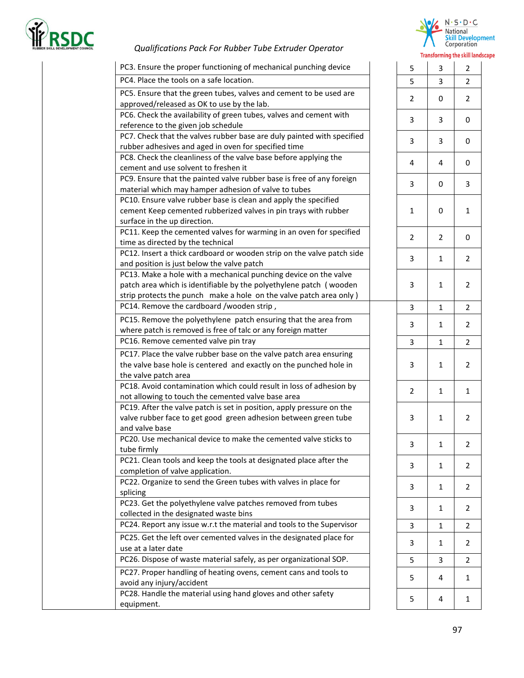



|                                                                                                                                                                                                               |                | <b>Transforming the SKIII</b> |                |
|---------------------------------------------------------------------------------------------------------------------------------------------------------------------------------------------------------------|----------------|-------------------------------|----------------|
| PC3. Ensure the proper functioning of mechanical punching device                                                                                                                                              | 5              | 3                             | $\overline{2}$ |
| PC4. Place the tools on a safe location.                                                                                                                                                                      | 5              | 3                             | 2              |
| PC5. Ensure that the green tubes, valves and cement to be used are<br>approved/released as OK to use by the lab.                                                                                              | 2              | 0                             | $\overline{2}$ |
| PC6. Check the availability of green tubes, valves and cement with<br>reference to the given job schedule                                                                                                     | 3              | 3                             | 0              |
| PC7. Check that the valves rubber base are duly painted with specified<br>rubber adhesives and aged in oven for specified time                                                                                | 3              | 3                             | 0              |
| PC8. Check the cleanliness of the valve base before applying the<br>cement and use solvent to freshen it                                                                                                      | 4              | 4                             | 0              |
| PC9. Ensure that the painted valve rubber base is free of any foreign<br>material which may hamper adhesion of valve to tubes                                                                                 | 3              | 0                             | 3              |
| PC10. Ensure valve rubber base is clean and apply the specified<br>cement Keep cemented rubberized valves in pin trays with rubber<br>surface in the up direction.                                            | 1              | 0                             | $\mathbf{1}$   |
| PC11. Keep the cemented valves for warming in an oven for specified<br>time as directed by the technical                                                                                                      | 2              | 2                             | 0              |
| PC12. Insert a thick cardboard or wooden strip on the valve patch side<br>and position is just below the valve patch                                                                                          | 3              | $\mathbf{1}$                  | $\overline{2}$ |
| PC13. Make a hole with a mechanical punching device on the valve<br>patch area which is identifiable by the polyethylene patch (wooden<br>strip protects the punch make a hole on the valve patch area only ) | 3              | 1                             | $\overline{2}$ |
| PC14. Remove the cardboard /wooden strip,                                                                                                                                                                     | 3              | 1                             | 2              |
| PC15. Remove the polyethylene patch ensuring that the area from<br>where patch is removed is free of talc or any foreign matter                                                                               | 3              | 1                             | $\overline{2}$ |
| PC16. Remove cemented valve pin tray                                                                                                                                                                          | 3              | $\mathbf{1}$                  | $\overline{2}$ |
| PC17. Place the valve rubber base on the valve patch area ensuring<br>the valve base hole is centered and exactly on the punched hole in<br>the valve patch area                                              | 3              | 1                             | $\overline{2}$ |
| PC18. Avoid contamination which could result in loss of adhesion by<br>not allowing to touch the cemented valve base area                                                                                     | $\overline{2}$ | $\mathbf{1}$                  | $\mathbf{1}$   |
| PC19. After the valve patch is set in position, apply pressure on the<br>valve rubber face to get good green adhesion between green tube<br>and valve base                                                    | 3              | 1                             | $\overline{2}$ |
| PC20. Use mechanical device to make the cemented valve sticks to<br>tube firmly                                                                                                                               | 3              | 1                             | 2              |
| PC21. Clean tools and keep the tools at designated place after the<br>completion of valve application.                                                                                                        | 3              | 1                             | 2              |
| PC22. Organize to send the Green tubes with valves in place for<br>splicing                                                                                                                                   | 3              | 1                             | 2              |
| PC23. Get the polyethylene valve patches removed from tubes<br>collected in the designated waste bins                                                                                                         | 3              | $\mathbf{1}$                  | 2              |
| PC24. Report any issue w.r.t the material and tools to the Supervisor                                                                                                                                         | 3              | $\mathbf{1}$                  | 2              |
| PC25. Get the left over cemented valves in the designated place for<br>use at a later date                                                                                                                    | 3              | 1                             | $\overline{2}$ |
| PC26. Dispose of waste material safely, as per organizational SOP.                                                                                                                                            | 5              | 3                             | 2              |
| PC27. Proper handling of heating ovens, cement cans and tools to<br>avoid any injury/accident                                                                                                                 | 5              | 4                             | 1              |
| PC28. Handle the material using hand gloves and other safety<br>equipment.                                                                                                                                    | 5              | 4                             | 1              |

|                         |                         | fransforming the skill land |
|-------------------------|-------------------------|-----------------------------|
| 5                       | 3                       | $\overline{\mathbf{c}}$     |
| 5                       | 3                       | $\overline{\mathbf{c}}$     |
| $\overline{c}$          | 0                       | $\overline{\mathbf{c}}$     |
| 3                       | 3                       | $\overline{0}$              |
| 3                       | 3                       | $\mathbf 0$                 |
| 4                       | $\overline{\mathbf{4}}$ | $\mathbf{0}$                |
| 3                       | $\mathbf{0}$            | 3                           |
| $\mathbf{1}$            | $\mathbf 0$             | $\mathbf{1}$                |
| $\overline{\mathbf{c}}$ | $\overline{\mathbf{c}}$ | $\mathbf{0}$                |
| 3                       | $\mathbf{1}$            | $\overline{\mathbf{c}}$     |
| 3                       | $\mathbf{1}$            | $\overline{\mathbf{c}}$     |
| 3                       | $\mathbf{1}$            | $\frac{2}{1}$               |
| 3                       | $\mathbf{1}$            | $\overline{\mathbf{c}}$     |
| 3                       | $\mathbf{1}$            | $\overline{\mathbf{c}}$     |
| 3                       | $\mathbf{1}$            | $\overline{\mathbf{c}}$     |
| $\overline{\mathbf{c}}$ | $\mathbf{1}$            | $\mathbf{1}$                |
| 3                       | $\mathbf{1}$            | $\overline{\mathbf{c}}$     |
| 3                       | $\mathbf{1}$            | $\overline{\mathbf{c}}$     |
| 3                       | $\mathbf{1}$            | $\overline{\mathbf{c}}$     |
| 3                       | $\mathbf{1}$            | $\overline{\mathbf{c}}$     |
| 3                       | $\mathbf{1}$            | $\overline{\mathbf{c}}$     |
| 3                       | $\mathbf 1$             | $\overline{\mathbf{c}}$     |
| 3                       | $\mathbf{1}$            | $\overline{\mathbf{c}}$     |
| 5                       | 3                       | $\overline{\mathbf{c}}$     |
| 5                       | 4                       | $\mathbf{1}$                |
| 5                       | 4                       | $\mathbf{1}$                |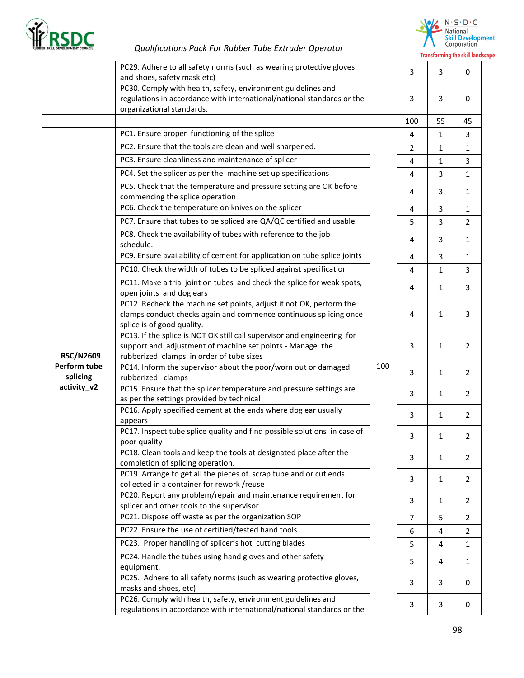



|                  | PC29. Adhere to all safety norms (such as wearing protective gloves<br>and shoes, safety mask etc)                                                                  |     | 3              | 3            | $\mathbf 0$    |
|------------------|---------------------------------------------------------------------------------------------------------------------------------------------------------------------|-----|----------------|--------------|----------------|
|                  | PC30. Comply with health, safety, environment guidelines and<br>regulations in accordance with international/national standards or the<br>organizational standards. |     | 3              | 3            | $\mathbf 0$    |
|                  |                                                                                                                                                                     |     | 100            | 55           | 45             |
|                  | PC1. Ensure proper functioning of the splice                                                                                                                        |     | 4              | 1            | 3              |
|                  | PC2. Ensure that the tools are clean and well sharpened.                                                                                                            |     | $\overline{2}$ | $\mathbf{1}$ | $\mathbf{1}$   |
|                  | PC3. Ensure cleanliness and maintenance of splicer                                                                                                                  |     | 4              | $\mathbf{1}$ | 3              |
|                  | PC4. Set the splicer as per the machine set up specifications                                                                                                       |     | 4              | 3            | $\mathbf{1}$   |
|                  | PC5. Check that the temperature and pressure setting are OK before<br>commencing the splice operation                                                               |     | 4              | 3            | $\mathbf{1}$   |
|                  | PC6. Check the temperature on knives on the splicer                                                                                                                 |     | 4              | 3            | $\mathbf{1}$   |
|                  | PC7. Ensure that tubes to be spliced are QA/QC certified and usable.                                                                                                |     | 5              | 3            | $\overline{2}$ |
|                  | PC8. Check the availability of tubes with reference to the job<br>schedule.                                                                                         |     | 4              | 3            | $\mathbf{1}$   |
|                  | PC9. Ensure availability of cement for application on tube splice joints                                                                                            |     | 4              | 3            | $\mathbf{1}$   |
|                  | PC10. Check the width of tubes to be spliced against specification                                                                                                  |     | 4              | $\mathbf{1}$ | $\overline{3}$ |
|                  | PC11. Make a trial joint on tubes and check the splice for weak spots,                                                                                              |     |                |              |                |
|                  | open joints and dog ears                                                                                                                                            |     | 4              | 1            | 3              |
|                  | PC12. Recheck the machine set points, adjust if not OK, perform the                                                                                                 |     |                |              |                |
|                  | clamps conduct checks again and commence continuous splicing once                                                                                                   |     | 4              | $\mathbf{1}$ | 3              |
|                  | splice is of good quality.                                                                                                                                          |     |                |              |                |
|                  | PC13. If the splice is NOT OK still call supervisor and engineering for<br>support and adjustment of machine set points - Manage the                                |     | 3              | 1            | 2              |
| <b>RSC/N2609</b> | rubberized clamps in order of tube sizes                                                                                                                            |     |                |              |                |
| Perform tube     | PC14. Inform the supervisor about the poor/worn out or damaged                                                                                                      | 100 |                |              |                |
| splicing         | rubberized clamps                                                                                                                                                   |     | 3              | $\mathbf{1}$ | 2              |
| activity_v2      | PC15. Ensure that the splicer temperature and pressure settings are<br>as per the settings provided by technical                                                    |     | 3              | 1            | 2              |
|                  | PC16. Apply specified cement at the ends where dog ear usually                                                                                                      |     | 3              | $\mathbf{1}$ | 2              |
|                  | appears                                                                                                                                                             |     |                |              |                |
|                  | PC17. Inspect tube splice quality and find possible solutions in case of                                                                                            |     | 3              | 1            | $\overline{2}$ |
|                  | poor quality<br>PC18. Clean tools and keep the tools at designated place after the                                                                                  |     |                |              |                |
|                  | completion of splicing operation.                                                                                                                                   |     | 3              | 1            | 2              |
|                  | PC19. Arrange to get all the pieces of scrap tube and or cut ends                                                                                                   |     |                |              |                |
|                  | collected in a container for rework /reuse                                                                                                                          |     | 3              | 1            | 2              |
|                  | PC20. Report any problem/repair and maintenance requirement for                                                                                                     |     | 3              | $\mathbf{1}$ | 2              |
|                  | splicer and other tools to the supervisor                                                                                                                           |     |                |              |                |
|                  | PC21. Dispose off waste as per the organization SOP                                                                                                                 |     | $\overline{7}$ | 5            | 2              |
|                  | PC22. Ensure the use of certified/tested hand tools                                                                                                                 |     | 6              | 4            | 2              |
|                  | PC23. Proper handling of splicer's hot cutting blades                                                                                                               |     | 5              | 4            | 1              |
|                  | PC24. Handle the tubes using hand gloves and other safety                                                                                                           |     | 5              | 4            | $\mathbf{1}$   |
|                  | equipment.<br>PC25. Adhere to all safety norms (such as wearing protective gloves,                                                                                  |     |                |              |                |
|                  | masks and shoes, etc)                                                                                                                                               |     | 3              | 3            | 0              |
|                  | PC26. Comply with health, safety, environment guidelines and                                                                                                        |     | 3              | 3            | 0              |
|                  | regulations in accordance with international/national standards or the                                                                                              |     |                |              |                |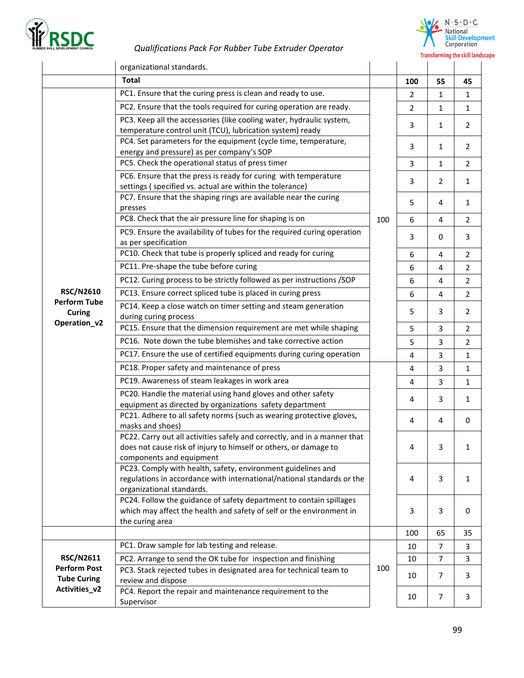

 $N \cdot S \cdot D \cdot C$ National<br>
Skill Development<br>
Corporation **Transforming the skill landscape** 

|                                                                                                                                                                                                                                                                                                                                                                                                                                                                                                                                                                                                                                                                                                                                                                                                                                                                                                                                                                                                                                                                                                                                                                                                                                                                                                                                                                                                                                                                                                                                                                                                                                                                                                                                                                                                                                                                                                                                                                                                                                                                                                                                                                                                                                                                                                                                                                                                                                                                                                                                                                                                                                                                                                            | organizational standards.                                                                                                                                 |   |                |                |                |
|------------------------------------------------------------------------------------------------------------------------------------------------------------------------------------------------------------------------------------------------------------------------------------------------------------------------------------------------------------------------------------------------------------------------------------------------------------------------------------------------------------------------------------------------------------------------------------------------------------------------------------------------------------------------------------------------------------------------------------------------------------------------------------------------------------------------------------------------------------------------------------------------------------------------------------------------------------------------------------------------------------------------------------------------------------------------------------------------------------------------------------------------------------------------------------------------------------------------------------------------------------------------------------------------------------------------------------------------------------------------------------------------------------------------------------------------------------------------------------------------------------------------------------------------------------------------------------------------------------------------------------------------------------------------------------------------------------------------------------------------------------------------------------------------------------------------------------------------------------------------------------------------------------------------------------------------------------------------------------------------------------------------------------------------------------------------------------------------------------------------------------------------------------------------------------------------------------------------------------------------------------------------------------------------------------------------------------------------------------------------------------------------------------------------------------------------------------------------------------------------------------------------------------------------------------------------------------------------------------------------------------------------------------------------------------------------------------|-----------------------------------------------------------------------------------------------------------------------------------------------------------|---|----------------|----------------|----------------|
|                                                                                                                                                                                                                                                                                                                                                                                                                                                                                                                                                                                                                                                                                                                                                                                                                                                                                                                                                                                                                                                                                                                                                                                                                                                                                                                                                                                                                                                                                                                                                                                                                                                                                                                                                                                                                                                                                                                                                                                                                                                                                                                                                                                                                                                                                                                                                                                                                                                                                                                                                                                                                                                                                                            | <b>Total</b>                                                                                                                                              |   | 100            | 55             | 45             |
| PC1. Ensure that the curing press is clean and ready to use.<br>PC2. Ensure that the tools required for curing operation are ready.<br>PC3. Keep all the accessories (like cooling water, hydraulic system,<br>temperature control unit (TCU), lubrication system) ready<br>PC4. Set parameters for the equipment (cycle time, temperature,<br>energy and pressure) as per company's SOP<br>PC5. Check the operational status of press timer<br>PC6. Ensure that the press is ready for curing with temperature<br>settings (specified vs. actual are within the tolerance)<br>PC7. Ensure that the shaping rings are available near the curing<br>presses<br>PC8. Check that the air pressure line for shaping is on<br>100<br>PC9. Ensure the availability of tubes for the required curing operation<br>as per specification<br>PC10. Check that tube is properly spliced and ready for curing<br>PC11. Pre-shape the tube before curing<br>PC12. Curing process to be strictly followed as per instructions /SOP<br><b>RSC/N2610</b><br>PC13. Ensure correct spliced tube is placed in curing press<br><b>Perform Tube</b><br>PC14. Keep a close watch on timer setting and steam generation<br><b>Curing</b><br>during curing process<br>Operation_v2<br>PC15. Ensure that the dimension requirement are met while shaping<br>PC16. Note down the tube blemishes and take corrective action<br>PC17. Ensure the use of certified equipments during curing operation<br>PC18. Proper safety and maintenance of press<br>PC19. Awareness of steam leakages in work area<br>PC20. Handle the material using hand gloves and other safety<br>equipment as directed by organizations safety department<br>PC21. Adhere to all safety norms (such as wearing protective gloves,<br>masks and shoes)<br>PC22. Carry out all activities safely and correctly, and in a manner that<br>does not cause risk of injury to himself or others, or damage to<br>components and equipment<br>PC23. Comply with health, safety, environment guidelines and<br>regulations in accordance with international/national standards or the<br>organizational standards.<br>PC24. Follow the guidance of safety department to contain spillages<br>which may affect the health and safety of self or the environment in<br>the curing area<br>PC1. Draw sample for lab testing and release.<br><b>RSC/N2611</b><br>PC2. Arrange to send the OK tube for inspection and finishing<br><b>Perform Post</b><br>100<br>PC3. Stack rejected tubes in designated area for technical team to<br><b>Tube Curing</b><br>review and dispose<br>Activities_v2<br>PC4. Report the repair and maintenance requirement to the<br>Supervisor |                                                                                                                                                           |   | 2              | 1              | $\mathbf{1}$   |
|                                                                                                                                                                                                                                                                                                                                                                                                                                                                                                                                                                                                                                                                                                                                                                                                                                                                                                                                                                                                                                                                                                                                                                                                                                                                                                                                                                                                                                                                                                                                                                                                                                                                                                                                                                                                                                                                                                                                                                                                                                                                                                                                                                                                                                                                                                                                                                                                                                                                                                                                                                                                                                                                                                            |                                                                                                                                                           |   | $\overline{2}$ | $\mathbf{1}$   | $\mathbf{1}$   |
|                                                                                                                                                                                                                                                                                                                                                                                                                                                                                                                                                                                                                                                                                                                                                                                                                                                                                                                                                                                                                                                                                                                                                                                                                                                                                                                                                                                                                                                                                                                                                                                                                                                                                                                                                                                                                                                                                                                                                                                                                                                                                                                                                                                                                                                                                                                                                                                                                                                                                                                                                                                                                                                                                                            |                                                                                                                                                           |   | 3              | 1              | 2              |
|                                                                                                                                                                                                                                                                                                                                                                                                                                                                                                                                                                                                                                                                                                                                                                                                                                                                                                                                                                                                                                                                                                                                                                                                                                                                                                                                                                                                                                                                                                                                                                                                                                                                                                                                                                                                                                                                                                                                                                                                                                                                                                                                                                                                                                                                                                                                                                                                                                                                                                                                                                                                                                                                                                            |                                                                                                                                                           | 3 | $\mathbf{1}$   | 2              |                |
|                                                                                                                                                                                                                                                                                                                                                                                                                                                                                                                                                                                                                                                                                                                                                                                                                                                                                                                                                                                                                                                                                                                                                                                                                                                                                                                                                                                                                                                                                                                                                                                                                                                                                                                                                                                                                                                                                                                                                                                                                                                                                                                                                                                                                                                                                                                                                                                                                                                                                                                                                                                                                                                                                                            |                                                                                                                                                           |   | $\overline{3}$ | $\mathbf{1}$   | $\overline{2}$ |
|                                                                                                                                                                                                                                                                                                                                                                                                                                                                                                                                                                                                                                                                                                                                                                                                                                                                                                                                                                                                                                                                                                                                                                                                                                                                                                                                                                                                                                                                                                                                                                                                                                                                                                                                                                                                                                                                                                                                                                                                                                                                                                                                                                                                                                                                                                                                                                                                                                                                                                                                                                                                                                                                                                            |                                                                                                                                                           |   | 3              | $\overline{2}$ | $\mathbf{1}$   |
|                                                                                                                                                                                                                                                                                                                                                                                                                                                                                                                                                                                                                                                                                                                                                                                                                                                                                                                                                                                                                                                                                                                                                                                                                                                                                                                                                                                                                                                                                                                                                                                                                                                                                                                                                                                                                                                                                                                                                                                                                                                                                                                                                                                                                                                                                                                                                                                                                                                                                                                                                                                                                                                                                                            |                                                                                                                                                           |   | 5              | 4              | $\mathbf{1}$   |
|                                                                                                                                                                                                                                                                                                                                                                                                                                                                                                                                                                                                                                                                                                                                                                                                                                                                                                                                                                                                                                                                                                                                                                                                                                                                                                                                                                                                                                                                                                                                                                                                                                                                                                                                                                                                                                                                                                                                                                                                                                                                                                                                                                                                                                                                                                                                                                                                                                                                                                                                                                                                                                                                                                            |                                                                                                                                                           |   | 6              | 4              | 2              |
|                                                                                                                                                                                                                                                                                                                                                                                                                                                                                                                                                                                                                                                                                                                                                                                                                                                                                                                                                                                                                                                                                                                                                                                                                                                                                                                                                                                                                                                                                                                                                                                                                                                                                                                                                                                                                                                                                                                                                                                                                                                                                                                                                                                                                                                                                                                                                                                                                                                                                                                                                                                                                                                                                                            |                                                                                                                                                           |   | 3              | 0              | 3              |
|                                                                                                                                                                                                                                                                                                                                                                                                                                                                                                                                                                                                                                                                                                                                                                                                                                                                                                                                                                                                                                                                                                                                                                                                                                                                                                                                                                                                                                                                                                                                                                                                                                                                                                                                                                                                                                                                                                                                                                                                                                                                                                                                                                                                                                                                                                                                                                                                                                                                                                                                                                                                                                                                                                            |                                                                                                                                                           |   | 6              | 4              | 2              |
|                                                                                                                                                                                                                                                                                                                                                                                                                                                                                                                                                                                                                                                                                                                                                                                                                                                                                                                                                                                                                                                                                                                                                                                                                                                                                                                                                                                                                                                                                                                                                                                                                                                                                                                                                                                                                                                                                                                                                                                                                                                                                                                                                                                                                                                                                                                                                                                                                                                                                                                                                                                                                                                                                                            |                                                                                                                                                           |   | 6              | 4              | $\overline{2}$ |
|                                                                                                                                                                                                                                                                                                                                                                                                                                                                                                                                                                                                                                                                                                                                                                                                                                                                                                                                                                                                                                                                                                                                                                                                                                                                                                                                                                                                                                                                                                                                                                                                                                                                                                                                                                                                                                                                                                                                                                                                                                                                                                                                                                                                                                                                                                                                                                                                                                                                                                                                                                                                                                                                                                            |                                                                                                                                                           |   | 6              | 4              | $\overline{2}$ |
|                                                                                                                                                                                                                                                                                                                                                                                                                                                                                                                                                                                                                                                                                                                                                                                                                                                                                                                                                                                                                                                                                                                                                                                                                                                                                                                                                                                                                                                                                                                                                                                                                                                                                                                                                                                                                                                                                                                                                                                                                                                                                                                                                                                                                                                                                                                                                                                                                                                                                                                                                                                                                                                                                                            |                                                                                                                                                           |   | 6              | 4              | $\overline{2}$ |
|                                                                                                                                                                                                                                                                                                                                                                                                                                                                                                                                                                                                                                                                                                                                                                                                                                                                                                                                                                                                                                                                                                                                                                                                                                                                                                                                                                                                                                                                                                                                                                                                                                                                                                                                                                                                                                                                                                                                                                                                                                                                                                                                                                                                                                                                                                                                                                                                                                                                                                                                                                                                                                                                                                            |                                                                                                                                                           |   | 5              | 3              | 2              |
|                                                                                                                                                                                                                                                                                                                                                                                                                                                                                                                                                                                                                                                                                                                                                                                                                                                                                                                                                                                                                                                                                                                                                                                                                                                                                                                                                                                                                                                                                                                                                                                                                                                                                                                                                                                                                                                                                                                                                                                                                                                                                                                                                                                                                                                                                                                                                                                                                                                                                                                                                                                                                                                                                                            |                                                                                                                                                           |   | 5              |                | $\overline{2}$ |
|                                                                                                                                                                                                                                                                                                                                                                                                                                                                                                                                                                                                                                                                                                                                                                                                                                                                                                                                                                                                                                                                                                                                                                                                                                                                                                                                                                                                                                                                                                                                                                                                                                                                                                                                                                                                                                                                                                                                                                                                                                                                                                                                                                                                                                                                                                                                                                                                                                                                                                                                                                                                                                                                                                            |                                                                                                                                                           |   |                | 3              | 2              |
|                                                                                                                                                                                                                                                                                                                                                                                                                                                                                                                                                                                                                                                                                                                                                                                                                                                                                                                                                                                                                                                                                                                                                                                                                                                                                                                                                                                                                                                                                                                                                                                                                                                                                                                                                                                                                                                                                                                                                                                                                                                                                                                                                                                                                                                                                                                                                                                                                                                                                                                                                                                                                                                                                                            |                                                                                                                                                           |   | 4              |                | $\mathbf{1}$   |
|                                                                                                                                                                                                                                                                                                                                                                                                                                                                                                                                                                                                                                                                                                                                                                                                                                                                                                                                                                                                                                                                                                                                                                                                                                                                                                                                                                                                                                                                                                                                                                                                                                                                                                                                                                                                                                                                                                                                                                                                                                                                                                                                                                                                                                                                                                                                                                                                                                                                                                                                                                                                                                                                                                            |                                                                                                                                                           |   | 4              |                | $\mathbf{1}$   |
|                                                                                                                                                                                                                                                                                                                                                                                                                                                                                                                                                                                                                                                                                                                                                                                                                                                                                                                                                                                                                                                                                                                                                                                                                                                                                                                                                                                                                                                                                                                                                                                                                                                                                                                                                                                                                                                                                                                                                                                                                                                                                                                                                                                                                                                                                                                                                                                                                                                                                                                                                                                                                                                                                                            | 3<br>5<br>3<br>3<br>$\overline{4}$<br>3<br>4<br>3<br>4<br>4<br>3<br>4<br>4<br>3<br>3<br>3<br>100<br>$\overline{7}$<br>10<br>10<br>7<br>10<br>7<br>10<br>7 |   | $\mathbf 1$    |                |                |
|                                                                                                                                                                                                                                                                                                                                                                                                                                                                                                                                                                                                                                                                                                                                                                                                                                                                                                                                                                                                                                                                                                                                                                                                                                                                                                                                                                                                                                                                                                                                                                                                                                                                                                                                                                                                                                                                                                                                                                                                                                                                                                                                                                                                                                                                                                                                                                                                                                                                                                                                                                                                                                                                                                            |                                                                                                                                                           |   |                |                |                |
|                                                                                                                                                                                                                                                                                                                                                                                                                                                                                                                                                                                                                                                                                                                                                                                                                                                                                                                                                                                                                                                                                                                                                                                                                                                                                                                                                                                                                                                                                                                                                                                                                                                                                                                                                                                                                                                                                                                                                                                                                                                                                                                                                                                                                                                                                                                                                                                                                                                                                                                                                                                                                                                                                                            |                                                                                                                                                           |   |                |                | $\mathbf{1}$   |
|                                                                                                                                                                                                                                                                                                                                                                                                                                                                                                                                                                                                                                                                                                                                                                                                                                                                                                                                                                                                                                                                                                                                                                                                                                                                                                                                                                                                                                                                                                                                                                                                                                                                                                                                                                                                                                                                                                                                                                                                                                                                                                                                                                                                                                                                                                                                                                                                                                                                                                                                                                                                                                                                                                            |                                                                                                                                                           |   |                |                | $\mathbf 0$    |
|                                                                                                                                                                                                                                                                                                                                                                                                                                                                                                                                                                                                                                                                                                                                                                                                                                                                                                                                                                                                                                                                                                                                                                                                                                                                                                                                                                                                                                                                                                                                                                                                                                                                                                                                                                                                                                                                                                                                                                                                                                                                                                                                                                                                                                                                                                                                                                                                                                                                                                                                                                                                                                                                                                            |                                                                                                                                                           |   |                |                | $\mathbf{1}$   |
|                                                                                                                                                                                                                                                                                                                                                                                                                                                                                                                                                                                                                                                                                                                                                                                                                                                                                                                                                                                                                                                                                                                                                                                                                                                                                                                                                                                                                                                                                                                                                                                                                                                                                                                                                                                                                                                                                                                                                                                                                                                                                                                                                                                                                                                                                                                                                                                                                                                                                                                                                                                                                                                                                                            |                                                                                                                                                           |   |                |                | $\mathbf{1}$   |
|                                                                                                                                                                                                                                                                                                                                                                                                                                                                                                                                                                                                                                                                                                                                                                                                                                                                                                                                                                                                                                                                                                                                                                                                                                                                                                                                                                                                                                                                                                                                                                                                                                                                                                                                                                                                                                                                                                                                                                                                                                                                                                                                                                                                                                                                                                                                                                                                                                                                                                                                                                                                                                                                                                            |                                                                                                                                                           |   |                |                | $\bf{0}$       |
|                                                                                                                                                                                                                                                                                                                                                                                                                                                                                                                                                                                                                                                                                                                                                                                                                                                                                                                                                                                                                                                                                                                                                                                                                                                                                                                                                                                                                                                                                                                                                                                                                                                                                                                                                                                                                                                                                                                                                                                                                                                                                                                                                                                                                                                                                                                                                                                                                                                                                                                                                                                                                                                                                                            |                                                                                                                                                           |   |                | 65             | 35             |
|                                                                                                                                                                                                                                                                                                                                                                                                                                                                                                                                                                                                                                                                                                                                                                                                                                                                                                                                                                                                                                                                                                                                                                                                                                                                                                                                                                                                                                                                                                                                                                                                                                                                                                                                                                                                                                                                                                                                                                                                                                                                                                                                                                                                                                                                                                                                                                                                                                                                                                                                                                                                                                                                                                            |                                                                                                                                                           |   |                |                | 3              |
|                                                                                                                                                                                                                                                                                                                                                                                                                                                                                                                                                                                                                                                                                                                                                                                                                                                                                                                                                                                                                                                                                                                                                                                                                                                                                                                                                                                                                                                                                                                                                                                                                                                                                                                                                                                                                                                                                                                                                                                                                                                                                                                                                                                                                                                                                                                                                                                                                                                                                                                                                                                                                                                                                                            |                                                                                                                                                           |   |                |                | $\mathsf{3}$   |
|                                                                                                                                                                                                                                                                                                                                                                                                                                                                                                                                                                                                                                                                                                                                                                                                                                                                                                                                                                                                                                                                                                                                                                                                                                                                                                                                                                                                                                                                                                                                                                                                                                                                                                                                                                                                                                                                                                                                                                                                                                                                                                                                                                                                                                                                                                                                                                                                                                                                                                                                                                                                                                                                                                            |                                                                                                                                                           |   |                |                | 3              |
|                                                                                                                                                                                                                                                                                                                                                                                                                                                                                                                                                                                                                                                                                                                                                                                                                                                                                                                                                                                                                                                                                                                                                                                                                                                                                                                                                                                                                                                                                                                                                                                                                                                                                                                                                                                                                                                                                                                                                                                                                                                                                                                                                                                                                                                                                                                                                                                                                                                                                                                                                                                                                                                                                                            |                                                                                                                                                           |   |                |                | 3              |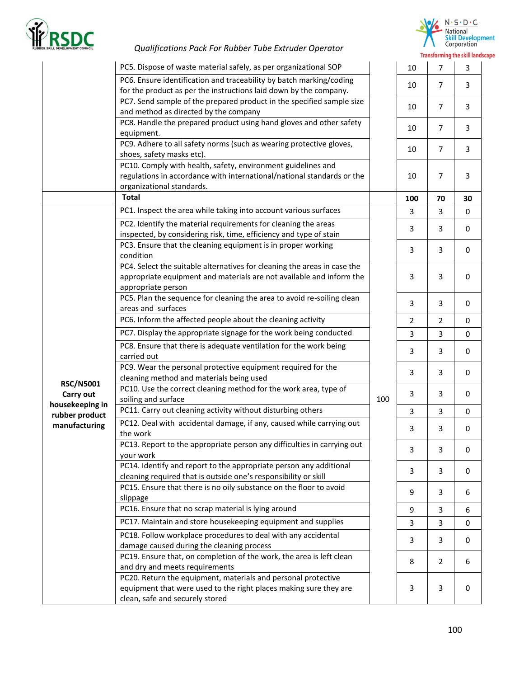



| Corporation                            |  |  |
|----------------------------------------|--|--|
| <b>Transforming the skill landscap</b> |  |  |

|                                   | PC5. Dispose of waste material safely, as per organizational SOP                                                                                                       |     | 10             | $\overline{7}$ | 3           |
|-----------------------------------|------------------------------------------------------------------------------------------------------------------------------------------------------------------------|-----|----------------|----------------|-------------|
|                                   | PC6. Ensure identification and traceability by batch marking/coding<br>for the product as per the instructions laid down by the company.                               |     | 10             | $\overline{7}$ | 3           |
|                                   | PC7. Send sample of the prepared product in the specified sample size<br>and method as directed by the company                                                         |     | 10             | $\overline{7}$ | 3           |
|                                   | PC8. Handle the prepared product using hand gloves and other safety<br>equipment.                                                                                      |     | 10             | $\overline{7}$ | 3           |
|                                   | PC9. Adhere to all safety norms (such as wearing protective gloves,<br>shoes, safety masks etc).                                                                       |     | 10             | $\overline{7}$ | 3           |
|                                   | PC10. Comply with health, safety, environment guidelines and<br>regulations in accordance with international/national standards or the<br>organizational standards.    |     | 10             | 7              | 3           |
|                                   | <b>Total</b>                                                                                                                                                           |     | 100            | 70             | 30          |
|                                   | PC1. Inspect the area while taking into account various surfaces                                                                                                       |     | 3              | 3              | $\mathbf 0$ |
|                                   | PC2. Identify the material requirements for cleaning the areas<br>inspected, by considering risk, time, efficiency and type of stain                                   |     | 3              | 3              | 0           |
|                                   | PC3. Ensure that the cleaning equipment is in proper working<br>condition                                                                                              | 100 | 3              | 3              | 0           |
|                                   | PC4. Select the suitable alternatives for cleaning the areas in case the<br>appropriate equipment and materials are not available and inform the<br>appropriate person |     | 3              | 3              | $\mathbf 0$ |
|                                   | PC5. Plan the sequence for cleaning the area to avoid re-soiling clean<br>areas and surfaces                                                                           |     | 3              | 3              | $\mathbf 0$ |
|                                   | PC6. Inform the affected people about the cleaning activity                                                                                                            |     | $\overline{2}$ | $\overline{2}$ | $\mathbf 0$ |
|                                   | PC7. Display the appropriate signage for the work being conducted                                                                                                      |     | 3              | 3              | $\mathbf 0$ |
|                                   | PC8. Ensure that there is adequate ventilation for the work being<br>carried out                                                                                       |     | 3              | 3              | $\mathbf 0$ |
|                                   | PC9. Wear the personal protective equipment required for the<br>cleaning method and materials being used                                                               |     | 3              | 3              | 0           |
| <b>RSC/N5001</b><br>Carry out     | PC10. Use the correct cleaning method for the work area, type of<br>soiling and surface                                                                                |     | 3              | 3              | 0           |
| housekeeping in<br>rubber product | PC11. Carry out cleaning activity without disturbing others                                                                                                            |     | 3              | 3              | 0           |
| manufacturing                     | PC12. Deal with accidental damage, if any, caused while carrying out<br>the work                                                                                       |     | 3              | 3              | 0           |
|                                   | PC13. Report to the appropriate person any difficulties in carrying out<br>your work                                                                                   |     | 3              | 3              | 0           |
|                                   | PC14. Identify and report to the appropriate person any additional<br>cleaning required that is outside one's responsibility or skill                                  |     | 3              | 3              | 0           |
|                                   | PC15. Ensure that there is no oily substance on the floor to avoid<br>slippage                                                                                         |     | 9              | 3              | 6           |
|                                   | PC16. Ensure that no scrap material is lying around                                                                                                                    |     | 9              | 3              | 6           |
|                                   | PC17. Maintain and store housekeeping equipment and supplies                                                                                                           |     | 3              | 3              | 0           |
|                                   | PC18. Follow workplace procedures to deal with any accidental<br>damage caused during the cleaning process                                                             |     | 3              | 3              | 0           |
|                                   | PC19. Ensure that, on completion of the work, the area is left clean<br>and dry and meets requirements                                                                 |     | 8              | 2              | 6           |
|                                   | PC20. Return the equipment, materials and personal protective<br>equipment that were used to the right places making sure they are<br>clean, safe and securely stored  |     | 3              | 3              | 0           |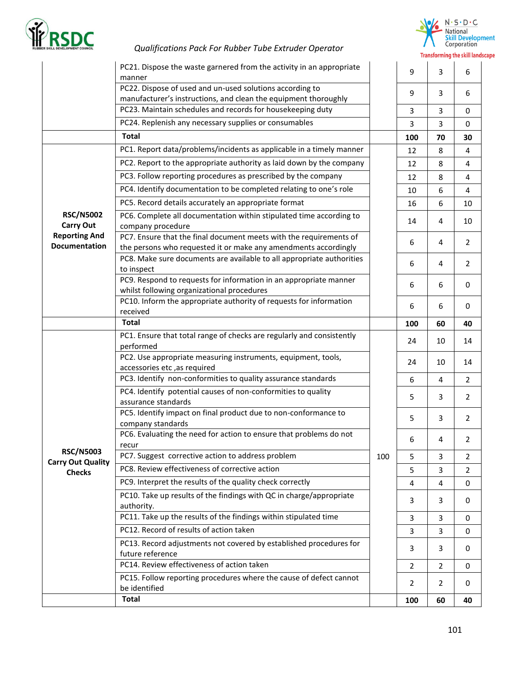



|                                                                                                                                                       | PC21. Dispose the waste garnered from the activity in an appropriate                                                                  |     | 9   | 3              | 6              |
|-------------------------------------------------------------------------------------------------------------------------------------------------------|---------------------------------------------------------------------------------------------------------------------------------------|-----|-----|----------------|----------------|
|                                                                                                                                                       | manner<br>PC22. Dispose of used and un-used solutions according to                                                                    |     |     |                |                |
|                                                                                                                                                       | manufacturer's instructions, and clean the equipment thoroughly                                                                       |     | 9   | 3              | 6              |
|                                                                                                                                                       | PC23. Maintain schedules and records for housekeeping duty                                                                            |     | 3   | 3              | $\mathbf 0$    |
|                                                                                                                                                       | PC24. Replenish any necessary supplies or consumables                                                                                 |     | 3   | 3              | $\mathbf 0$    |
|                                                                                                                                                       | <b>Total</b>                                                                                                                          |     | 100 | 70             | 30             |
|                                                                                                                                                       | PC1. Report data/problems/incidents as applicable in a timely manner                                                                  |     | 12  | 8              | 4              |
|                                                                                                                                                       | PC2. Report to the appropriate authority as laid down by the company                                                                  |     | 12  | 8              | 4              |
|                                                                                                                                                       | PC3. Follow reporting procedures as prescribed by the company                                                                         |     | 12  | 8              | 4              |
| <b>RSC/N5002</b><br><b>Carry Out</b><br><b>Reporting And</b><br><b>Documentation</b><br><b>RSC/N5003</b><br><b>Carry Out Quality</b><br><b>Checks</b> | PC4. Identify documentation to be completed relating to one's role                                                                    |     | 10  | 6              | 4              |
|                                                                                                                                                       | PC5. Record details accurately an appropriate format                                                                                  |     | 16  | 6              | 10             |
|                                                                                                                                                       | PC6. Complete all documentation within stipulated time according to<br>company procedure                                              |     | 14  | 4              | 10             |
|                                                                                                                                                       | PC7. Ensure that the final document meets with the requirements of<br>the persons who requested it or make any amendments accordingly |     | 6   | 4              | $\overline{2}$ |
|                                                                                                                                                       | PC8. Make sure documents are available to all appropriate authorities<br>to inspect                                                   |     | 6   | 4              | $\overline{2}$ |
|                                                                                                                                                       | PC9. Respond to requests for information in an appropriate manner<br>whilst following organizational procedures                       |     | 6   | 6              | 0              |
|                                                                                                                                                       | PC10. Inform the appropriate authority of requests for information<br>received                                                        |     | 6   | 6              | 0              |
|                                                                                                                                                       | <b>Total</b>                                                                                                                          |     | 100 | 60             | 40             |
|                                                                                                                                                       | PC1. Ensure that total range of checks are regularly and consistently<br>performed                                                    |     | 24  | 10             | 14             |
|                                                                                                                                                       | PC2. Use appropriate measuring instruments, equipment, tools,<br>accessories etc, as required                                         | 100 | 24  | 10             | 14             |
|                                                                                                                                                       | PC3. Identify non-conformities to quality assurance standards                                                                         |     | 6   | 4              | $\overline{2}$ |
|                                                                                                                                                       | PC4. Identify potential causes of non-conformities to quality<br>assurance standards                                                  |     | 5   | 3              | $\overline{2}$ |
|                                                                                                                                                       | PC5. Identify impact on final product due to non-conformance to<br>company standards                                                  |     | 5   | 3              | $\overline{2}$ |
|                                                                                                                                                       | PC6. Evaluating the need for action to ensure that problems do not<br>recur                                                           |     | 6   | 4              | $\overline{2}$ |
|                                                                                                                                                       | PC7. Suggest corrective action to address problem                                                                                     |     | 5   | 3              | $\overline{2}$ |
|                                                                                                                                                       | PC8. Review effectiveness of corrective action                                                                                        |     | 5   | 3              | $\overline{2}$ |
|                                                                                                                                                       | PC9. Interpret the results of the quality check correctly                                                                             |     | 4   | 4              | 0              |
|                                                                                                                                                       | PC10. Take up results of the findings with QC in charge/appropriate<br>authority.                                                     |     | 3   | 3              | 0              |
|                                                                                                                                                       | PC11. Take up the results of the findings within stipulated time                                                                      |     | 3   | 3              | $\mathbf 0$    |
|                                                                                                                                                       | PC12. Record of results of action taken                                                                                               |     | 3   | 3              | 0              |
|                                                                                                                                                       | PC13. Record adjustments not covered by established procedures for<br>future reference                                                |     | 3   | 3              | 0              |
|                                                                                                                                                       | PC14. Review effectiveness of action taken                                                                                            |     | 2   | 2              | 0              |
|                                                                                                                                                       | PC15. Follow reporting procedures where the cause of defect cannot<br>be identified                                                   |     | 2   | $\overline{2}$ | 0              |
|                                                                                                                                                       | <b>Total</b>                                                                                                                          |     | 100 | 60             | 40             |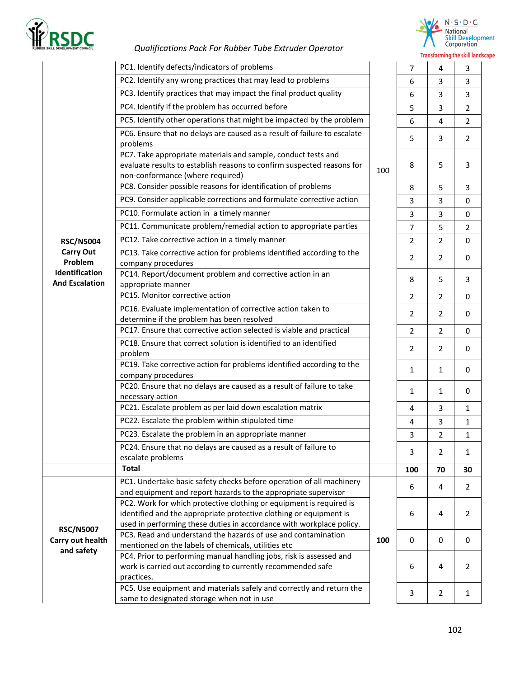



|                                                                        | PC1. Identify defects/indicators of problems                                                                                                                                                                      |     | $\overline{7}$ | 4              | 3              |
|------------------------------------------------------------------------|-------------------------------------------------------------------------------------------------------------------------------------------------------------------------------------------------------------------|-----|----------------|----------------|----------------|
|                                                                        | PC2. Identify any wrong practices that may lead to problems                                                                                                                                                       |     | 6              | $\overline{3}$ | 3              |
|                                                                        | PC3. Identify practices that may impact the final product quality                                                                                                                                                 |     | 6              | 3              | 3              |
|                                                                        | PC4. Identify if the problem has occurred before                                                                                                                                                                  |     | 5              | 3              | $\overline{2}$ |
|                                                                        | PC5. Identify other operations that might be impacted by the problem                                                                                                                                              |     | 6              | 4              | $\overline{2}$ |
|                                                                        | PC6. Ensure that no delays are caused as a result of failure to escalate<br>problems                                                                                                                              |     | 5              | 3              | $\overline{2}$ |
|                                                                        | PC7. Take appropriate materials and sample, conduct tests and<br>evaluate results to establish reasons to confirm suspected reasons for<br>non-conformance (where required)                                       | 100 | 8              | 5              | 3              |
|                                                                        | PC8. Consider possible reasons for identification of problems                                                                                                                                                     |     | 8              | 5              | 3              |
|                                                                        | PC9. Consider applicable corrections and formulate corrective action                                                                                                                                              |     | 3              | 3              | $\mathbf 0$    |
|                                                                        | PC10. Formulate action in a timely manner                                                                                                                                                                         |     | 3              | 3              | 0              |
|                                                                        | PC11. Communicate problem/remedial action to appropriate parties                                                                                                                                                  |     | $\overline{7}$ | 5              | $\overline{2}$ |
| <b>RSC/N5004</b>                                                       | PC12. Take corrective action in a timely manner                                                                                                                                                                   |     | $\overline{2}$ | $\overline{2}$ | $\mathbf 0$    |
| <b>Carry Out</b><br>Problem<br>Identification<br><b>And Escalation</b> | PC13. Take corrective action for problems identified according to the<br>company procedures                                                                                                                       |     | $\overline{2}$ | $\overline{2}$ | 0              |
|                                                                        | PC14. Report/document problem and corrective action in an<br>appropriate manner                                                                                                                                   |     | 8              | 5              | 3              |
|                                                                        | PC15. Monitor corrective action                                                                                                                                                                                   |     | $\overline{2}$ | $\overline{2}$ | 0              |
|                                                                        | PC16. Evaluate implementation of corrective action taken to<br>determine if the problem has been resolved                                                                                                         |     | 2              | $\overline{2}$ | 0              |
|                                                                        | PC17. Ensure that corrective action selected is viable and practical                                                                                                                                              |     | $\overline{2}$ | $\overline{2}$ | 0              |
|                                                                        | PC18. Ensure that correct solution is identified to an identified<br>problem                                                                                                                                      |     | $\overline{2}$ | $\overline{2}$ | 0              |
|                                                                        | PC19. Take corrective action for problems identified according to the<br>company procedures                                                                                                                       |     | $\mathbf{1}$   | $\mathbf{1}$   | 0              |
|                                                                        | PC20. Ensure that no delays are caused as a result of failure to take<br>necessary action                                                                                                                         |     | $\mathbf{1}$   | $\mathbf{1}$   | 0              |
|                                                                        | PC21. Escalate problem as per laid down escalation matrix                                                                                                                                                         |     | 4              | 3              | $\mathbf{1}$   |
|                                                                        | PC22. Escalate the problem within stipulated time                                                                                                                                                                 |     | 4              | 3              | $\mathbf{1}$   |
|                                                                        | PC23. Escalate the problem in an appropriate manner                                                                                                                                                               |     | 3              | $\overline{2}$ | $\mathbf{1}$   |
|                                                                        | PC24. Ensure that no delays are caused as a result of failure to<br>escalate problems                                                                                                                             |     | 3              | $\overline{2}$ | 1              |
|                                                                        | <b>Total</b>                                                                                                                                                                                                      |     | 100            | 70             | 30             |
| <b>RSC/N5007</b><br>Carry out health<br>and safety                     | PC1. Undertake basic safety checks before operation of all machinery<br>and equipment and report hazards to the appropriate supervisor                                                                            |     | 6              | 4              | $\overline{2}$ |
|                                                                        | PC2. Work for which protective clothing or equipment is required is<br>identified and the appropriate protective clothing or equipment is<br>used in performing these duties in accordance with workplace policy. |     | 6              | 4              | $\overline{2}$ |
|                                                                        | PC3. Read and understand the hazards of use and contamination<br>mentioned on the labels of chemicals, utilities etc                                                                                              | 100 | 0              | $\mathbf 0$    | 0              |
|                                                                        | PC4. Prior to performing manual handling jobs, risk is assessed and<br>work is carried out according to currently recommended safe<br>practices.                                                                  |     | 6              | 4              | $\overline{2}$ |
|                                                                        | PC5. Use equipment and materials safely and correctly and return the<br>same to designated storage when not in use                                                                                                |     | 3              | $\overline{2}$ | $\mathbf{1}$   |